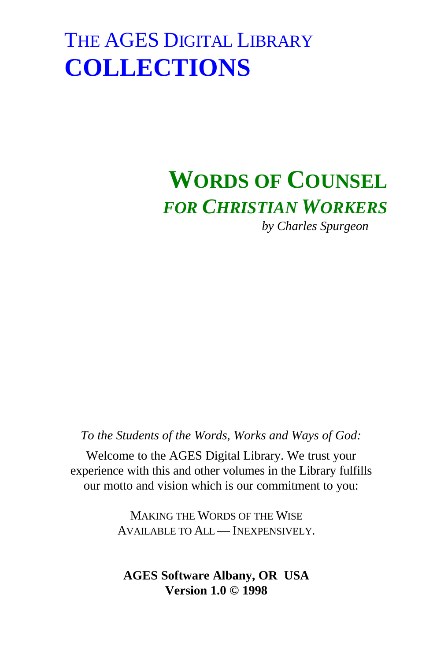#### **WORDS OF COUNSEL** *FOR CHRISTIAN WORKERS*

*by Charles Spurgeon*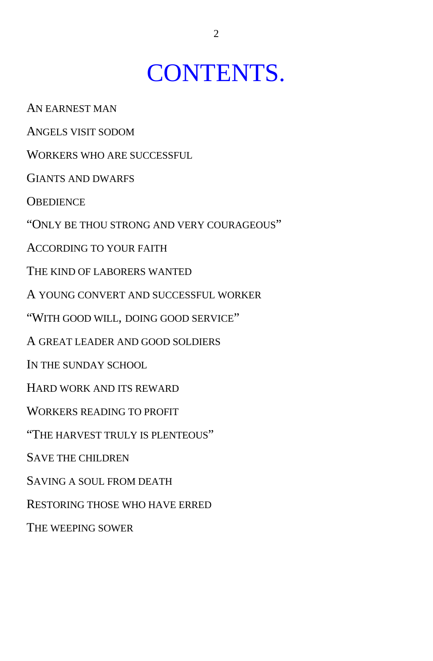### CONTENTS.

AN EARNEST MAN

ANGELS VISIT SODOM

WORKERS WHO ARE SUCCESSFUL

GIANTS AND DWARFS

**OBEDIENCE** 

"ONLY BE THOU STRONG AND VERY COURAGEOUS"

ACCORDING TO YOUR FAITH

THE KIND OF LABORERS WANTED

A YOUNG CONVERT AND SUCCESSFUL WORKER

"WITH GOOD WILL, DOING GOOD SERVICE"

A GREAT LEADER AND GOOD SOLDIERS

IN THE SUNDAY SCHOOL

HARD WORK AND ITS REWARD

WORKERS READING TO PROFIT

"THE HARVEST TRULY IS PLENTEOUS"

SAVE THE CHILDREN

SAVING A SOUL FROM DEATH

RESTORING THOSE WHO HAVE ERRED

THE WEEPING SOWER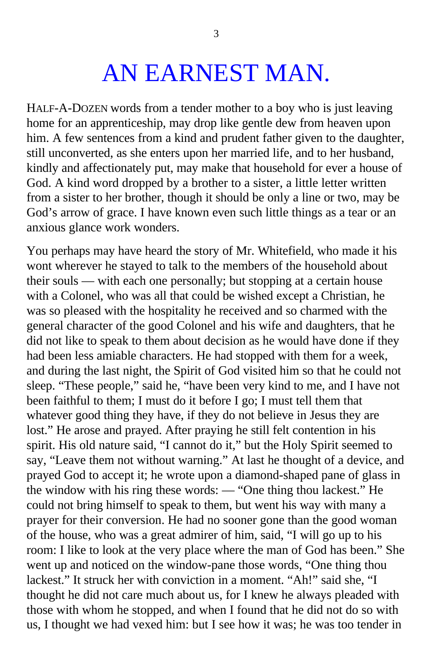# AN EARNEST MAN.

HALF-A-DOZEN words from a tender mother to a boy who is just leaving home for an apprenticeship, may drop like gentle dew from heaven upon him. A few sentences from a kind and prudent father given to the daughter, still unconverted, as she enters upon her married life, and to her husband, kindly and affectionately put, may make that household for ever a house of God. A kind word dropped by a brother to a sister, a little letter written from a sister to her brother, though it should be only a line or two, may be God's arrow of grace. I have known even such little things as a tear or an anxious glance work wonders.

You perhaps may have heard the story of Mr. Whitefield, who made it his wont wherever he stayed to talk to the members of the household about their souls — with each one personally; but stopping at a certain house with a Colonel, who was all that could be wished except a Christian, he was so pleased with the hospitality he received and so charmed with the general character of the good Colonel and his wife and daughters, that he did not like to speak to them about decision as he would have done if they had been less amiable characters. He had stopped with them for a week, and during the last night, the Spirit of God visited him so that he could not sleep. "These people," said he, "have been very kind to me, and I have not been faithful to them; I must do it before I go; I must tell them that whatever good thing they have, if they do not believe in Jesus they are lost." He arose and prayed. After praying he still felt contention in his spirit. His old nature said, "I cannot do it," but the Holy Spirit seemed to say, "Leave them not without warning." At last he thought of a device, and prayed God to accept it; he wrote upon a diamond-shaped pane of glass in the window with his ring these words: — "One thing thou lackest." He could not bring himself to speak to them, but went his way with many a prayer for their conversion. He had no sooner gone than the good woman of the house, who was a great admirer of him, said, "I will go up to his room: I like to look at the very place where the man of God has been." She went up and noticed on the window-pane those words, "One thing thou lackest." It struck her with conviction in a moment. "Ah!" said she, "I thought he did not care much about us, for I knew he always pleaded with those with whom he stopped, and when I found that he did not do so with us, I thought we had vexed him: but I see how it was; he was too tender in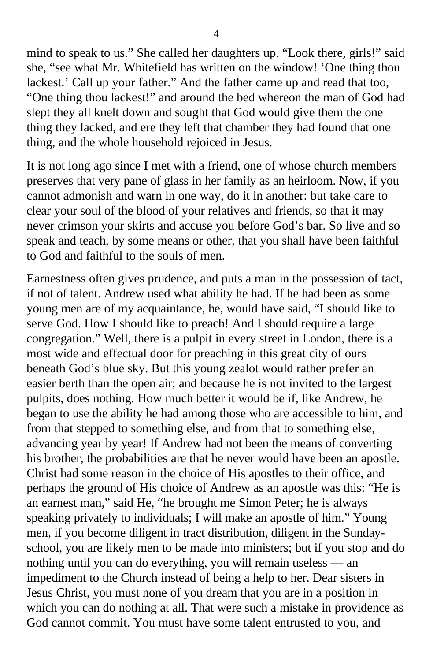mind to speak to us." She called her daughters up. "Look there, girls!" said she, "see what Mr. Whitefield has written on the window! 'One thing thou lackest.' Call up your father." And the father came up and read that too, "One thing thou lackest!" and around the bed whereon the man of God had slept they all knelt down and sought that God would give them the one thing they lacked, and ere they left that chamber they had found that one thing, and the whole household rejoiced in Jesus.

It is not long ago since I met with a friend, one of whose church members preserves that very pane of glass in her family as an heirloom. Now, if you cannot admonish and warn in one way, do it in another: but take care to clear your soul of the blood of your relatives and friends, so that it may never crimson your skirts and accuse you before God's bar. So live and so speak and teach, by some means or other, that you shall have been faithful to God and faithful to the souls of men.

Earnestness often gives prudence, and puts a man in the possession of tact, if not of talent. Andrew used what ability he had. If he had been as some young men are of my acquaintance, he, would have said, "I should like to serve God. How I should like to preach! And I should require a large congregation." Well, there is a pulpit in every street in London, there is a most wide and effectual door for preaching in this great city of ours beneath God's blue sky. But this young zealot would rather prefer an easier berth than the open air; and because he is not invited to the largest pulpits, does nothing. How much better it would be if, like Andrew, he began to use the ability he had among those who are accessible to him, and from that stepped to something else, and from that to something else, advancing year by year! If Andrew had not been the means of converting his brother, the probabilities are that he never would have been an apostle. Christ had some reason in the choice of His apostles to their office, and perhaps the ground of His choice of Andrew as an apostle was this: "He is an earnest man," said He, "he brought me Simon Peter; he is always speaking privately to individuals; I will make an apostle of him." Young men, if you become diligent in tract distribution, diligent in the Sundayschool, you are likely men to be made into ministers; but if you stop and do nothing until you can do everything, you will remain useless — an impediment to the Church instead of being a help to her. Dear sisters in Jesus Christ, you must none of you dream that you are in a position in which you can do nothing at all. That were such a mistake in providence as God cannot commit. You must have some talent entrusted to you, and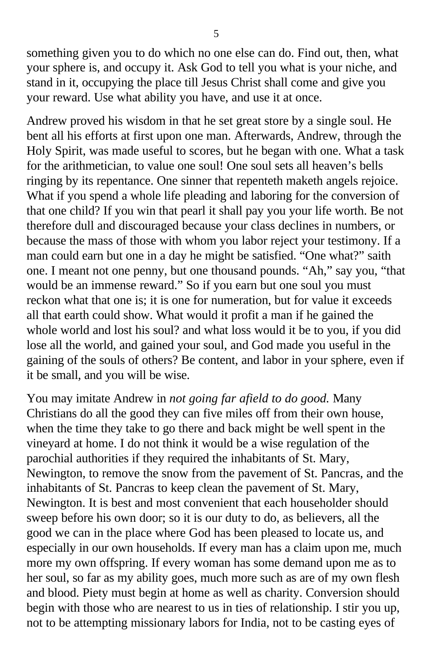something given you to do which no one else can do. Find out, then, what your sphere is, and occupy it. Ask God to tell you what is your niche, and stand in it, occupying the place till Jesus Christ shall come and give you your reward. Use what ability you have, and use it at once.

Andrew proved his wisdom in that he set great store by a single soul. He bent all his efforts at first upon one man. Afterwards, Andrew, through the Holy Spirit, was made useful to scores, but he began with one. What a task for the arithmetician, to value one soul! One soul sets all heaven's bells ringing by its repentance. One sinner that repenteth maketh angels rejoice. What if you spend a whole life pleading and laboring for the conversion of that one child? If you win that pearl it shall pay you your life worth. Be not therefore dull and discouraged because your class declines in numbers, or because the mass of those with whom you labor reject your testimony. If a man could earn but one in a day he might be satisfied. "One what?" saith one. I meant not one penny, but one thousand pounds. "Ah," say you, "that would be an immense reward." So if you earn but one soul you must reckon what that one is; it is one for numeration, but for value it exceeds all that earth could show. What would it profit a man if he gained the whole world and lost his soul? and what loss would it be to you, if you did lose all the world, and gained your soul, and God made you useful in the gaining of the souls of others? Be content, and labor in your sphere, even if it be small, and you will be wise.

You may imitate Andrew in *not going far afield to do good.* Many Christians do all the good they can five miles off from their own house, when the time they take to go there and back might be well spent in the vineyard at home. I do not think it would be a wise regulation of the parochial authorities if they required the inhabitants of St. Mary, Newington, to remove the snow from the pavement of St. Pancras, and the inhabitants of St. Pancras to keep clean the pavement of St. Mary, Newington. It is best and most convenient that each householder should sweep before his own door; so it is our duty to do, as believers, all the good we can in the place where God has been pleased to locate us, and especially in our own households. If every man has a claim upon me, much more my own offspring. If every woman has some demand upon me as to her soul, so far as my ability goes, much more such as are of my own flesh and blood. Piety must begin at home as well as charity. Conversion should begin with those who are nearest to us in ties of relationship. I stir you up, not to be attempting missionary labors for India, not to be casting eyes of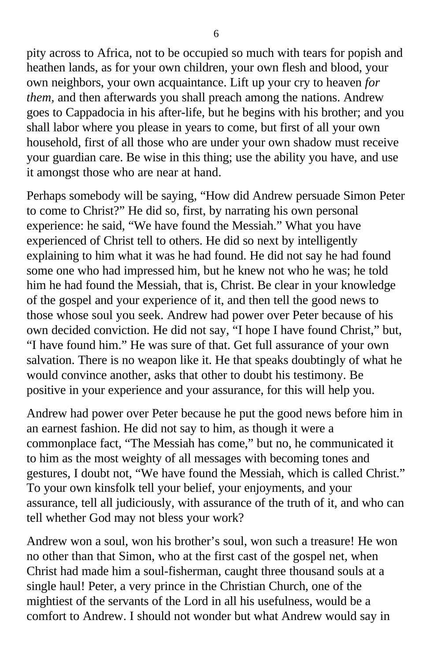pity across to Africa, not to be occupied so much with tears for popish and heathen lands, as for your own children, your own flesh and blood, your own neighbors, your own acquaintance. Lift up your cry to heaven *for them*, and then afterwards you shall preach among the nations. Andrew goes to Cappadocia in his after-life, but he begins with his brother; and you shall labor where you please in years to come, but first of all your own household, first of all those who are under your own shadow must receive your guardian care. Be wise in this thing; use the ability you have, and use it amongst those who are near at hand.

Perhaps somebody will be saying, "How did Andrew persuade Simon Peter to come to Christ?" He did so, first, by narrating his own personal experience: he said, "We have found the Messiah." What you have experienced of Christ tell to others. He did so next by intelligently explaining to him what it was he had found. He did not say he had found some one who had impressed him, but he knew not who he was; he told him he had found the Messiah, that is, Christ. Be clear in your knowledge of the gospel and your experience of it, and then tell the good news to those whose soul you seek. Andrew had power over Peter because of his own decided conviction. He did not say, "I hope I have found Christ," but, "I have found him." He was sure of that. Get full assurance of your own salvation. There is no weapon like it. He that speaks doubtingly of what he would convince another, asks that other to doubt his testimony. Be positive in your experience and your assurance, for this will help you.

Andrew had power over Peter because he put the good news before him in an earnest fashion. He did not say to him, as though it were a commonplace fact, "The Messiah has come," but no, he communicated it to him as the most weighty of all messages with becoming tones and gestures, I doubt not, "We have found the Messiah, which is called Christ." To your own kinsfolk tell your belief, your enjoyments, and your assurance, tell all judiciously, with assurance of the truth of it, and who can tell whether God may not bless your work?

Andrew won a soul, won his brother's soul, won such a treasure! He won no other than that Simon, who at the first cast of the gospel net, when Christ had made him a soul-fisherman, caught three thousand souls at a single haul! Peter, a very prince in the Christian Church, one of the mightiest of the servants of the Lord in all his usefulness, would be a comfort to Andrew. I should not wonder but what Andrew would say in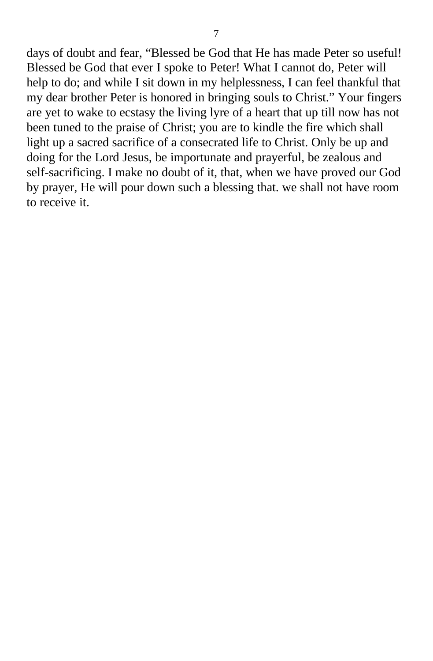days of doubt and fear, "Blessed be God that He has made Peter so useful! Blessed be God that ever I spoke to Peter! What I cannot do, Peter will help to do; and while I sit down in my helplessness, I can feel thankful that my dear brother Peter is honored in bringing souls to Christ." Your fingers are yet to wake to ecstasy the living lyre of a heart that up till now has not been tuned to the praise of Christ; you are to kindle the fire which shall light up a sacred sacrifice of a consecrated life to Christ. Only be up and doing for the Lord Jesus, be importunate and prayerful, be zealous and self-sacrificing. I make no doubt of it, that, when we have proved our God by prayer, He will pour down such a blessing that. we shall not have room to receive it.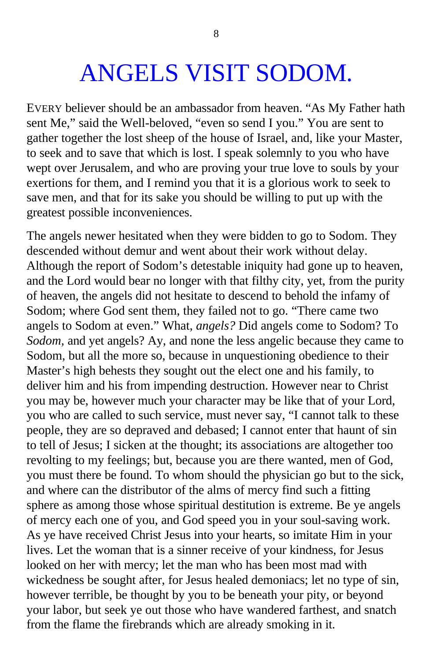# ANGELS VISIT SODOM.

EVERY believer should be an ambassador from heaven. "As My Father hath sent Me," said the Well-beloved, "even so send I you." You are sent to gather together the lost sheep of the house of Israel, and, like your Master, to seek and to save that which is lost. I speak solemnly to you who have wept over Jerusalem, and who are proving your true love to souls by your exertions for them, and I remind you that it is a glorious work to seek to save men, and that for its sake you should be willing to put up with the greatest possible inconveniences.

The angels newer hesitated when they were bidden to go to Sodom. They descended without demur and went about their work without delay. Although the report of Sodom's detestable iniquity had gone up to heaven, and the Lord would bear no longer with that filthy city, yet, from the purity of heaven, the angels did not hesitate to descend to behold the infamy of Sodom; where God sent them, they failed not to go. "There came two angels to Sodom at even." What, *angels?* Did angels come to Sodom? To *Sodom*, and yet angels? Ay, and none the less angelic because they came to Sodom, but all the more so, because in unquestioning obedience to their Master's high behests they sought out the elect one and his family, to deliver him and his from impending destruction. However near to Christ you may be, however much your character may be like that of your Lord, you who are called to such service, must never say, "I cannot talk to these people, they are so depraved and debased; I cannot enter that haunt of sin to tell of Jesus; I sicken at the thought; its associations are altogether too revolting to my feelings; but, because you are there wanted, men of God, you must there be found. To whom should the physician go but to the sick, and where can the distributor of the alms of mercy find such a fitting sphere as among those whose spiritual destitution is extreme. Be ye angels of mercy each one of you, and God speed you in your soul-saving work. As ye have received Christ Jesus into your hearts, so imitate Him in your lives. Let the woman that is a sinner receive of your kindness, for Jesus looked on her with mercy; let the man who has been most mad with wickedness be sought after, for Jesus healed demoniacs; let no type of sin, however terrible, be thought by you to be beneath your pity, or beyond your labor, but seek ye out those who have wandered farthest, and snatch from the flame the firebrands which are already smoking in it.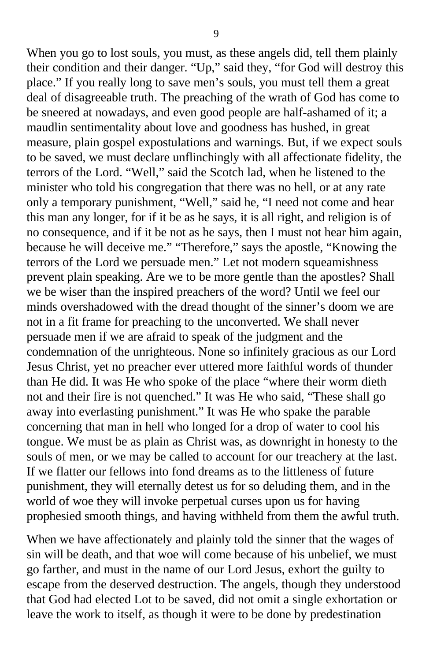When you go to lost souls, you must, as these angels did, tell them plainly their condition and their danger. "Up," said they, "for God will destroy this place." If you really long to save men's souls, you must tell them a great deal of disagreeable truth. The preaching of the wrath of God has come to be sneered at nowadays, and even good people are half-ashamed of it; a maudlin sentimentality about love and goodness has hushed, in great measure, plain gospel expostulations and warnings. But, if we expect souls to be saved, we must declare unflinchingly with all affectionate fidelity, the terrors of the Lord. "Well," said the Scotch lad, when he listened to the minister who told his congregation that there was no hell, or at any rate only a temporary punishment, "Well," said he, "I need not come and hear this man any longer, for if it be as he says, it is all right, and religion is of no consequence, and if it be not as he says, then I must not hear him again, because he will deceive me." "Therefore," says the apostle, "Knowing the terrors of the Lord we persuade men." Let not modern squeamishness prevent plain speaking. Are we to be more gentle than the apostles? Shall we be wiser than the inspired preachers of the word? Until we feel our minds overshadowed with the dread thought of the sinner's doom we are not in a fit frame for preaching to the unconverted. We shall never persuade men if we are afraid to speak of the judgment and the condemnation of the unrighteous. None so infinitely gracious as our Lord Jesus Christ, yet no preacher ever uttered more faithful words of thunder than He did. It was He who spoke of the place "where their worm dieth not and their fire is not quenched." It was He who said, "These shall go away into everlasting punishment." It was He who spake the parable concerning that man in hell who longed for a drop of water to cool his tongue. We must be as plain as Christ was, as downright in honesty to the souls of men, or we may be called to account for our treachery at the last. If we flatter our fellows into fond dreams as to the littleness of future punishment, they will eternally detest us for so deluding them, and in the world of woe they will invoke perpetual curses upon us for having prophesied smooth things, and having withheld from them the awful truth.

When we have affectionately and plainly told the sinner that the wages of sin will be death, and that woe will come because of his unbelief, we must go farther, and must in the name of our Lord Jesus, exhort the guilty to escape from the deserved destruction. The angels, though they understood that God had elected Lot to be saved, did not omit a single exhortation or leave the work to itself, as though it were to be done by predestination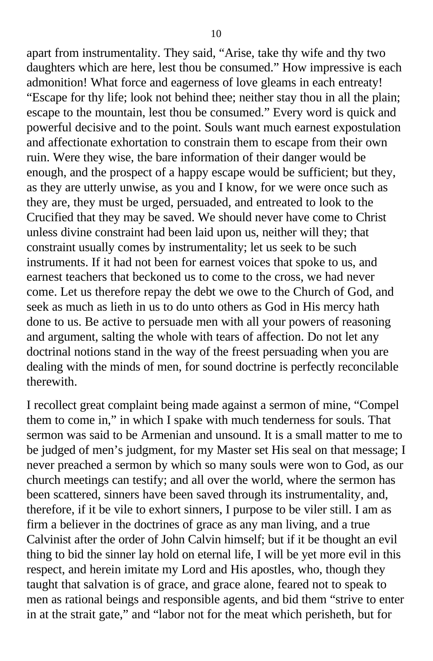apart from instrumentality. They said, "Arise, take thy wife and thy two daughters which are here, lest thou be consumed." How impressive is each admonition! What force and eagerness of love gleams in each entreaty! "Escape for thy life; look not behind thee; neither stay thou in all the plain; escape to the mountain, lest thou be consumed." Every word is quick and powerful decisive and to the point. Souls want much earnest expostulation and affectionate exhortation to constrain them to escape from their own ruin. Were they wise, the bare information of their danger would be enough, and the prospect of a happy escape would be sufficient; but they, as they are utterly unwise, as you and I know, for we were once such as they are, they must be urged, persuaded, and entreated to look to the Crucified that they may be saved. We should never have come to Christ unless divine constraint had been laid upon us, neither will they; that constraint usually comes by instrumentality; let us seek to be such instruments. If it had not been for earnest voices that spoke to us, and earnest teachers that beckoned us to come to the cross, we had never come. Let us therefore repay the debt we owe to the Church of God, and seek as much as lieth in us to do unto others as God in His mercy hath done to us. Be active to persuade men with all your powers of reasoning and argument, salting the whole with tears of affection. Do not let any doctrinal notions stand in the way of the freest persuading when you are dealing with the minds of men, for sound doctrine is perfectly reconcilable therewith.

I recollect great complaint being made against a sermon of mine, "Compel them to come in," in which I spake with much tenderness for souls. That sermon was said to be Armenian and unsound. It is a small matter to me to be judged of men's judgment, for my Master set His seal on that message; I never preached a sermon by which so many souls were won to God, as our church meetings can testify; and all over the world, where the sermon has been scattered, sinners have been saved through its instrumentality, and, therefore, if it be vile to exhort sinners, I purpose to be viler still. I am as firm a believer in the doctrines of grace as any man living, and a true Calvinist after the order of John Calvin himself; but if it be thought an evil thing to bid the sinner lay hold on eternal life, I will be yet more evil in this respect, and herein imitate my Lord and His apostles, who, though they taught that salvation is of grace, and grace alone, feared not to speak to men as rational beings and responsible agents, and bid them "strive to enter in at the strait gate," and "labor not for the meat which perisheth, but for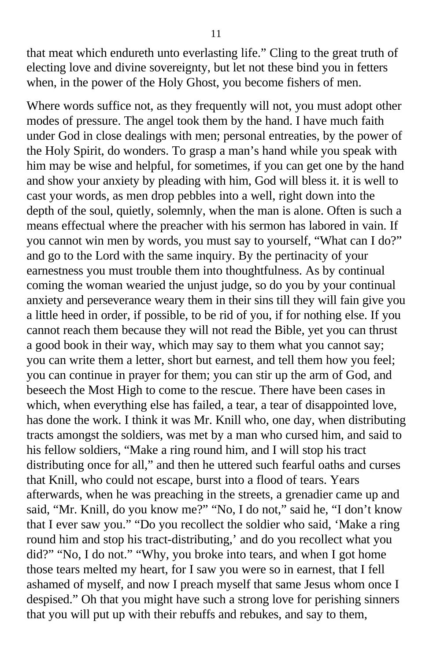that meat which endureth unto everlasting life." Cling to the great truth of electing love and divine sovereignty, but let not these bind you in fetters when, in the power of the Holy Ghost, you become fishers of men.

Where words suffice not, as they frequently will not, you must adopt other modes of pressure. The angel took them by the hand. I have much faith under God in close dealings with men; personal entreaties, by the power of the Holy Spirit, do wonders. To grasp a man's hand while you speak with him may be wise and helpful, for sometimes, if you can get one by the hand and show your anxiety by pleading with him, God will bless it. it is well to cast your words, as men drop pebbles into a well, right down into the depth of the soul, quietly, solemnly, when the man is alone. Often is such a means effectual where the preacher with his sermon has labored in vain. If you cannot win men by words, you must say to yourself, "What can I do?" and go to the Lord with the same inquiry. By the pertinacity of your earnestness you must trouble them into thoughtfulness. As by continual coming the woman wearied the unjust judge, so do you by your continual anxiety and perseverance weary them in their sins till they will fain give you a little heed in order, if possible, to be rid of you, if for nothing else. If you cannot reach them because they will not read the Bible, yet you can thrust a good book in their way, which may say to them what you cannot say; you can write them a letter, short but earnest, and tell them how you feel; you can continue in prayer for them; you can stir up the arm of God, and beseech the Most High to come to the rescue. There have been cases in which, when everything else has failed, a tear, a tear of disappointed love, has done the work. I think it was Mr. Knill who, one day, when distributing tracts amongst the soldiers, was met by a man who cursed him, and said to his fellow soldiers, "Make a ring round him, and I will stop his tract distributing once for all," and then he uttered such fearful oaths and curses that Knill, who could not escape, burst into a flood of tears. Years afterwards, when he was preaching in the streets, a grenadier came up and said, "Mr. Knill, do you know me?" "No, I do not," said he, "I don't know that I ever saw you." "Do you recollect the soldier who said, 'Make a ring round him and stop his tract-distributing,' and do you recollect what you did?" "No, I do not." "Why, you broke into tears, and when I got home those tears melted my heart, for I saw you were so in earnest, that I fell ashamed of myself, and now I preach myself that same Jesus whom once I despised." Oh that you might have such a strong love for perishing sinners that you will put up with their rebuffs and rebukes, and say to them,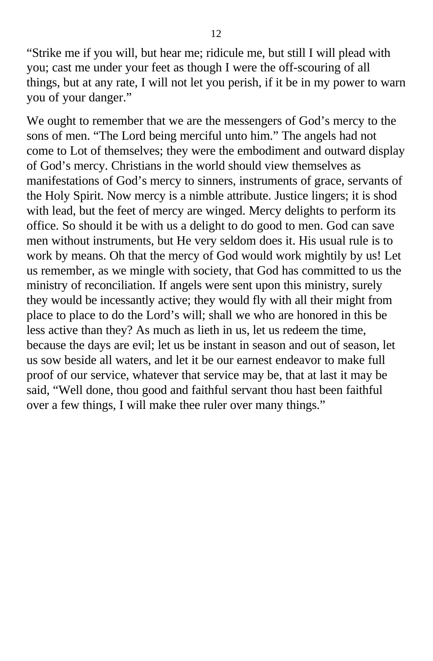"Strike me if you will, but hear me; ridicule me, but still I will plead with you; cast me under your feet as though I were the off-scouring of all things, but at any rate, I will not let you perish, if it be in my power to warn you of your danger."

We ought to remember that we are the messengers of God's mercy to the sons of men. "The Lord being merciful unto him." The angels had not come to Lot of themselves; they were the embodiment and outward display of God's mercy. Christians in the world should view themselves as manifestations of God's mercy to sinners, instruments of grace, servants of the Holy Spirit. Now mercy is a nimble attribute. Justice lingers; it is shod with lead, but the feet of mercy are winged. Mercy delights to perform its office. So should it be with us a delight to do good to men. God can save men without instruments, but He very seldom does it. His usual rule is to work by means. Oh that the mercy of God would work mightily by us! Let us remember, as we mingle with society, that God has committed to us the ministry of reconciliation. If angels were sent upon this ministry, surely they would be incessantly active; they would fly with all their might from place to place to do the Lord's will; shall we who are honored in this be less active than they? As much as lieth in us, let us redeem the time, because the days are evil; let us be instant in season and out of season, let us sow beside all waters, and let it be our earnest endeavor to make full proof of our service, whatever that service may be, that at last it may be said, "Well done, thou good and faithful servant thou hast been faithful over a few things, I will make thee ruler over many things."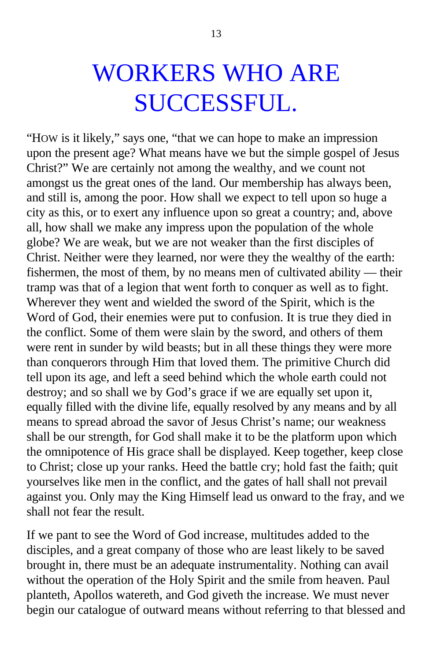# WORKERS WHO ARE SUCCESSFUL.

"HOW is it likely," says one, "that we can hope to make an impression upon the present age? What means have we but the simple gospel of Jesus Christ?" We are certainly not among the wealthy, and we count not amongst us the great ones of the land. Our membership has always been, and still is, among the poor. How shall we expect to tell upon so huge a city as this, or to exert any influence upon so great a country; and, above all, how shall we make any impress upon the population of the whole globe? We are weak, but we are not weaker than the first disciples of Christ. Neither were they learned, nor were they the wealthy of the earth: fishermen, the most of them, by no means men of cultivated ability — their tramp was that of a legion that went forth to conquer as well as to fight. Wherever they went and wielded the sword of the Spirit, which is the Word of God, their enemies were put to confusion. It is true they died in the conflict. Some of them were slain by the sword, and others of them were rent in sunder by wild beasts; but in all these things they were more than conquerors through Him that loved them. The primitive Church did tell upon its age, and left a seed behind which the whole earth could not destroy; and so shall we by God's grace if we are equally set upon it, equally filled with the divine life, equally resolved by any means and by all means to spread abroad the savor of Jesus Christ's name; our weakness shall be our strength, for God shall make it to be the platform upon which the omnipotence of His grace shall be displayed. Keep together, keep close to Christ; close up your ranks. Heed the battle cry; hold fast the faith; quit yourselves like men in the conflict, and the gates of hall shall not prevail against you. Only may the King Himself lead us onward to the fray, and we shall not fear the result.

If we pant to see the Word of God increase, multitudes added to the disciples, and a great company of those who are least likely to be saved brought in, there must be an adequate instrumentality. Nothing can avail without the operation of the Holy Spirit and the smile from heaven. Paul planteth, Apollos watereth, and God giveth the increase. We must never begin our catalogue of outward means without referring to that blessed and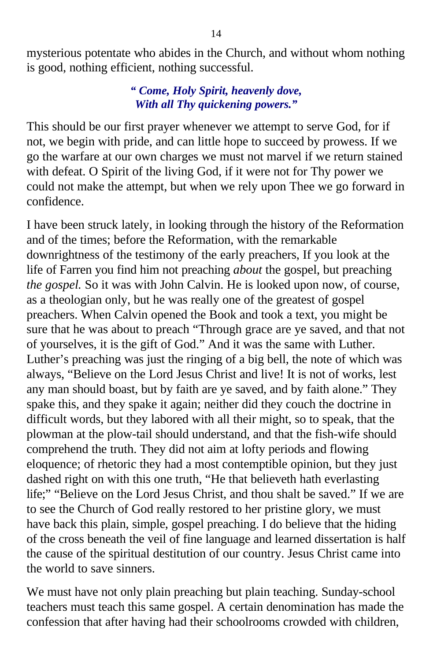mysterious potentate who abides in the Church, and without whom nothing is good, nothing efficient, nothing successful.

#### *" Come, Holy Spirit, heavenly dove, With all Thy quickening powers."*

This should be our first prayer whenever we attempt to serve God, for if not, we begin with pride, and can little hope to succeed by prowess. If we go the warfare at our own charges we must not marvel if we return stained with defeat. O Spirit of the living God, if it were not for Thy power we could not make the attempt, but when we rely upon Thee we go forward in confidence.

I have been struck lately, in looking through the history of the Reformation and of the times; before the Reformation, with the remarkable downrightness of the testimony of the early preachers, If you look at the life of Farren you find him not preaching *about* the gospel, but preaching *the gospel.* So it was with John Calvin. He is looked upon now, of course, as a theologian only, but he was really one of the greatest of gospel preachers. When Calvin opened the Book and took a text, you might be sure that he was about to preach "Through grace are ye saved, and that not of yourselves, it is the gift of God." And it was the same with Luther. Luther's preaching was just the ringing of a big bell, the note of which was always, "Believe on the Lord Jesus Christ and live! It is not of works, lest any man should boast, but by faith are ye saved, and by faith alone." They spake this, and they spake it again; neither did they couch the doctrine in difficult words, but they labored with all their might, so to speak, that the plowman at the plow-tail should understand, and that the fish-wife should comprehend the truth. They did not aim at lofty periods and flowing eloquence; of rhetoric they had a most contemptible opinion, but they just dashed right on with this one truth, "He that believeth hath everlasting life;" "Believe on the Lord Jesus Christ, and thou shalt be saved." If we are to see the Church of God really restored to her pristine glory, we must have back this plain, simple, gospel preaching. I do believe that the hiding of the cross beneath the veil of fine language and learned dissertation is half the cause of the spiritual destitution of our country. Jesus Christ came into the world to save sinners.

We must have not only plain preaching but plain teaching. Sunday-school teachers must teach this same gospel. A certain denomination has made the confession that after having had their schoolrooms crowded with children,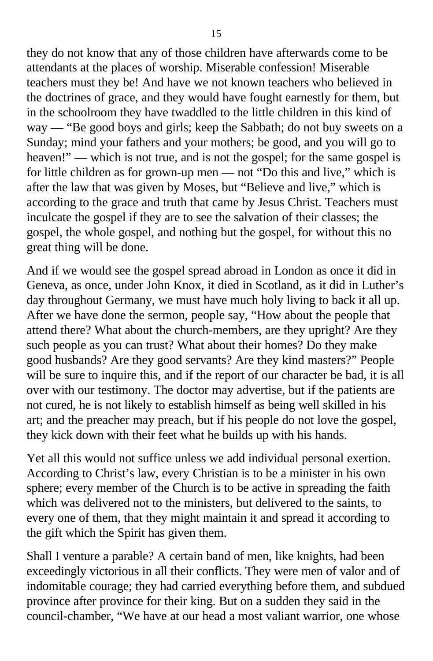they do not know that any of those children have afterwards come to be attendants at the places of worship. Miserable confession! Miserable teachers must they be! And have we not known teachers who believed in the doctrines of grace, and they would have fought earnestly for them, but in the schoolroom they have twaddled to the little children in this kind of way — "Be good boys and girls; keep the Sabbath; do not buy sweets on a Sunday; mind your fathers and your mothers; be good, and you will go to heaven!" — which is not true, and is not the gospel; for the same gospel is for little children as for grown-up men — not "Do this and live," which is after the law that was given by Moses, but "Believe and live," which is according to the grace and truth that came by Jesus Christ. Teachers must inculcate the gospel if they are to see the salvation of their classes; the gospel, the whole gospel, and nothing but the gospel, for without this no great thing will be done.

And if we would see the gospel spread abroad in London as once it did in Geneva, as once, under John Knox, it died in Scotland, as it did in Luther's day throughout Germany, we must have much holy living to back it all up. After we have done the sermon, people say, "How about the people that attend there? What about the church-members, are they upright? Are they such people as you can trust? What about their homes? Do they make good husbands? Are they good servants? Are they kind masters?" People will be sure to inquire this, and if the report of our character be bad, it is all over with our testimony. The doctor may advertise, but if the patients are not cured, he is not likely to establish himself as being well skilled in his art; and the preacher may preach, but if his people do not love the gospel, they kick down with their feet what he builds up with his hands.

Yet all this would not suffice unless we add individual personal exertion. According to Christ's law, every Christian is to be a minister in his own sphere; every member of the Church is to be active in spreading the faith which was delivered not to the ministers, but delivered to the saints, to every one of them, that they might maintain it and spread it according to the gift which the Spirit has given them.

Shall I venture a parable? A certain band of men, like knights, had been exceedingly victorious in all their conflicts. They were men of valor and of indomitable courage; they had carried everything before them, and subdued province after province for their king. But on a sudden they said in the council-chamber, "We have at our head a most valiant warrior, one whose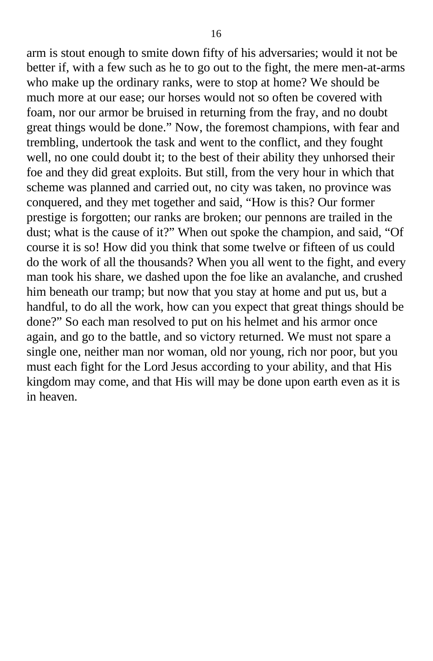arm is stout enough to smite down fifty of his adversaries; would it not be better if, with a few such as he to go out to the fight, the mere men-at-arms who make up the ordinary ranks, were to stop at home? We should be much more at our ease; our horses would not so often be covered with foam, nor our armor be bruised in returning from the fray, and no doubt great things would be done." Now, the foremost champions, with fear and trembling, undertook the task and went to the conflict, and they fought well, no one could doubt it; to the best of their ability they unhorsed their foe and they did great exploits. But still, from the very hour in which that scheme was planned and carried out, no city was taken, no province was conquered, and they met together and said, "How is this? Our former prestige is forgotten; our ranks are broken; our pennons are trailed in the dust; what is the cause of it?" When out spoke the champion, and said, "Of course it is so! How did you think that some twelve or fifteen of us could do the work of all the thousands? When you all went to the fight, and every man took his share, we dashed upon the foe like an avalanche, and crushed him beneath our tramp; but now that you stay at home and put us, but a handful, to do all the work, how can you expect that great things should be done?" So each man resolved to put on his helmet and his armor once again, and go to the battle, and so victory returned. We must not spare a single one, neither man nor woman, old nor young, rich nor poor, but you must each fight for the Lord Jesus according to your ability, and that His kingdom may come, and that His will may be done upon earth even as it is in heaven.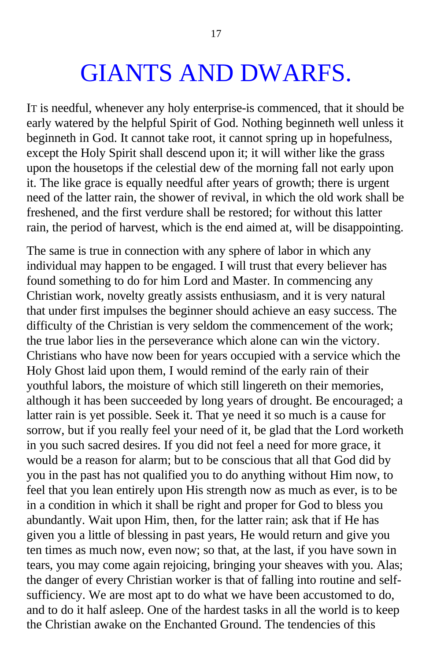### GIANTS AND DWARFS.

IT is needful, whenever any holy enterprise-is commenced, that it should be early watered by the helpful Spirit of God. Nothing beginneth well unless it beginneth in God. It cannot take root, it cannot spring up in hopefulness, except the Holy Spirit shall descend upon it; it will wither like the grass upon the housetops if the celestial dew of the morning fall not early upon it. The like grace is equally needful after years of growth; there is urgent need of the latter rain, the shower of revival, in which the old work shall be freshened, and the first verdure shall be restored; for without this latter rain, the period of harvest, which is the end aimed at, will be disappointing.

The same is true in connection with any sphere of labor in which any individual may happen to be engaged. I will trust that every believer has found something to do for him Lord and Master. In commencing any Christian work, novelty greatly assists enthusiasm, and it is very natural that under first impulses the beginner should achieve an easy success. The difficulty of the Christian is very seldom the commencement of the work; the true labor lies in the perseverance which alone can win the victory. Christians who have now been for years occupied with a service which the Holy Ghost laid upon them, I would remind of the early rain of their youthful labors, the moisture of which still lingereth on their memories, although it has been succeeded by long years of drought. Be encouraged; a latter rain is yet possible. Seek it. That ye need it so much is a cause for sorrow, but if you really feel your need of it, be glad that the Lord worketh in you such sacred desires. If you did not feel a need for more grace, it would be a reason for alarm; but to be conscious that all that God did by you in the past has not qualified you to do anything without Him now, to feel that you lean entirely upon His strength now as much as ever, is to be in a condition in which it shall be right and proper for God to bless you abundantly. Wait upon Him, then, for the latter rain; ask that if He has given you a little of blessing in past years, He would return and give you ten times as much now, even now; so that, at the last, if you have sown in tears, you may come again rejoicing, bringing your sheaves with you. Alas; the danger of every Christian worker is that of falling into routine and selfsufficiency. We are most apt to do what we have been accustomed to do, and to do it half asleep. One of the hardest tasks in all the world is to keep the Christian awake on the Enchanted Ground. The tendencies of this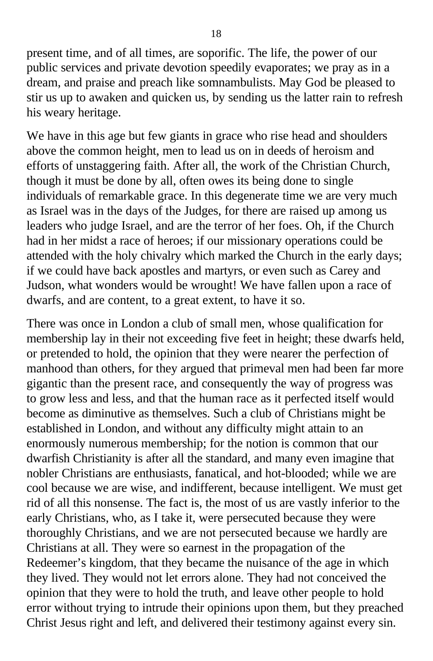present time, and of all times, are soporific. The life, the power of our public services and private devotion speedily evaporates; we pray as in a dream, and praise and preach like somnambulists. May God be pleased to stir us up to awaken and quicken us, by sending us the latter rain to refresh his weary heritage.

We have in this age but few giants in grace who rise head and shoulders above the common height, men to lead us on in deeds of heroism and efforts of unstaggering faith. After all, the work of the Christian Church, though it must be done by all, often owes its being done to single individuals of remarkable grace. In this degenerate time we are very much as Israel was in the days of the Judges, for there are raised up among us leaders who judge Israel, and are the terror of her foes. Oh, if the Church had in her midst a race of heroes; if our missionary operations could be attended with the holy chivalry which marked the Church in the early days; if we could have back apostles and martyrs, or even such as Carey and Judson, what wonders would be wrought! We have fallen upon a race of dwarfs, and are content, to a great extent, to have it so.

There was once in London a club of small men, whose qualification for membership lay in their not exceeding five feet in height; these dwarfs held, or pretended to hold, the opinion that they were nearer the perfection of manhood than others, for they argued that primeval men had been far more gigantic than the present race, and consequently the way of progress was to grow less and less, and that the human race as it perfected itself would become as diminutive as themselves. Such a club of Christians might be established in London, and without any difficulty might attain to an enormously numerous membership; for the notion is common that our dwarfish Christianity is after all the standard, and many even imagine that nobler Christians are enthusiasts, fanatical, and hot-blooded; while we are cool because we are wise, and indifferent, because intelligent. We must get rid of all this nonsense. The fact is, the most of us are vastly inferior to the early Christians, who, as I take it, were persecuted because they were thoroughly Christians, and we are not persecuted because we hardly are Christians at all. They were so earnest in the propagation of the Redeemer's kingdom, that they became the nuisance of the age in which they lived. They would not let errors alone. They had not conceived the opinion that they were to hold the truth, and leave other people to hold error without trying to intrude their opinions upon them, but they preached Christ Jesus right and left, and delivered their testimony against every sin.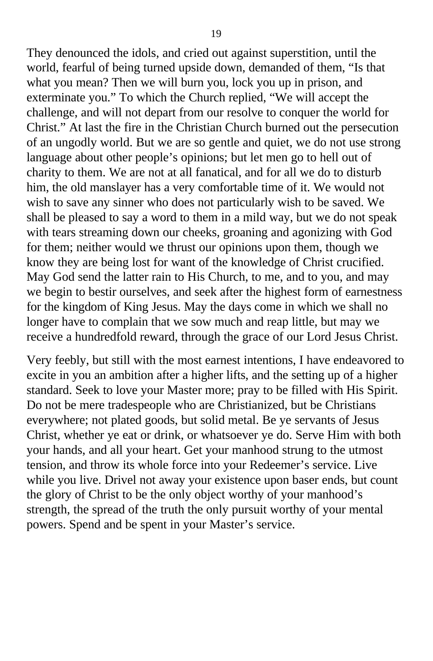They denounced the idols, and cried out against superstition, until the world, fearful of being turned upside down, demanded of them, "Is that what you mean? Then we will burn you, lock you up in prison, and exterminate you." To which the Church replied, "We will accept the challenge, and will not depart from our resolve to conquer the world for Christ." At last the fire in the Christian Church burned out the persecution of an ungodly world. But we are so gentle and quiet, we do not use strong language about other people's opinions; but let men go to hell out of charity to them. We are not at all fanatical, and for all we do to disturb him, the old manslayer has a very comfortable time of it. We would not wish to save any sinner who does not particularly wish to be saved. We shall be pleased to say a word to them in a mild way, but we do not speak with tears streaming down our cheeks, groaning and agonizing with God for them; neither would we thrust our opinions upon them, though we know they are being lost for want of the knowledge of Christ crucified. May God send the latter rain to His Church, to me, and to you, and may we begin to bestir ourselves, and seek after the highest form of earnestness for the kingdom of King Jesus. May the days come in which we shall no longer have to complain that we sow much and reap little, but may we receive a hundredfold reward, through the grace of our Lord Jesus Christ.

Very feebly, but still with the most earnest intentions, I have endeavored to excite in you an ambition after a higher lifts, and the setting up of a higher standard. Seek to love your Master more; pray to be filled with His Spirit. Do not be mere tradespeople who are Christianized, but be Christians everywhere; not plated goods, but solid metal. Be ye servants of Jesus Christ, whether ye eat or drink, or whatsoever ye do. Serve Him with both your hands, and all your heart. Get your manhood strung to the utmost tension, and throw its whole force into your Redeemer's service. Live while you live. Drivel not away your existence upon baser ends, but count the glory of Christ to be the only object worthy of your manhood's strength, the spread of the truth the only pursuit worthy of your mental powers. Spend and be spent in your Master's service.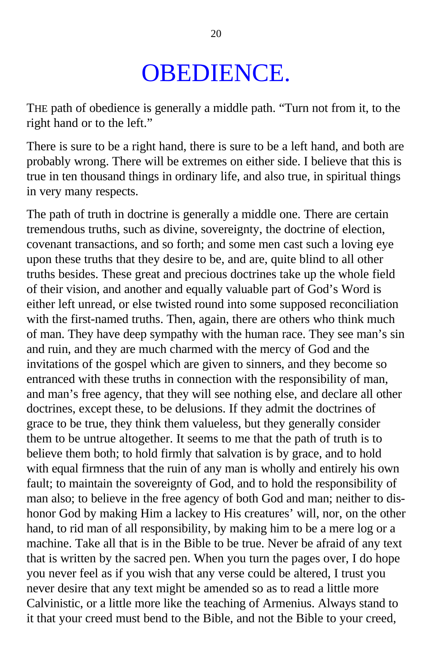### OBEDIENCE.

THE path of obedience is generally a middle path. "Turn not from it, to the right hand or to the left."

There is sure to be a right hand, there is sure to be a left hand, and both are probably wrong. There will be extremes on either side. I believe that this is true in ten thousand things in ordinary life, and also true, in spiritual things in very many respects.

The path of truth in doctrine is generally a middle one. There are certain tremendous truths, such as divine, sovereignty, the doctrine of election, covenant transactions, and so forth; and some men cast such a loving eye upon these truths that they desire to be, and are, quite blind to all other truths besides. These great and precious doctrines take up the whole field of their vision, and another and equally valuable part of God's Word is either left unread, or else twisted round into some supposed reconciliation with the first-named truths. Then, again, there are others who think much of man. They have deep sympathy with the human race. They see man's sin and ruin, and they are much charmed with the mercy of God and the invitations of the gospel which are given to sinners, and they become so entranced with these truths in connection with the responsibility of man, and man's free agency, that they will see nothing else, and declare all other doctrines, except these, to be delusions. If they admit the doctrines of grace to be true, they think them valueless, but they generally consider them to be untrue altogether. It seems to me that the path of truth is to believe them both; to hold firmly that salvation is by grace, and to hold with equal firmness that the ruin of any man is wholly and entirely his own fault; to maintain the sovereignty of God, and to hold the responsibility of man also; to believe in the free agency of both God and man; neither to dishonor God by making Him a lackey to His creatures' will, nor, on the other hand, to rid man of all responsibility, by making him to be a mere log or a machine. Take all that is in the Bible to be true. Never be afraid of any text that is written by the sacred pen. When you turn the pages over, I do hope you never feel as if you wish that any verse could be altered, I trust you never desire that any text might be amended so as to read a little more Calvinistic, or a little more like the teaching of Armenius. Always stand to it that your creed must bend to the Bible, and not the Bible to your creed,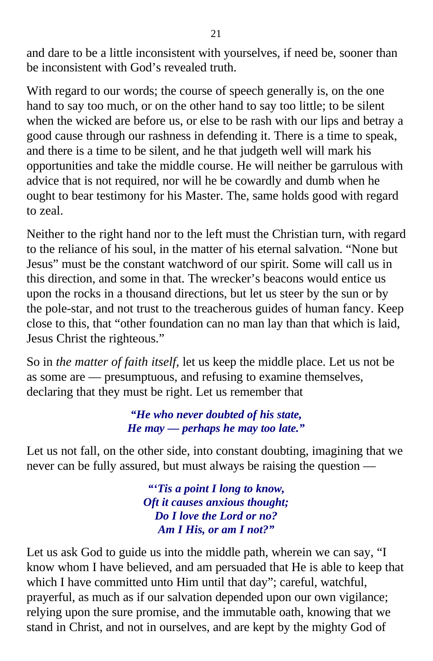and dare to be a little inconsistent with yourselves, if need be, sooner than be inconsistent with God's revealed truth.

With regard to our words; the course of speech generally is, on the one hand to say too much, or on the other hand to say too little; to be silent when the wicked are before us, or else to be rash with our lips and betray a good cause through our rashness in defending it. There is a time to speak, and there is a time to be silent, and he that judgeth well will mark his opportunities and take the middle course. He will neither be garrulous with advice that is not required, nor will he be cowardly and dumb when he ought to bear testimony for his Master. The, same holds good with regard to zeal.

Neither to the right hand nor to the left must the Christian turn, with regard to the reliance of his soul, in the matter of his eternal salvation. "None but Jesus" must be the constant watchword of our spirit. Some will call us in this direction, and some in that. The wrecker's beacons would entice us upon the rocks in a thousand directions, but let us steer by the sun or by the pole-star, and not trust to the treacherous guides of human fancy. Keep close to this, that "other foundation can no man lay than that which is laid, Jesus Christ the righteous."

So in *the matter of faith itself,* let us keep the middle place. Let us not be as some are — presumptuous, and refusing to examine themselves, declaring that they must be right. Let us remember that

> *"He who never doubted of his state, He may — perhaps he may too late."*

Let us not fall, on the other side, into constant doubting, imagining that we never can be fully assured, but must always be raising the question —

> *"'Tis a point I long to know, Oft it causes anxious thought; Do I love the Lord or no? Am I His, or am I not?"*

Let us ask God to guide us into the middle path, wherein we can say, "I know whom I have believed, and am persuaded that He is able to keep that which I have committed unto Him until that day"; careful, watchful, prayerful, as much as if our salvation depended upon our own vigilance; relying upon the sure promise, and the immutable oath, knowing that we stand in Christ, and not in ourselves, and are kept by the mighty God of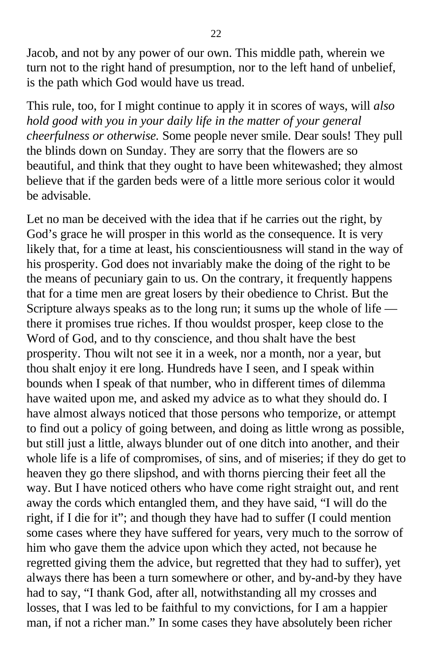Jacob, and not by any power of our own. This middle path, wherein we turn not to the right hand of presumption, nor to the left hand of unbelief, is the path which God would have us tread.

This rule, too, for I might continue to apply it in scores of ways, will *also hold good with you in your daily life in the matter of your general cheerfulness or otherwise.* Some people never smile. Dear souls! They pull the blinds down on Sunday. They are sorry that the flowers are so beautiful, and think that they ought to have been whitewashed; they almost believe that if the garden beds were of a little more serious color it would be advisable.

Let no man be deceived with the idea that if he carries out the right, by God's grace he will prosper in this world as the consequence. It is very likely that, for a time at least, his conscientiousness will stand in the way of his prosperity. God does not invariably make the doing of the right to be the means of pecuniary gain to us. On the contrary, it frequently happens that for a time men are great losers by their obedience to Christ. But the Scripture always speaks as to the long run; it sums up the whole of life there it promises true riches. If thou wouldst prosper, keep close to the Word of God, and to thy conscience, and thou shalt have the best prosperity. Thou wilt not see it in a week, nor a month, nor a year, but thou shalt enjoy it ere long. Hundreds have I seen, and I speak within bounds when I speak of that number, who in different times of dilemma have waited upon me, and asked my advice as to what they should do. I have almost always noticed that those persons who temporize, or attempt to find out a policy of going between, and doing as little wrong as possible, but still just a little, always blunder out of one ditch into another, and their whole life is a life of compromises, of sins, and of miseries; if they do get to heaven they go there slipshod, and with thorns piercing their feet all the way. But I have noticed others who have come right straight out, and rent away the cords which entangled them, and they have said, "I will do the right, if I die for it"; and though they have had to suffer (I could mention some cases where they have suffered for years, very much to the sorrow of him who gave them the advice upon which they acted, not because he regretted giving them the advice, but regretted that they had to suffer), yet always there has been a turn somewhere or other, and by-and-by they have had to say, "I thank God, after all, notwithstanding all my crosses and losses, that I was led to be faithful to my convictions, for I am a happier man, if not a richer man." In some cases they have absolutely been richer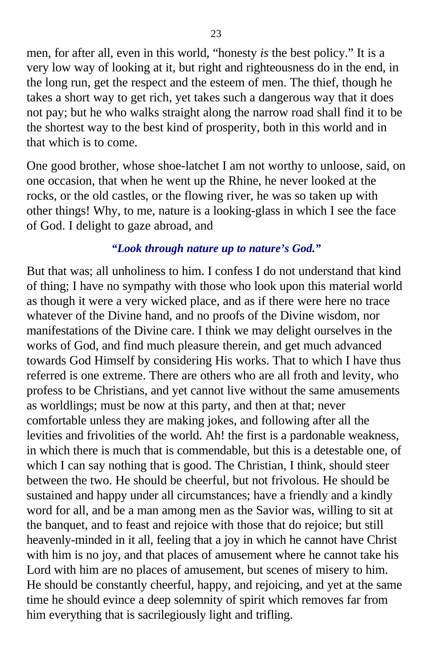men, for after all, even in this world, "honesty *is* the best policy." It is a very low way of looking at it, but right and righteousness do in the end, in the long run, get the respect and the esteem of men. The thief, though he takes a short way to get rich, yet takes such a dangerous way that it does not pay; but he who walks straight along the narrow road shall find it to be the shortest way to the best kind of prosperity, both in this world and in that which is to come.

One good brother, whose shoe-latchet I am not worthy to unloose, said, on one occasion, that when he went up the Rhine, he never looked at the rocks, or the old castles, or the flowing river, he was so taken up with other things! Why, to me, nature is a looking-glass in which I see the face of God. I delight to gaze abroad, and

#### *"Look through nature up to nature's God."*

But that was; all unholiness to him. I confess I do not understand that kind of thing; I have no sympathy with those who look upon this material world as though it were a very wicked place, and as if there were here no trace whatever of the Divine hand, and no proofs of the Divine wisdom, nor manifestations of the Divine care. I think we may delight ourselves in the works of God, and find much pleasure therein, and get much advanced towards God Himself by considering His works. That to which I have thus referred is one extreme. There are others who are all froth and levity, who profess to be Christians, and yet cannot live without the same amusements as worldlings; must be now at this party, and then at that; never comfortable unless they are making jokes, and following after all the levities and frivolities of the world. Ah! the first is a pardonable weakness, in which there is much that is commendable, but this is a detestable one, of which I can say nothing that is good. The Christian, I think, should steer between the two. He should be cheerful, but not frivolous. He should be sustained and happy under all circumstances; have a friendly and a kindly word for all, and be a man among men as the Savior was, willing to sit at the banquet, and to feast and rejoice with those that do rejoice; but still heavenly-minded in it all, feeling that a joy in which he cannot have Christ with him is no joy, and that places of amusement where he cannot take his Lord with him are no places of amusement, but scenes of misery to him. He should be constantly cheerful, happy, and rejoicing, and yet at the same time he should evince a deep solemnity of spirit which removes far from him everything that is sacrilegiously light and trifling.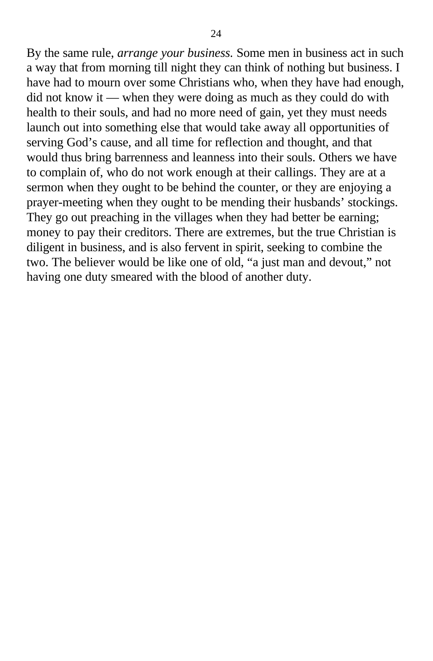By the same rule, *arrange your business.* Some men in business act in such a way that from morning till night they can think of nothing but business. I have had to mourn over some Christians who, when they have had enough, did not know it — when they were doing as much as they could do with health to their souls, and had no more need of gain, yet they must needs launch out into something else that would take away all opportunities of serving God's cause, and all time for reflection and thought, and that would thus bring barrenness and leanness into their souls. Others we have to complain of, who do not work enough at their callings. They are at a sermon when they ought to be behind the counter, or they are enjoying a prayer-meeting when they ought to be mending their husbands' stockings. They go out preaching in the villages when they had better be earning; money to pay their creditors. There are extremes, but the true Christian is diligent in business, and is also fervent in spirit, seeking to combine the two. The believer would be like one of old, "a just man and devout," not having one duty smeared with the blood of another duty.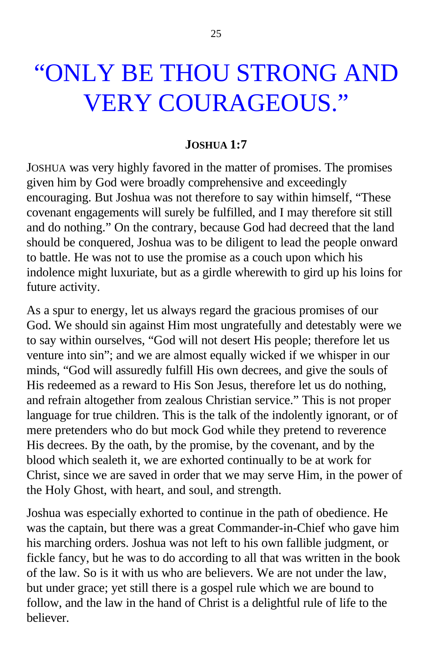# "ONLY BE THOU STRONG AND VERY COURAGEOUS."

#### **JOSHUA 1:7**

JOSHUA was very highly favored in the matter of promises. The promises given him by God were broadly comprehensive and exceedingly encouraging. But Joshua was not therefore to say within himself, "These covenant engagements will surely be fulfilled, and I may therefore sit still and do nothing." On the contrary, because God had decreed that the land should be conquered, Joshua was to be diligent to lead the people onward to battle. He was not to use the promise as a couch upon which his indolence might luxuriate, but as a girdle wherewith to gird up his loins for future activity.

As a spur to energy, let us always regard the gracious promises of our God. We should sin against Him most ungratefully and detestably were we to say within ourselves, "God will not desert His people; therefore let us venture into sin"; and we are almost equally wicked if we whisper in our minds, "God will assuredly fulfill His own decrees, and give the souls of His redeemed as a reward to His Son Jesus, therefore let us do nothing, and refrain altogether from zealous Christian service." This is not proper language for true children. This is the talk of the indolently ignorant, or of mere pretenders who do but mock God while they pretend to reverence His decrees. By the oath, by the promise, by the covenant, and by the blood which sealeth it, we are exhorted continually to be at work for Christ, since we are saved in order that we may serve Him, in the power of the Holy Ghost, with heart, and soul, and strength.

Joshua was especially exhorted to continue in the path of obedience. He was the captain, but there was a great Commander-in-Chief who gave him his marching orders. Joshua was not left to his own fallible judgment, or fickle fancy, but he was to do according to all that was written in the book of the law. So is it with us who are believers. We are not under the law, but under grace; yet still there is a gospel rule which we are bound to follow, and the law in the hand of Christ is a delightful rule of life to the believer.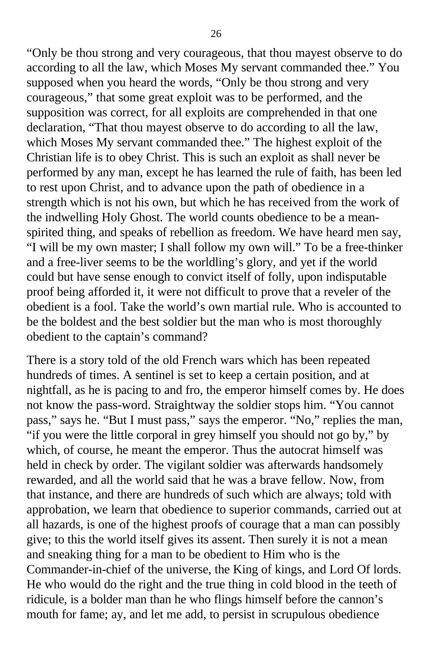"Only be thou strong and very courageous, that thou mayest observe to do according to all the law, which Moses My servant commanded thee." You supposed when you heard the words, "Only be thou strong and very courageous," that some great exploit was to be performed, and the supposition was correct, for all exploits are comprehended in that one declaration, "That thou mayest observe to do according to all the law, which Moses My servant commanded thee." The highest exploit of the Christian life is to obey Christ. This is such an exploit as shall never be performed by any man, except he has learned the rule of faith, has been led to rest upon Christ, and to advance upon the path of obedience in a strength which is not his own, but which he has received from the work of the indwelling Holy Ghost. The world counts obedience to be a meanspirited thing, and speaks of rebellion as freedom. We have heard men say, "I will be my own master; I shall follow my own will." To be a free-thinker and a free-liver seems to be the worldling's glory, and yet if the world could but have sense enough to convict itself of folly, upon indisputable proof being afforded it, it were not difficult to prove that a reveler of the obedient is a fool. Take the world's own martial rule. Who is accounted to be the boldest and the best soldier but the man who is most thoroughly obedient to the captain's command?

There is a story told of the old French wars which has been repeated hundreds of times. A sentinel is set to keep a certain position, and at nightfall, as he is pacing to and fro, the emperor himself comes by. He does not know the pass-word. Straightway the soldier stops him. "You cannot pass," says he. "But I must pass," says the emperor. "No," replies the man, "if you were the little corporal in grey himself you should not go by," by which, of course, he meant the emperor. Thus the autocrat himself was held in check by order. The vigilant soldier was afterwards handsomely rewarded, and all the world said that he was a brave fellow. Now, from that instance, and there are hundreds of such which are always; told with approbation, we learn that obedience to superior commands, carried out at all hazards, is one of the highest proofs of courage that a man can possibly give; to this the world itself gives its assent. Then surely it is not a mean and sneaking thing for a man to be obedient to Him who is the Commander-in-chief of the universe, the King of kings, and Lord Of lords. He who would do the right and the true thing in cold blood in the teeth of ridicule, is a bolder man than he who flings himself before the cannon's mouth for fame; ay, and let me add, to persist in scrupulous obedience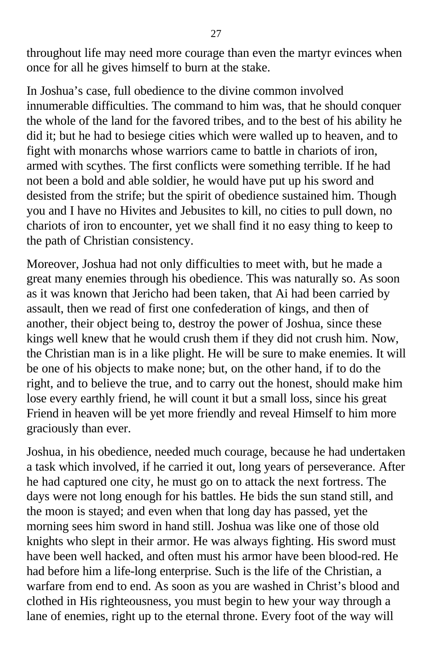throughout life may need more courage than even the martyr evinces when once for all he gives himself to burn at the stake.

In Joshua's case, full obedience to the divine common involved innumerable difficulties. The command to him was, that he should conquer the whole of the land for the favored tribes, and to the best of his ability he did it; but he had to besiege cities which were walled up to heaven, and to fight with monarchs whose warriors came to battle in chariots of iron, armed with scythes. The first conflicts were something terrible. If he had not been a bold and able soldier, he would have put up his sword and desisted from the strife; but the spirit of obedience sustained him. Though you and I have no Hivites and Jebusites to kill, no cities to pull down, no chariots of iron to encounter, yet we shall find it no easy thing to keep to the path of Christian consistency.

Moreover, Joshua had not only difficulties to meet with, but he made a great many enemies through his obedience. This was naturally so. As soon as it was known that Jericho had been taken, that Ai had been carried by assault, then we read of first one confederation of kings, and then of another, their object being to, destroy the power of Joshua, since these kings well knew that he would crush them if they did not crush him. Now, the Christian man is in a like plight. He will be sure to make enemies. It will be one of his objects to make none; but, on the other hand, if to do the right, and to believe the true, and to carry out the honest, should make him lose every earthly friend, he will count it but a small loss, since his great Friend in heaven will be yet more friendly and reveal Himself to him more graciously than ever.

Joshua, in his obedience, needed much courage, because he had undertaken a task which involved, if he carried it out, long years of perseverance. After he had captured one city, he must go on to attack the next fortress. The days were not long enough for his battles. He bids the sun stand still, and the moon is stayed; and even when that long day has passed, yet the morning sees him sword in hand still. Joshua was like one of those old knights who slept in their armor. He was always fighting. His sword must have been well hacked, and often must his armor have been blood-red. He had before him a life-long enterprise. Such is the life of the Christian, a warfare from end to end. As soon as you are washed in Christ's blood and clothed in His righteousness, you must begin to hew your way through a lane of enemies, right up to the eternal throne. Every foot of the way will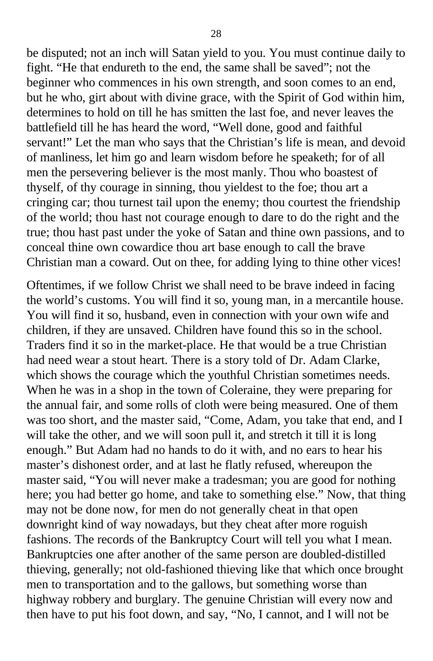be disputed; not an inch will Satan yield to you. You must continue daily to fight. "He that endureth to the end, the same shall be saved"; not the beginner who commences in his own strength, and soon comes to an end, but he who, girt about with divine grace, with the Spirit of God within him, determines to hold on till he has smitten the last foe, and never leaves the battlefield till he has heard the word, "Well done, good and faithful servant!" Let the man who says that the Christian's life is mean, and devoid of manliness, let him go and learn wisdom before he speaketh; for of all men the persevering believer is the most manly. Thou who boastest of thyself, of thy courage in sinning, thou yieldest to the foe; thou art a cringing car; thou turnest tail upon the enemy; thou courtest the friendship of the world; thou hast not courage enough to dare to do the right and the true; thou hast past under the yoke of Satan and thine own passions, and to conceal thine own cowardice thou art base enough to call the brave Christian man a coward. Out on thee, for adding lying to thine other vices!

Oftentimes, if we follow Christ we shall need to be brave indeed in facing the world's customs. You will find it so, young man, in a mercantile house. You will find it so, husband, even in connection with your own wife and children, if they are unsaved. Children have found this so in the school. Traders find it so in the market-place. He that would be a true Christian had need wear a stout heart. There is a story told of Dr. Adam Clarke, which shows the courage which the youthful Christian sometimes needs. When he was in a shop in the town of Coleraine, they were preparing for the annual fair, and some rolls of cloth were being measured. One of them was too short, and the master said, "Come, Adam, you take that end, and I will take the other, and we will soon pull it, and stretch it till it is long enough." But Adam had no hands to do it with, and no ears to hear his master's dishonest order, and at last he flatly refused, whereupon the master said, "You will never make a tradesman; you are good for nothing here; you had better go home, and take to something else." Now, that thing may not be done now, for men do not generally cheat in that open downright kind of way nowadays, but they cheat after more roguish fashions. The records of the Bankruptcy Court will tell you what I mean. Bankruptcies one after another of the same person are doubled-distilled thieving, generally; not old-fashioned thieving like that which once brought men to transportation and to the gallows, but something worse than highway robbery and burglary. The genuine Christian will every now and then have to put his foot down, and say, "No, I cannot, and I will not be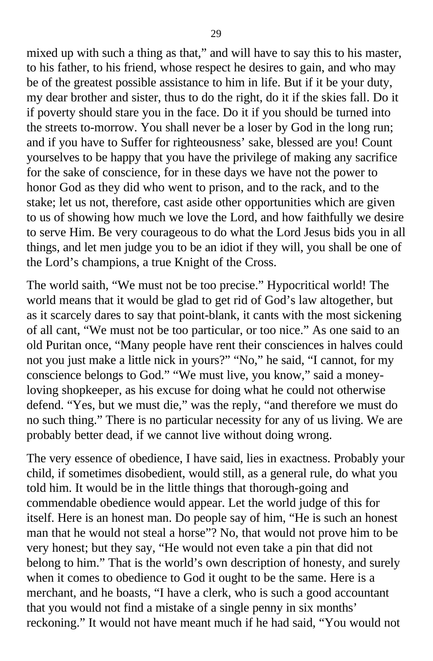mixed up with such a thing as that," and will have to say this to his master, to his father, to his friend, whose respect he desires to gain, and who may be of the greatest possible assistance to him in life. But if it be your duty, my dear brother and sister, thus to do the right, do it if the skies fall. Do it if poverty should stare you in the face. Do it if you should be turned into the streets to-morrow. You shall never be a loser by God in the long run; and if you have to Suffer for righteousness' sake, blessed are you! Count yourselves to be happy that you have the privilege of making any sacrifice for the sake of conscience, for in these days we have not the power to honor God as they did who went to prison, and to the rack, and to the stake; let us not, therefore, cast aside other opportunities which are given to us of showing how much we love the Lord, and how faithfully we desire to serve Him. Be very courageous to do what the Lord Jesus bids you in all things, and let men judge you to be an idiot if they will, you shall be one of the Lord's champions, a true Knight of the Cross.

The world saith, "We must not be too precise." Hypocritical world! The world means that it would be glad to get rid of God's law altogether, but as it scarcely dares to say that point-blank, it cants with the most sickening of all cant, "We must not be too particular, or too nice." As one said to an old Puritan once, "Many people have rent their consciences in halves could not you just make a little nick in yours?" "No," he said, "I cannot, for my conscience belongs to God." "We must live, you know," said a moneyloving shopkeeper, as his excuse for doing what he could not otherwise defend. "Yes, but we must die," was the reply, "and therefore we must do no such thing." There is no particular necessity for any of us living. We are probably better dead, if we cannot live without doing wrong.

The very essence of obedience, I have said, lies in exactness. Probably your child, if sometimes disobedient, would still, as a general rule, do what you told him. It would be in the little things that thorough-going and commendable obedience would appear. Let the world judge of this for itself. Here is an honest man. Do people say of him, "He is such an honest man that he would not steal a horse"? No, that would not prove him to be very honest; but they say, "He would not even take a pin that did not belong to him." That is the world's own description of honesty, and surely when it comes to obedience to God it ought to be the same. Here is a merchant, and he boasts, "I have a clerk, who is such a good accountant that you would not find a mistake of a single penny in six months' reckoning." It would not have meant much if he had said, "You would not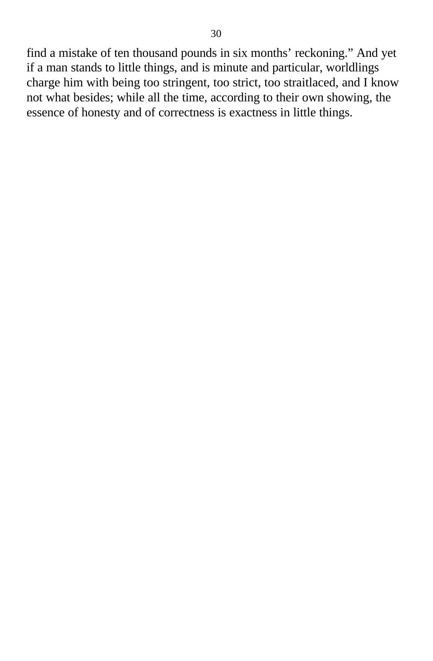find a mistake of ten thousand pounds in six months' reckoning." And yet if a man stands to little things, and is minute and particular, worldlings charge him with being too stringent, too strict, too straitlaced, and I know not what besides; while all the time, according to their own showing, the essence of honesty and of correctness is exactness in little things.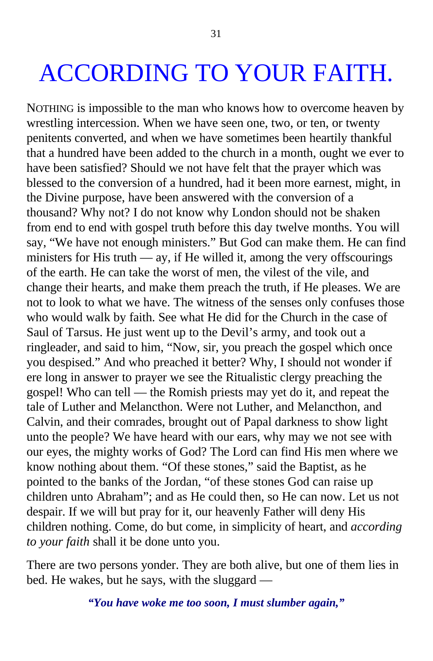# ACCORDING TO YOUR FAITH.

NOTHING is impossible to the man who knows how to overcome heaven by wrestling intercession. When we have seen one, two, or ten, or twenty penitents converted, and when we have sometimes been heartily thankful that a hundred have been added to the church in a month, ought we ever to have been satisfied? Should we not have felt that the prayer which was blessed to the conversion of a hundred, had it been more earnest, might, in the Divine purpose, have been answered with the conversion of a thousand? Why not? I do not know why London should not be shaken from end to end with gospel truth before this day twelve months. You will say, "We have not enough ministers." But God can make them. He can find ministers for His truth  $\frac{dy}{dx}$  and  $\frac{dy}{dx}$  are willed it, among the very offscourings of the earth. He can take the worst of men, the vilest of the vile, and change their hearts, and make them preach the truth, if He pleases. We are not to look to what we have. The witness of the senses only confuses those who would walk by faith. See what He did for the Church in the case of Saul of Tarsus. He just went up to the Devil's army, and took out a ringleader, and said to him, "Now, sir, you preach the gospel which once you despised." And who preached it better? Why, I should not wonder if ere long in answer to prayer we see the Ritualistic clergy preaching the gospel! Who can tell — the Romish priests may yet do it, and repeat the tale of Luther and Melancthon. Were not Luther, and Melancthon, and Calvin, and their comrades, brought out of Papal darkness to show light unto the people? We have heard with our ears, why may we not see with our eyes, the mighty works of God? The Lord can find His men where we know nothing about them. "Of these stones," said the Baptist, as he pointed to the banks of the Jordan, "of these stones God can raise up children unto Abraham"; and as He could then, so He can now. Let us not despair. If we will but pray for it, our heavenly Father will deny His children nothing. Come, do but come, in simplicity of heart, and *according to your faith* shall it be done unto you.

There are two persons yonder. They are both alive, but one of them lies in bed. He wakes, but he says, with the sluggard —

*"You have woke me too soon, I must slumber again,"*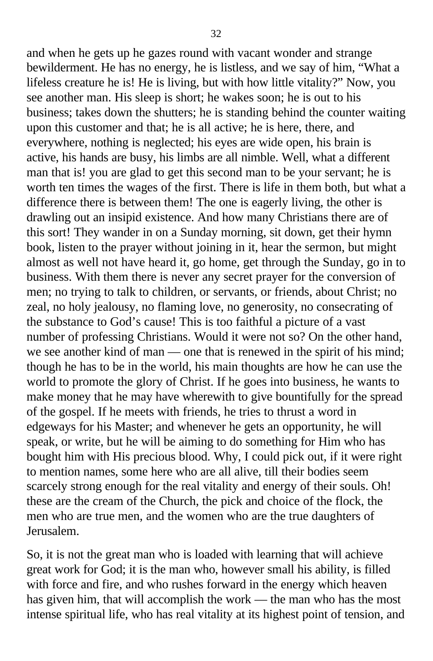and when he gets up he gazes round with vacant wonder and strange bewilderment. He has no energy, he is listless, and we say of him, "What a lifeless creature he is! He is living, but with how little vitality?" Now, you see another man. His sleep is short; he wakes soon; he is out to his business; takes down the shutters; he is standing behind the counter waiting upon this customer and that; he is all active; he is here, there, and everywhere, nothing is neglected; his eyes are wide open, his brain is active, his hands are busy, his limbs are all nimble. Well, what a different man that is! you are glad to get this second man to be your servant; he is worth ten times the wages of the first. There is life in them both, but what a difference there is between them! The one is eagerly living, the other is drawling out an insipid existence. And how many Christians there are of this sort! They wander in on a Sunday morning, sit down, get their hymn book, listen to the prayer without joining in it, hear the sermon, but might almost as well not have heard it, go home, get through the Sunday, go in to business. With them there is never any secret prayer for the conversion of men; no trying to talk to children, or servants, or friends, about Christ; no zeal, no holy jealousy, no flaming love, no generosity, no consecrating of the substance to God's cause! This is too faithful a picture of a vast number of professing Christians. Would it were not so? On the other hand, we see another kind of man — one that is renewed in the spirit of his mind; though he has to be in the world, his main thoughts are how he can use the world to promote the glory of Christ. If he goes into business, he wants to make money that he may have wherewith to give bountifully for the spread of the gospel. If he meets with friends, he tries to thrust a word in edgeways for his Master; and whenever he gets an opportunity, he will speak, or write, but he will be aiming to do something for Him who has bought him with His precious blood. Why, I could pick out, if it were right to mention names, some here who are all alive, till their bodies seem scarcely strong enough for the real vitality and energy of their souls. Oh! these are the cream of the Church, the pick and choice of the flock, the men who are true men, and the women who are the true daughters of Jerusalem.

So, it is not the great man who is loaded with learning that will achieve great work for God; it is the man who, however small his ability, is filled with force and fire, and who rushes forward in the energy which heaven has given him, that will accomplish the work — the man who has the most intense spiritual life, who has real vitality at its highest point of tension, and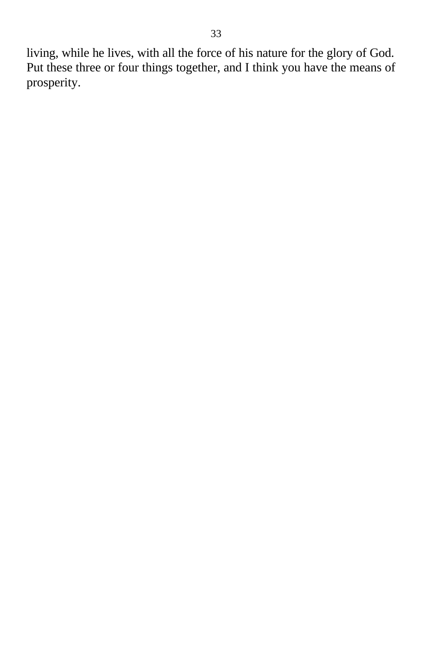living, while he lives, with all the force of his nature for the glory of God. Put these three or four things together, and I think you have the means of prosperity.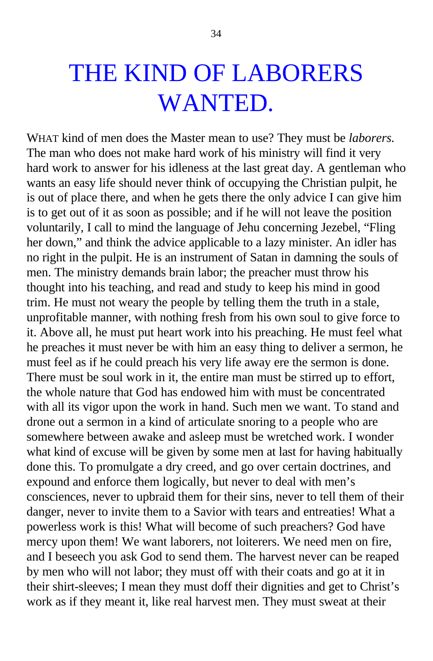# THE KIND OF LABORERS WANTED.

WHAT kind of men does the Master mean to use? They must be *laborers.* The man who does not make hard work of his ministry will find it very hard work to answer for his idleness at the last great day. A gentleman who wants an easy life should never think of occupying the Christian pulpit, he is out of place there, and when he gets there the only advice I can give him is to get out of it as soon as possible; and if he will not leave the position voluntarily, I call to mind the language of Jehu concerning Jezebel, "Fling her down," and think the advice applicable to a lazy minister. An idler has no right in the pulpit. He is an instrument of Satan in damning the souls of men. The ministry demands brain labor; the preacher must throw his thought into his teaching, and read and study to keep his mind in good trim. He must not weary the people by telling them the truth in a stale, unprofitable manner, with nothing fresh from his own soul to give force to it. Above all, he must put heart work into his preaching. He must feel what he preaches it must never be with him an easy thing to deliver a sermon, he must feel as if he could preach his very life away ere the sermon is done. There must be soul work in it, the entire man must be stirred up to effort, the whole nature that God has endowed him with must be concentrated with all its vigor upon the work in hand. Such men we want. To stand and drone out a sermon in a kind of articulate snoring to a people who are somewhere between awake and asleep must be wretched work. I wonder what kind of excuse will be given by some men at last for having habitually done this. To promulgate a dry creed, and go over certain doctrines, and expound and enforce them logically, but never to deal with men's consciences, never to upbraid them for their sins, never to tell them of their danger, never to invite them to a Savior with tears and entreaties! What a powerless work is this! What will become of such preachers? God have mercy upon them! We want laborers, not loiterers. We need men on fire, and I beseech you ask God to send them. The harvest never can be reaped by men who will not labor; they must off with their coats and go at it in their shirt-sleeves; I mean they must doff their dignities and get to Christ's work as if they meant it, like real harvest men. They must sweat at their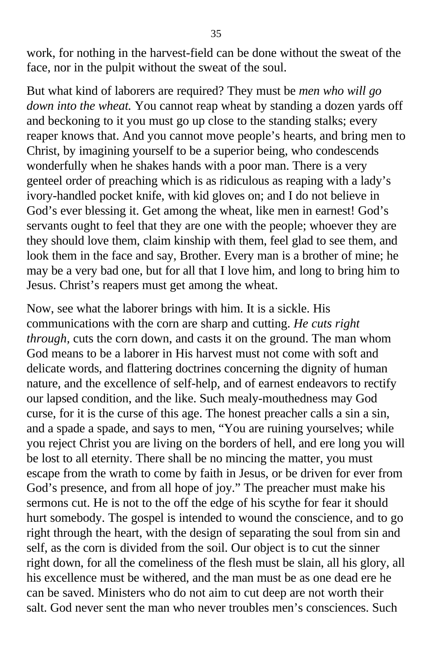work, for nothing in the harvest-field can be done without the sweat of the face, nor in the pulpit without the sweat of the soul.

But what kind of laborers are required? They must be *men who will go down into the wheat.* You cannot reap wheat by standing a dozen yards off and beckoning to it you must go up close to the standing stalks; every reaper knows that. And you cannot move people's hearts, and bring men to Christ, by imagining yourself to be a superior being, who condescends wonderfully when he shakes hands with a poor man. There is a very genteel order of preaching which is as ridiculous as reaping with a lady's ivory-handled pocket knife, with kid gloves on; and I do not believe in God's ever blessing it. Get among the wheat, like men in earnest! God's servants ought to feel that they are one with the people; whoever they are they should love them, claim kinship with them, feel glad to see them, and look them in the face and say, Brother. Every man is a brother of mine; he may be a very bad one, but for all that I love him, and long to bring him to Jesus. Christ's reapers must get among the wheat.

Now, see what the laborer brings with him. It is a sickle. His communications with the corn are sharp and cutting. *He cuts right through,* cuts the corn down, and casts it on the ground. The man whom God means to be a laborer in His harvest must not come with soft and delicate words, and flattering doctrines concerning the dignity of human nature, and the excellence of self-help, and of earnest endeavors to rectify our lapsed condition, and the like. Such mealy-mouthedness may God curse, for it is the curse of this age. The honest preacher calls a sin a sin, and a spade a spade, and says to men, "You are ruining yourselves; while you reject Christ you are living on the borders of hell, and ere long you will be lost to all eternity. There shall be no mincing the matter, you must escape from the wrath to come by faith in Jesus, or be driven for ever from God's presence, and from all hope of joy." The preacher must make his sermons cut. He is not to the off the edge of his scythe for fear it should hurt somebody. The gospel is intended to wound the conscience, and to go right through the heart, with the design of separating the soul from sin and self, as the corn is divided from the soil. Our object is to cut the sinner right down, for all the comeliness of the flesh must be slain, all his glory, all his excellence must be withered, and the man must be as one dead ere he can be saved. Ministers who do not aim to cut deep are not worth their salt. God never sent the man who never troubles men's consciences. Such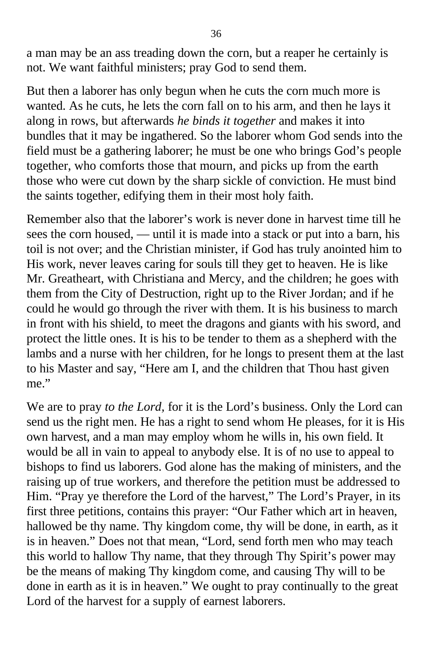a man may be an ass treading down the corn, but a reaper he certainly is not. We want faithful ministers; pray God to send them.

But then a laborer has only begun when he cuts the corn much more is wanted. As he cuts, he lets the corn fall on to his arm, and then he lays it along in rows, but afterwards *he binds it together* and makes it into bundles that it may be ingathered. So the laborer whom God sends into the field must be a gathering laborer; he must be one who brings God's people together, who comforts those that mourn, and picks up from the earth those who were cut down by the sharp sickle of conviction. He must bind the saints together, edifying them in their most holy faith.

Remember also that the laborer's work is never done in harvest time till he sees the corn housed, — until it is made into a stack or put into a barn, his toil is not over; and the Christian minister, if God has truly anointed him to His work, never leaves caring for souls till they get to heaven. He is like Mr. Greatheart, with Christiana and Mercy, and the children; he goes with them from the City of Destruction, right up to the River Jordan; and if he could he would go through the river with them. It is his business to march in front with his shield, to meet the dragons and giants with his sword, and protect the little ones. It is his to be tender to them as a shepherd with the lambs and a nurse with her children, for he longs to present them at the last to his Master and say, "Here am I, and the children that Thou hast given me."

We are to pray *to the Lord,* for it is the Lord's business. Only the Lord can send us the right men. He has a right to send whom He pleases, for it is His own harvest, and a man may employ whom he wills in, his own field. It would be all in vain to appeal to anybody else. It is of no use to appeal to bishops to find us laborers. God alone has the making of ministers, and the raising up of true workers, and therefore the petition must be addressed to Him. "Pray ye therefore the Lord of the harvest," The Lord's Prayer, in its first three petitions, contains this prayer: "Our Father which art in heaven, hallowed be thy name. Thy kingdom come, thy will be done, in earth, as it is in heaven." Does not that mean, "Lord, send forth men who may teach this world to hallow Thy name, that they through Thy Spirit's power may be the means of making Thy kingdom come, and causing Thy will to be done in earth as it is in heaven." We ought to pray continually to the great Lord of the harvest for a supply of earnest laborers.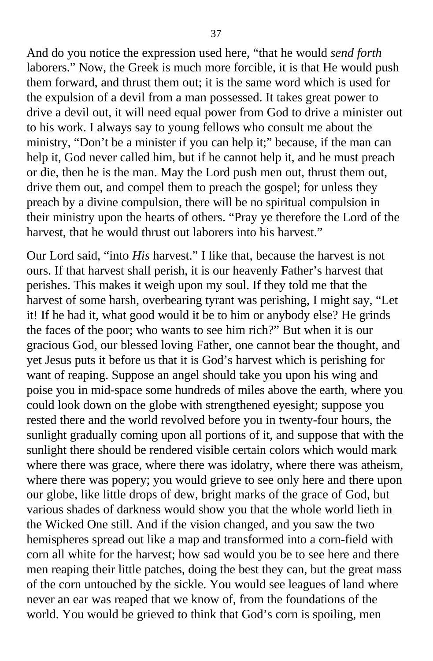And do you notice the expression used here, "that he would *send forth* laborers." Now, the Greek is much more forcible, it is that He would push them forward, and thrust them out; it is the same word which is used for the expulsion of a devil from a man possessed. It takes great power to drive a devil out, it will need equal power from God to drive a minister out to his work. I always say to young fellows who consult me about the ministry, "Don't be a minister if you can help it;" because, if the man can help it, God never called him, but if he cannot help it, and he must preach or die, then he is the man. May the Lord push men out, thrust them out, drive them out, and compel them to preach the gospel; for unless they preach by a divine compulsion, there will be no spiritual compulsion in their ministry upon the hearts of others. "Pray ye therefore the Lord of the harvest, that he would thrust out laborers into his harvest."

Our Lord said, "into *His* harvest." I like that, because the harvest is not ours. If that harvest shall perish, it is our heavenly Father's harvest that perishes. This makes it weigh upon my soul. If they told me that the harvest of some harsh, overbearing tyrant was perishing, I might say, "Let it! If he had it, what good would it be to him or anybody else? He grinds the faces of the poor; who wants to see him rich?" But when it is our gracious God, our blessed loving Father, one cannot bear the thought, and yet Jesus puts it before us that it is God's harvest which is perishing for want of reaping. Suppose an angel should take you upon his wing and poise you in mid-space some hundreds of miles above the earth, where you could look down on the globe with strengthened eyesight; suppose you rested there and the world revolved before you in twenty-four hours, the sunlight gradually coming upon all portions of it, and suppose that with the sunlight there should be rendered visible certain colors which would mark where there was grace, where there was idolatry, where there was atheism, where there was popery; you would grieve to see only here and there upon our globe, like little drops of dew, bright marks of the grace of God, but various shades of darkness would show you that the whole world lieth in the Wicked One still. And if the vision changed, and you saw the two hemispheres spread out like a map and transformed into a corn-field with corn all white for the harvest; how sad would you be to see here and there men reaping their little patches, doing the best they can, but the great mass of the corn untouched by the sickle. You would see leagues of land where never an ear was reaped that we know of, from the foundations of the world. You would be grieved to think that God's corn is spoiling, men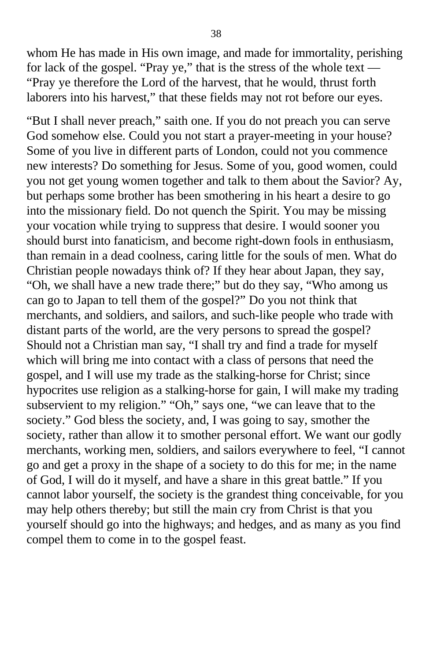whom He has made in His own image, and made for immortality, perishing for lack of the gospel. "Pray ye," that is the stress of the whole text — "Pray ye therefore the Lord of the harvest, that he would, thrust forth laborers into his harvest," that these fields may not rot before our eyes.

"But I shall never preach," saith one. If you do not preach you can serve God somehow else. Could you not start a prayer-meeting in your house? Some of you live in different parts of London, could not you commence new interests? Do something for Jesus. Some of you, good women, could you not get young women together and talk to them about the Savior? Ay, but perhaps some brother has been smothering in his heart a desire to go into the missionary field. Do not quench the Spirit. You may be missing your vocation while trying to suppress that desire. I would sooner you should burst into fanaticism, and become right-down fools in enthusiasm, than remain in a dead coolness, caring little for the souls of men. What do Christian people nowadays think of? If they hear about Japan, they say, "Oh, we shall have a new trade there;" but do they say, "Who among us can go to Japan to tell them of the gospel?" Do you not think that merchants, and soldiers, and sailors, and such-like people who trade with distant parts of the world, are the very persons to spread the gospel? Should not a Christian man say, "I shall try and find a trade for myself which will bring me into contact with a class of persons that need the gospel, and I will use my trade as the stalking-horse for Christ; since hypocrites use religion as a stalking-horse for gain, I will make my trading subservient to my religion." "Oh," says one, "we can leave that to the society." God bless the society, and, I was going to say, smother the society, rather than allow it to smother personal effort. We want our godly merchants, working men, soldiers, and sailors everywhere to feel, "I cannot go and get a proxy in the shape of a society to do this for me; in the name of God, I will do it myself, and have a share in this great battle." If you cannot labor yourself, the society is the grandest thing conceivable, for you may help others thereby; but still the main cry from Christ is that you yourself should go into the highways; and hedges, and as many as you find compel them to come in to the gospel feast.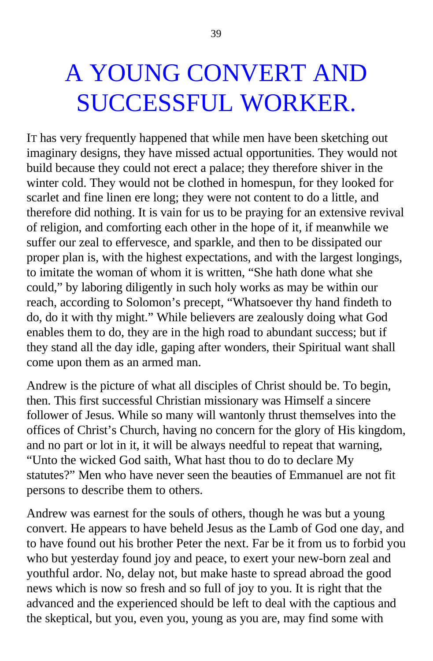# A YOUNG CONVERT AND SUCCESSFUL WORKER.

IT has very frequently happened that while men have been sketching out imaginary designs, they have missed actual opportunities. They would not build because they could not erect a palace; they therefore shiver in the winter cold. They would not be clothed in homespun, for they looked for scarlet and fine linen ere long; they were not content to do a little, and therefore did nothing. It is vain for us to be praying for an extensive revival of religion, and comforting each other in the hope of it, if meanwhile we suffer our zeal to effervesce, and sparkle, and then to be dissipated our proper plan is, with the highest expectations, and with the largest longings, to imitate the woman of whom it is written, "She hath done what she could," by laboring diligently in such holy works as may be within our reach, according to Solomon's precept, "Whatsoever thy hand findeth to do, do it with thy might." While believers are zealously doing what God enables them to do, they are in the high road to abundant success; but if they stand all the day idle, gaping after wonders, their Spiritual want shall come upon them as an armed man.

Andrew is the picture of what all disciples of Christ should be. To begin, then. This first successful Christian missionary was Himself a sincere follower of Jesus. While so many will wantonly thrust themselves into the offices of Christ's Church, having no concern for the glory of His kingdom, and no part or lot in it, it will be always needful to repeat that warning, "Unto the wicked God saith, What hast thou to do to declare My statutes?" Men who have never seen the beauties of Emmanuel are not fit persons to describe them to others.

Andrew was earnest for the souls of others, though he was but a young convert. He appears to have beheld Jesus as the Lamb of God one day, and to have found out his brother Peter the next. Far be it from us to forbid you who but yesterday found joy and peace, to exert your new-born zeal and youthful ardor. No, delay not, but make haste to spread abroad the good news which is now so fresh and so full of joy to you. It is right that the advanced and the experienced should be left to deal with the captious and the skeptical, but you, even you, young as you are, may find some with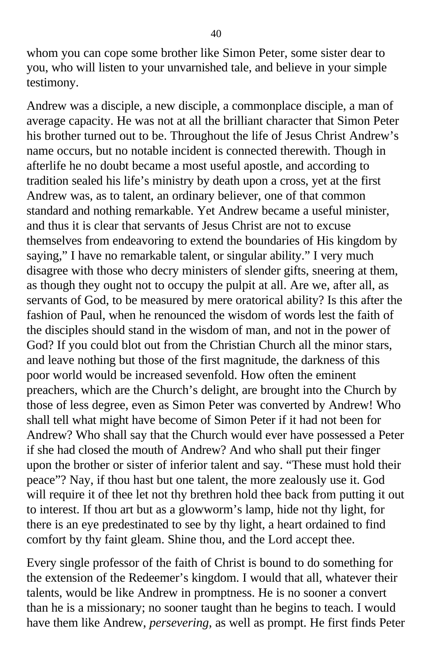whom you can cope some brother like Simon Peter, some sister dear to you, who will listen to your unvarnished tale, and believe in your simple testimony.

Andrew was a disciple, a new disciple, a commonplace disciple, a man of average capacity. He was not at all the brilliant character that Simon Peter his brother turned out to be. Throughout the life of Jesus Christ Andrew's name occurs, but no notable incident is connected therewith. Though in afterlife he no doubt became a most useful apostle, and according to tradition sealed his life's ministry by death upon a cross, yet at the first Andrew was, as to talent, an ordinary believer, one of that common standard and nothing remarkable. Yet Andrew became a useful minister, and thus it is clear that servants of Jesus Christ are not to excuse themselves from endeavoring to extend the boundaries of His kingdom by saying," I have no remarkable talent, or singular ability." I very much disagree with those who decry ministers of slender gifts, sneering at them, as though they ought not to occupy the pulpit at all. Are we, after all, as servants of God, to be measured by mere oratorical ability? Is this after the fashion of Paul, when he renounced the wisdom of words lest the faith of the disciples should stand in the wisdom of man, and not in the power of God? If you could blot out from the Christian Church all the minor stars, and leave nothing but those of the first magnitude, the darkness of this poor world would be increased sevenfold. How often the eminent preachers, which are the Church's delight, are brought into the Church by those of less degree, even as Simon Peter was converted by Andrew! Who shall tell what might have become of Simon Peter if it had not been for Andrew? Who shall say that the Church would ever have possessed a Peter if she had closed the mouth of Andrew? And who shall put their finger upon the brother or sister of inferior talent and say. "These must hold their peace"? Nay, if thou hast but one talent, the more zealously use it. God will require it of thee let not thy brethren hold thee back from putting it out to interest. If thou art but as a glowworm's lamp, hide not thy light, for there is an eye predestinated to see by thy light, a heart ordained to find comfort by thy faint gleam. Shine thou, and the Lord accept thee.

Every single professor of the faith of Christ is bound to do something for the extension of the Redeemer's kingdom. I would that all, whatever their talents, would be like Andrew in promptness. He is no sooner a convert than he is a missionary; no sooner taught than he begins to teach. I would have them like Andrew, *persevering,* as well as prompt. He first finds Peter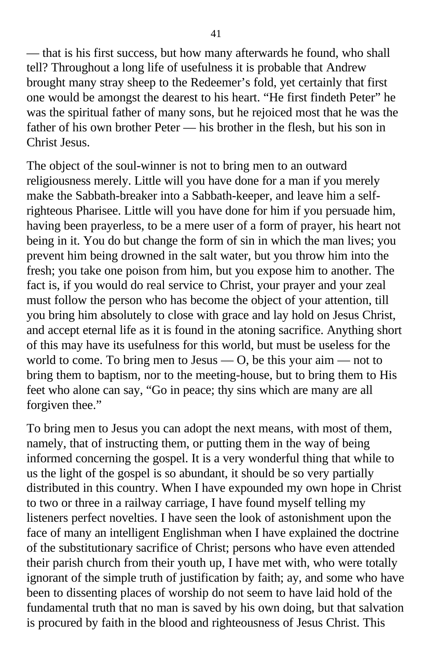— that is his first success, but how many afterwards he found, who shall tell? Throughout a long life of usefulness it is probable that Andrew brought many stray sheep to the Redeemer's fold, yet certainly that first one would be amongst the dearest to his heart. "He first findeth Peter" he was the spiritual father of many sons, but he rejoiced most that he was the father of his own brother Peter — his brother in the flesh, but his son in Christ Jesus.

The object of the soul-winner is not to bring men to an outward religiousness merely. Little will you have done for a man if you merely make the Sabbath-breaker into a Sabbath-keeper, and leave him a selfrighteous Pharisee. Little will you have done for him if you persuade him, having been prayerless, to be a mere user of a form of prayer, his heart not being in it. You do but change the form of sin in which the man lives; you prevent him being drowned in the salt water, but you throw him into the fresh; you take one poison from him, but you expose him to another. The fact is, if you would do real service to Christ, your prayer and your zeal must follow the person who has become the object of your attention, till you bring him absolutely to close with grace and lay hold on Jesus Christ, and accept eternal life as it is found in the atoning sacrifice. Anything short of this may have its usefulness for this world, but must be useless for the world to come. To bring men to Jesus — O, be this your aim — not to bring them to baptism, nor to the meeting-house, but to bring them to His feet who alone can say, "Go in peace; thy sins which are many are all forgiven thee."

To bring men to Jesus you can adopt the next means, with most of them, namely, that of instructing them, or putting them in the way of being informed concerning the gospel. It is a very wonderful thing that while to us the light of the gospel is so abundant, it should be so very partially distributed in this country. When I have expounded my own hope in Christ to two or three in a railway carriage, I have found myself telling my listeners perfect novelties. I have seen the look of astonishment upon the face of many an intelligent Englishman when I have explained the doctrine of the substitutionary sacrifice of Christ; persons who have even attended their parish church from their youth up, I have met with, who were totally ignorant of the simple truth of justification by faith; ay, and some who have been to dissenting places of worship do not seem to have laid hold of the fundamental truth that no man is saved by his own doing, but that salvation is procured by faith in the blood and righteousness of Jesus Christ. This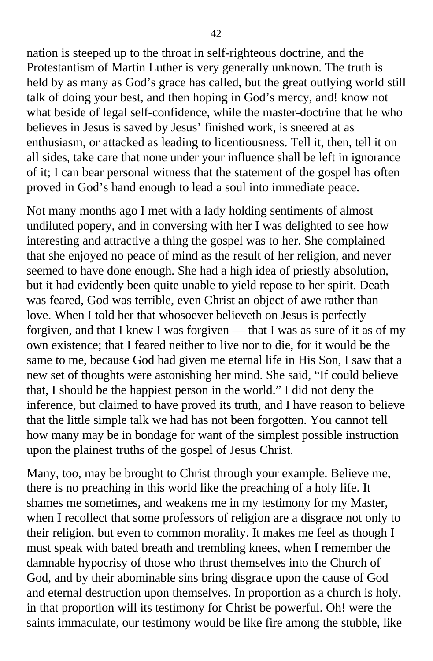nation is steeped up to the throat in self-righteous doctrine, and the Protestantism of Martin Luther is very generally unknown. The truth is held by as many as God's grace has called, but the great outlying world still talk of doing your best, and then hoping in God's mercy, and! know not what beside of legal self-confidence, while the master-doctrine that he who believes in Jesus is saved by Jesus' finished work, is sneered at as enthusiasm, or attacked as leading to licentiousness. Tell it, then, tell it on all sides, take care that none under your influence shall be left in ignorance of it; I can bear personal witness that the statement of the gospel has often proved in God's hand enough to lead a soul into immediate peace.

Not many months ago I met with a lady holding sentiments of almost undiluted popery, and in conversing with her I was delighted to see how interesting and attractive a thing the gospel was to her. She complained that she enjoyed no peace of mind as the result of her religion, and never seemed to have done enough. She had a high idea of priestly absolution, but it had evidently been quite unable to yield repose to her spirit. Death was feared, God was terrible, even Christ an object of awe rather than love. When I told her that whosoever believeth on Jesus is perfectly forgiven, and that I knew I was forgiven — that I was as sure of it as of my own existence; that I feared neither to live nor to die, for it would be the same to me, because God had given me eternal life in His Son, I saw that a new set of thoughts were astonishing her mind. She said, "If could believe that, I should be the happiest person in the world." I did not deny the inference, but claimed to have proved its truth, and I have reason to believe that the little simple talk we had has not been forgotten. You cannot tell how many may be in bondage for want of the simplest possible instruction upon the plainest truths of the gospel of Jesus Christ.

Many, too, may be brought to Christ through your example. Believe me, there is no preaching in this world like the preaching of a holy life. It shames me sometimes, and weakens me in my testimony for my Master, when I recollect that some professors of religion are a disgrace not only to their religion, but even to common morality. It makes me feel as though I must speak with bated breath and trembling knees, when I remember the damnable hypocrisy of those who thrust themselves into the Church of God, and by their abominable sins bring disgrace upon the cause of God and eternal destruction upon themselves. In proportion as a church is holy, in that proportion will its testimony for Christ be powerful. Oh! were the saints immaculate, our testimony would be like fire among the stubble, like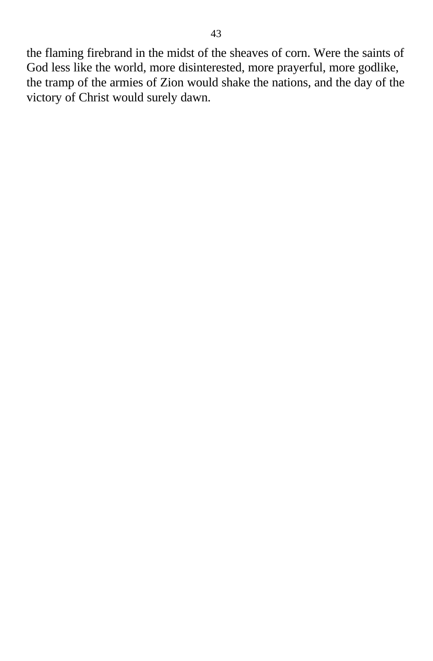the flaming firebrand in the midst of the sheaves of corn. Were the saints of God less like the world, more disinterested, more prayerful, more godlike, the tramp of the armies of Zion would shake the nations, and the day of the victory of Christ would surely dawn.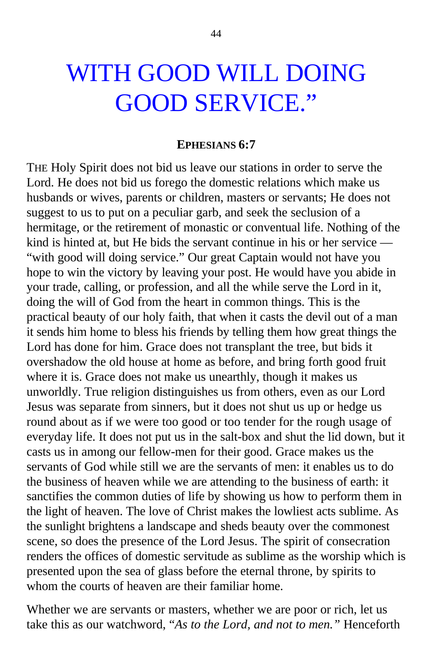### WITH GOOD WILL DOING GOOD SERVICE."

#### **EPHESIANS 6:7**

THE Holy Spirit does not bid us leave our stations in order to serve the Lord. He does not bid us forego the domestic relations which make us husbands or wives, parents or children, masters or servants; He does not suggest to us to put on a peculiar garb, and seek the seclusion of a hermitage, or the retirement of monastic or conventual life. Nothing of the kind is hinted at, but He bids the servant continue in his or her service — "with good will doing service." Our great Captain would not have you hope to win the victory by leaving your post. He would have you abide in your trade, calling, or profession, and all the while serve the Lord in it, doing the will of God from the heart in common things. This is the practical beauty of our holy faith, that when it casts the devil out of a man it sends him home to bless his friends by telling them how great things the Lord has done for him. Grace does not transplant the tree, but bids it overshadow the old house at home as before, and bring forth good fruit where it is. Grace does not make us unearthly, though it makes us unworldly. True religion distinguishes us from others, even as our Lord Jesus was separate from sinners, but it does not shut us up or hedge us round about as if we were too good or too tender for the rough usage of everyday life. It does not put us in the salt-box and shut the lid down, but it casts us in among our fellow-men for their good. Grace makes us the servants of God while still we are the servants of men: it enables us to do the business of heaven while we are attending to the business of earth: it sanctifies the common duties of life by showing us how to perform them in the light of heaven. The love of Christ makes the lowliest acts sublime. As the sunlight brightens a landscape and sheds beauty over the commonest scene, so does the presence of the Lord Jesus. The spirit of consecration renders the offices of domestic servitude as sublime as the worship which is presented upon the sea of glass before the eternal throne, by spirits to whom the courts of heaven are their familiar home.

Whether we are servants or masters, whether we are poor or rich, let us take this as our watchword, "*As to the Lord, and not to men."* Henceforth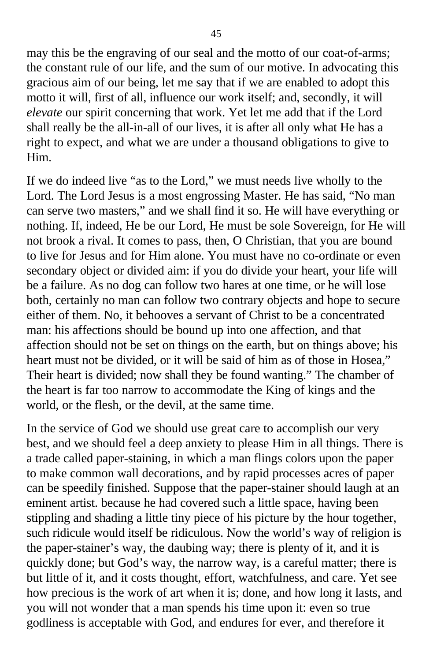may this be the engraving of our seal and the motto of our coat-of-arms; the constant rule of our life, and the sum of our motive. In advocating this gracious aim of our being, let me say that if we are enabled to adopt this motto it will, first of all, influence our work itself; and, secondly, it will *elevate* our spirit concerning that work. Yet let me add that if the Lord shall really be the all-in-all of our lives, it is after all only what He has a right to expect, and what we are under a thousand obligations to give to Him.

If we do indeed live "as to the Lord," we must needs live wholly to the Lord. The Lord Jesus is a most engrossing Master. He has said, "No man can serve two masters," and we shall find it so. He will have everything or nothing. If, indeed, He be our Lord, He must be sole Sovereign, for He will not brook a rival. It comes to pass, then, O Christian, that you are bound to live for Jesus and for Him alone. You must have no co-ordinate or even secondary object or divided aim: if you do divide your heart, your life will be a failure. As no dog can follow two hares at one time, or he will lose both, certainly no man can follow two contrary objects and hope to secure either of them. No, it behooves a servant of Christ to be a concentrated man: his affections should be bound up into one affection, and that affection should not be set on things on the earth, but on things above; his heart must not be divided, or it will be said of him as of those in Hosea," Their heart is divided; now shall they be found wanting." The chamber of the heart is far too narrow to accommodate the King of kings and the world, or the flesh, or the devil, at the same time.

In the service of God we should use great care to accomplish our very best, and we should feel a deep anxiety to please Him in all things. There is a trade called paper-staining, in which a man flings colors upon the paper to make common wall decorations, and by rapid processes acres of paper can be speedily finished. Suppose that the paper-stainer should laugh at an eminent artist. because he had covered such a little space, having been stippling and shading a little tiny piece of his picture by the hour together, such ridicule would itself be ridiculous. Now the world's way of religion is the paper-stainer's way, the daubing way; there is plenty of it, and it is quickly done; but God's way, the narrow way, is a careful matter; there is but little of it, and it costs thought, effort, watchfulness, and care. Yet see how precious is the work of art when it is; done, and how long it lasts, and you will not wonder that a man spends his time upon it: even so true godliness is acceptable with God, and endures for ever, and therefore it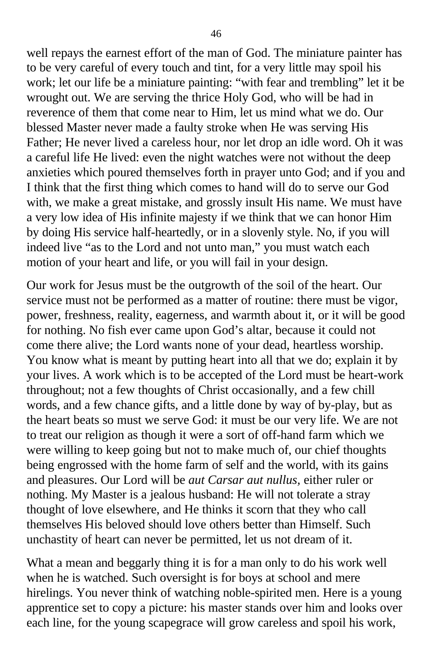well repays the earnest effort of the man of God. The miniature painter has to be very careful of every touch and tint, for a very little may spoil his work; let our life be a miniature painting: "with fear and trembling" let it be wrought out. We are serving the thrice Holy God, who will be had in reverence of them that come near to Him, let us mind what we do. Our blessed Master never made a faulty stroke when He was serving His Father; He never lived a careless hour, nor let drop an idle word. Oh it was a careful life He lived: even the night watches were not without the deep anxieties which poured themselves forth in prayer unto God; and if you and I think that the first thing which comes to hand will do to serve our God with, we make a great mistake, and grossly insult His name. We must have a very low idea of His infinite majesty if we think that we can honor Him by doing His service half-heartedly, or in a slovenly style. No, if you will indeed live "as to the Lord and not unto man," you must watch each motion of your heart and life, or you will fail in your design.

Our work for Jesus must be the outgrowth of the soil of the heart. Our service must not be performed as a matter of routine: there must be vigor, power, freshness, reality, eagerness, and warmth about it, or it will be good for nothing. No fish ever came upon God's altar, because it could not come there alive; the Lord wants none of your dead, heartless worship. You know what is meant by putting heart into all that we do; explain it by your lives. A work which is to be accepted of the Lord must be heart-work throughout; not a few thoughts of Christ occasionally, and a few chill words, and a few chance gifts, and a little done by way of by-play, but as the heart beats so must we serve God: it must be our very life. We are not to treat our religion as though it were a sort of off-hand farm which we were willing to keep going but not to make much of, our chief thoughts being engrossed with the home farm of self and the world, with its gains and pleasures. Our Lord will be *aut Carsar aut nullus,* either ruler or nothing. My Master is a jealous husband: He will not tolerate a stray thought of love elsewhere, and He thinks it scorn that they who call themselves His beloved should love others better than Himself. Such unchastity of heart can never be permitted, let us not dream of it.

What a mean and beggarly thing it is for a man only to do his work well when he is watched. Such oversight is for boys at school and mere hirelings. You never think of watching noble-spirited men. Here is a young apprentice set to copy a picture: his master stands over him and looks over each line, for the young scapegrace will grow careless and spoil his work,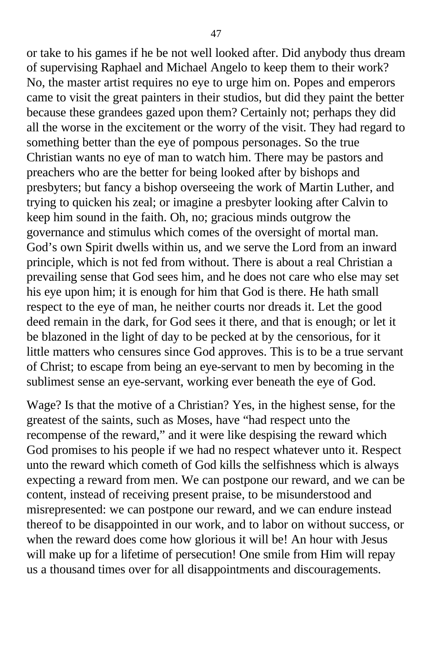or take to his games if he be not well looked after. Did anybody thus dream of supervising Raphael and Michael Angelo to keep them to their work? No, the master artist requires no eye to urge him on. Popes and emperors came to visit the great painters in their studios, but did they paint the better because these grandees gazed upon them? Certainly not; perhaps they did all the worse in the excitement or the worry of the visit. They had regard to something better than the eye of pompous personages. So the true Christian wants no eye of man to watch him. There may be pastors and preachers who are the better for being looked after by bishops and presbyters; but fancy a bishop overseeing the work of Martin Luther, and trying to quicken his zeal; or imagine a presbyter looking after Calvin to keep him sound in the faith. Oh, no; gracious minds outgrow the governance and stimulus which comes of the oversight of mortal man. God's own Spirit dwells within us, and we serve the Lord from an inward principle, which is not fed from without. There is about a real Christian a prevailing sense that God sees him, and he does not care who else may set his eye upon him; it is enough for him that God is there. He hath small respect to the eye of man, he neither courts nor dreads it. Let the good deed remain in the dark, for God sees it there, and that is enough; or let it be blazoned in the light of day to be pecked at by the censorious, for it little matters who censures since God approves. This is to be a true servant of Christ; to escape from being an eye-servant to men by becoming in the sublimest sense an eye-servant, working ever beneath the eye of God.

Wage? Is that the motive of a Christian? Yes, in the highest sense, for the greatest of the saints, such as Moses, have "had respect unto the recompense of the reward," and it were like despising the reward which God promises to his people if we had no respect whatever unto it. Respect unto the reward which cometh of God kills the selfishness which is always expecting a reward from men. We can postpone our reward, and we can be content, instead of receiving present praise, to be misunderstood and misrepresented: we can postpone our reward, and we can endure instead thereof to be disappointed in our work, and to labor on without success, or when the reward does come how glorious it will be! An hour with Jesus will make up for a lifetime of persecution! One smile from Him will repay us a thousand times over for all disappointments and discouragements.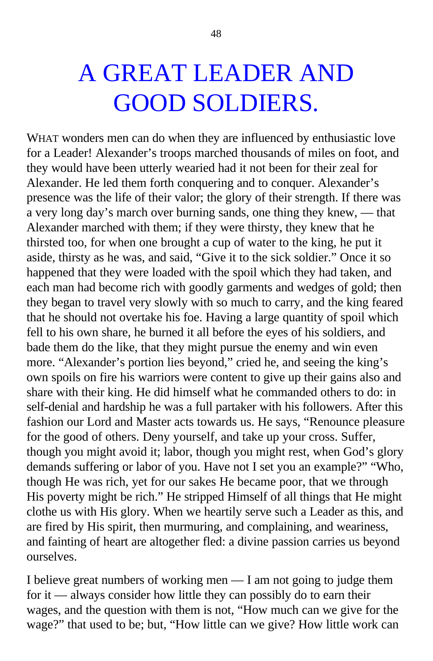# A GREAT LEADER AND GOOD SOLDIERS.

WHAT wonders men can do when they are influenced by enthusiastic love for a Leader! Alexander's troops marched thousands of miles on foot, and they would have been utterly wearied had it not been for their zeal for Alexander. He led them forth conquering and to conquer. Alexander's presence was the life of their valor; the glory of their strength. If there was a very long day's march over burning sands, one thing they knew, — that Alexander marched with them; if they were thirsty, they knew that he thirsted too, for when one brought a cup of water to the king, he put it aside, thirsty as he was, and said, "Give it to the sick soldier." Once it so happened that they were loaded with the spoil which they had taken, and each man had become rich with goodly garments and wedges of gold; then they began to travel very slowly with so much to carry, and the king feared that he should not overtake his foe. Having a large quantity of spoil which fell to his own share, he burned it all before the eyes of his soldiers, and bade them do the like, that they might pursue the enemy and win even more. "Alexander's portion lies beyond," cried he, and seeing the king's own spoils on fire his warriors were content to give up their gains also and share with their king. He did himself what he commanded others to do: in self-denial and hardship he was a full partaker with his followers. After this fashion our Lord and Master acts towards us. He says, "Renounce pleasure for the good of others. Deny yourself, and take up your cross. Suffer, though you might avoid it; labor, though you might rest, when God's glory demands suffering or labor of you. Have not I set you an example?" "Who, though He was rich, yet for our sakes He became poor, that we through His poverty might be rich." He stripped Himself of all things that He might clothe us with His glory. When we heartily serve such a Leader as this, and are fired by His spirit, then murmuring, and complaining, and weariness, and fainting of heart are altogether fled: a divine passion carries us beyond ourselves.

I believe great numbers of working men  $- I$  am not going to judge them for it — always consider how little they can possibly do to earn their wages, and the question with them is not, "How much can we give for the wage?" that used to be; but, "How little can we give? How little work can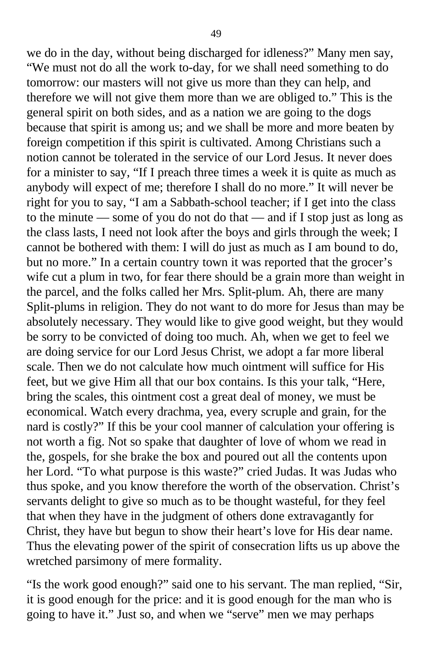we do in the day, without being discharged for idleness?" Many men say, "We must not do all the work to-day, for we shall need something to do tomorrow: our masters will not give us more than they can help, and therefore we will not give them more than we are obliged to." This is the general spirit on both sides, and as a nation we are going to the dogs because that spirit is among us; and we shall be more and more beaten by foreign competition if this spirit is cultivated. Among Christians such a notion cannot be tolerated in the service of our Lord Jesus. It never does for a minister to say, "If I preach three times a week it is quite as much as anybody will expect of me; therefore I shall do no more." It will never be right for you to say, "I am a Sabbath-school teacher; if I get into the class to the minute — some of you do not do that — and if I stop just as long as the class lasts, I need not look after the boys and girls through the week; I cannot be bothered with them: I will do just as much as I am bound to do, but no more." In a certain country town it was reported that the grocer's wife cut a plum in two, for fear there should be a grain more than weight in the parcel, and the folks called her Mrs. Split-plum. Ah, there are many Split-plums in religion. They do not want to do more for Jesus than may be absolutely necessary. They would like to give good weight, but they would be sorry to be convicted of doing too much. Ah, when we get to feel we are doing service for our Lord Jesus Christ, we adopt a far more liberal scale. Then we do not calculate how much ointment will suffice for His feet, but we give Him all that our box contains. Is this your talk, "Here, bring the scales, this ointment cost a great deal of money, we must be economical. Watch every drachma, yea, every scruple and grain, for the nard is costly?" If this be your cool manner of calculation your offering is not worth a fig. Not so spake that daughter of love of whom we read in the, gospels, for she brake the box and poured out all the contents upon her Lord. "To what purpose is this waste?" cried Judas. It was Judas who thus spoke, and you know therefore the worth of the observation. Christ's servants delight to give so much as to be thought wasteful, for they feel that when they have in the judgment of others done extravagantly for Christ, they have but begun to show their heart's love for His dear name. Thus the elevating power of the spirit of consecration lifts us up above the wretched parsimony of mere formality.

"Is the work good enough?" said one to his servant. The man replied, "Sir, it is good enough for the price: and it is good enough for the man who is going to have it." Just so, and when we "serve" men we may perhaps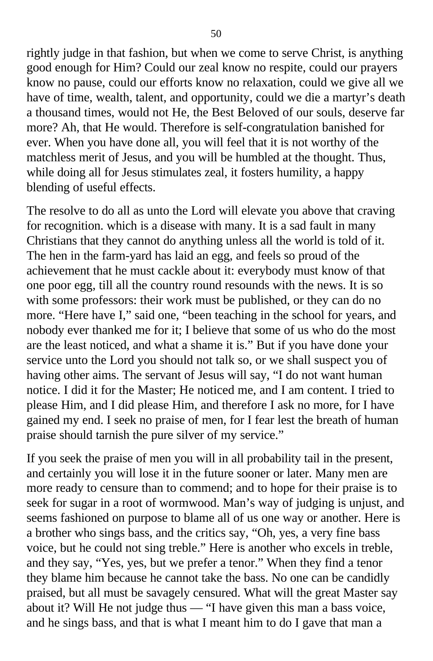rightly judge in that fashion, but when we come to serve Christ, is anything good enough for Him? Could our zeal know no respite, could our prayers know no pause, could our efforts know no relaxation, could we give all we have of time, wealth, talent, and opportunity, could we die a martyr's death a thousand times, would not He, the Best Beloved of our souls, deserve far more? Ah, that He would. Therefore is self-congratulation banished for ever. When you have done all, you will feel that it is not worthy of the matchless merit of Jesus, and you will be humbled at the thought. Thus, while doing all for Jesus stimulates zeal, it fosters humility, a happy blending of useful effects.

The resolve to do all as unto the Lord will elevate you above that craving for recognition. which is a disease with many. It is a sad fault in many Christians that they cannot do anything unless all the world is told of it. The hen in the farm-yard has laid an egg, and feels so proud of the achievement that he must cackle about it: everybody must know of that one poor egg, till all the country round resounds with the news. It is so with some professors: their work must be published, or they can do no more. "Here have I," said one, "been teaching in the school for years, and nobody ever thanked me for it; I believe that some of us who do the most are the least noticed, and what a shame it is." But if you have done your service unto the Lord you should not talk so, or we shall suspect you of having other aims. The servant of Jesus will say, "I do not want human notice. I did it for the Master; He noticed me, and I am content. I tried to please Him, and I did please Him, and therefore I ask no more, for I have gained my end. I seek no praise of men, for I fear lest the breath of human praise should tarnish the pure silver of my service."

If you seek the praise of men you will in all probability tail in the present, and certainly you will lose it in the future sooner or later. Many men are more ready to censure than to commend; and to hope for their praise is to seek for sugar in a root of wormwood. Man's way of judging is unjust, and seems fashioned on purpose to blame all of us one way or another. Here is a brother who sings bass, and the critics say, "Oh, yes, a very fine bass voice, but he could not sing treble." Here is another who excels in treble, and they say, "Yes, yes, but we prefer a tenor." When they find a tenor they blame him because he cannot take the bass. No one can be candidly praised, but all must be savagely censured. What will the great Master say about it? Will He not judge thus — "I have given this man a bass voice, and he sings bass, and that is what I meant him to do I gave that man a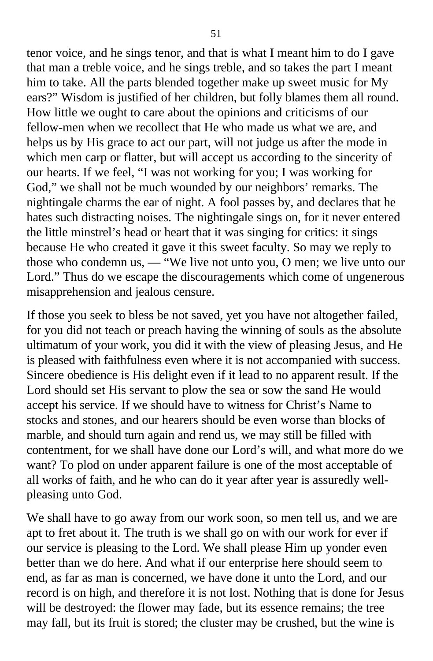tenor voice, and he sings tenor, and that is what I meant him to do I gave that man a treble voice, and he sings treble, and so takes the part I meant him to take. All the parts blended together make up sweet music for My ears?" Wisdom is justified of her children, but folly blames them all round. How little we ought to care about the opinions and criticisms of our fellow-men when we recollect that He who made us what we are, and helps us by His grace to act our part, will not judge us after the mode in which men carp or flatter, but will accept us according to the sincerity of our hearts. If we feel, "I was not working for you; I was working for God," we shall not be much wounded by our neighbors' remarks. The nightingale charms the ear of night. A fool passes by, and declares that he hates such distracting noises. The nightingale sings on, for it never entered the little minstrel's head or heart that it was singing for critics: it sings because He who created it gave it this sweet faculty. So may we reply to those who condemn us, — "We live not unto you, O men; we live unto our Lord." Thus do we escape the discouragements which come of ungenerous misapprehension and jealous censure.

If those you seek to bless be not saved, yet you have not altogether failed, for you did not teach or preach having the winning of souls as the absolute ultimatum of your work, you did it with the view of pleasing Jesus, and He is pleased with faithfulness even where it is not accompanied with success. Sincere obedience is His delight even if it lead to no apparent result. If the Lord should set His servant to plow the sea or sow the sand He would accept his service. If we should have to witness for Christ's Name to stocks and stones, and our hearers should be even worse than blocks of marble, and should turn again and rend us, we may still be filled with contentment, for we shall have done our Lord's will, and what more do we want? To plod on under apparent failure is one of the most acceptable of all works of faith, and he who can do it year after year is assuredly wellpleasing unto God.

We shall have to go away from our work soon, so men tell us, and we are apt to fret about it. The truth is we shall go on with our work for ever if our service is pleasing to the Lord. We shall please Him up yonder even better than we do here. And what if our enterprise here should seem to end, as far as man is concerned, we have done it unto the Lord, and our record is on high, and therefore it is not lost. Nothing that is done for Jesus will be destroyed: the flower may fade, but its essence remains; the tree may fall, but its fruit is stored; the cluster may be crushed, but the wine is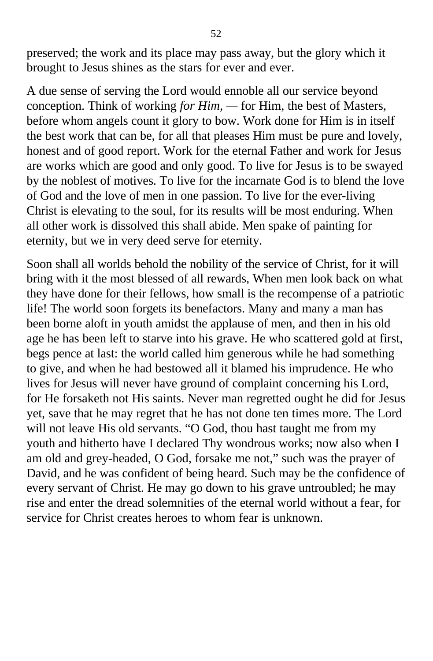preserved; the work and its place may pass away, but the glory which it brought to Jesus shines as the stars for ever and ever.

A due sense of serving the Lord would ennoble all our service beyond conception. Think of working *for Him, —* for Him, the best of Masters, before whom angels count it glory to bow. Work done for Him is in itself the best work that can be, for all that pleases Him must be pure and lovely, honest and of good report. Work for the eternal Father and work for Jesus are works which are good and only good. To live for Jesus is to be swayed by the noblest of motives. To live for the incarnate God is to blend the love of God and the love of men in one passion. To live for the ever-living Christ is elevating to the soul, for its results will be most enduring. When all other work is dissolved this shall abide. Men spake of painting for eternity, but we in very deed serve for eternity.

Soon shall all worlds behold the nobility of the service of Christ, for it will bring with it the most blessed of all rewards, When men look back on what they have done for their fellows, how small is the recompense of a patriotic life! The world soon forgets its benefactors. Many and many a man has been borne aloft in youth amidst the applause of men, and then in his old age he has been left to starve into his grave. He who scattered gold at first, begs pence at last: the world called him generous while he had something to give, and when he had bestowed all it blamed his imprudence. He who lives for Jesus will never have ground of complaint concerning his Lord, for He forsaketh not His saints. Never man regretted ought he did for Jesus yet, save that he may regret that he has not done ten times more. The Lord will not leave His old servants. "O God, thou hast taught me from my youth and hitherto have I declared Thy wondrous works; now also when I am old and grey-headed, O God, forsake me not," such was the prayer of David, and he was confident of being heard. Such may be the confidence of every servant of Christ. He may go down to his grave untroubled; he may rise and enter the dread solemnities of the eternal world without a fear, for service for Christ creates heroes to whom fear is unknown.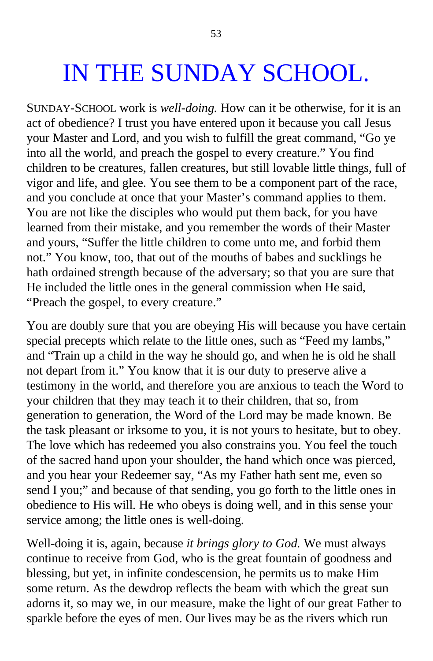## IN THE SUNDAY SCHOOL.

SUNDAY-SCHOOL work is *well-doing.* How can it be otherwise, for it is an act of obedience? I trust you have entered upon it because you call Jesus your Master and Lord, and you wish to fulfill the great command, "Go ye into all the world, and preach the gospel to every creature." You find children to be creatures, fallen creatures, but still lovable little things, full of vigor and life, and glee. You see them to be a component part of the race, and you conclude at once that your Master's command applies to them. You are not like the disciples who would put them back, for you have learned from their mistake, and you remember the words of their Master and yours, "Suffer the little children to come unto me, and forbid them not." You know, too, that out of the mouths of babes and sucklings he hath ordained strength because of the adversary; so that you are sure that He included the little ones in the general commission when He said, "Preach the gospel, to every creature."

You are doubly sure that you are obeying His will because you have certain special precepts which relate to the little ones, such as "Feed my lambs," and "Train up a child in the way he should go, and when he is old he shall not depart from it." You know that it is our duty to preserve alive a testimony in the world, and therefore you are anxious to teach the Word to your children that they may teach it to their children, that so, from generation to generation, the Word of the Lord may be made known. Be the task pleasant or irksome to you, it is not yours to hesitate, but to obey. The love which has redeemed you also constrains you. You feel the touch of the sacred hand upon your shoulder, the hand which once was pierced, and you hear your Redeemer say, "As my Father hath sent me, even so send I you;" and because of that sending, you go forth to the little ones in obedience to His will. He who obeys is doing well, and in this sense your service among; the little ones is well-doing.

Well-doing it is, again, because *it brings glory to God.* We must always continue to receive from God, who is the great fountain of goodness and blessing, but yet, in infinite condescension, he permits us to make Him some return. As the dewdrop reflects the beam with which the great sun adorns it, so may we, in our measure, make the light of our great Father to sparkle before the eyes of men. Our lives may be as the rivers which run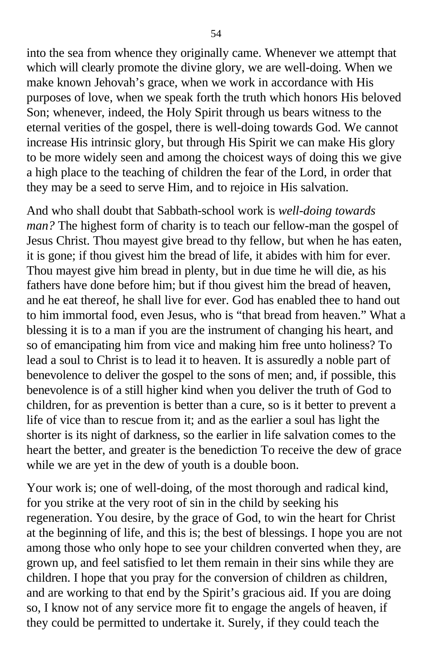into the sea from whence they originally came. Whenever we attempt that which will clearly promote the divine glory, we are well-doing. When we make known Jehovah's grace, when we work in accordance with His purposes of love, when we speak forth the truth which honors His beloved Son; whenever, indeed, the Holy Spirit through us bears witness to the eternal verities of the gospel, there is well-doing towards God. We cannot increase His intrinsic glory, but through His Spirit we can make His glory to be more widely seen and among the choicest ways of doing this we give a high place to the teaching of children the fear of the Lord, in order that they may be a seed to serve Him, and to rejoice in His salvation.

And who shall doubt that Sabbath-school work is *well-doing towards man?* The highest form of charity is to teach our fellow-man the gospel of Jesus Christ. Thou mayest give bread to thy fellow, but when he has eaten, it is gone; if thou givest him the bread of life, it abides with him for ever. Thou mayest give him bread in plenty, but in due time he will die, as his fathers have done before him; but if thou givest him the bread of heaven, and he eat thereof, he shall live for ever. God has enabled thee to hand out to him immortal food, even Jesus, who is "that bread from heaven." What a blessing it is to a man if you are the instrument of changing his heart, and so of emancipating him from vice and making him free unto holiness? To lead a soul to Christ is to lead it to heaven. It is assuredly a noble part of benevolence to deliver the gospel to the sons of men; and, if possible, this benevolence is of a still higher kind when you deliver the truth of God to children, for as prevention is better than a cure, so is it better to prevent a life of vice than to rescue from it; and as the earlier a soul has light the shorter is its night of darkness, so the earlier in life salvation comes to the heart the better, and greater is the benediction To receive the dew of grace while we are yet in the dew of youth is a double boon.

Your work is; one of well-doing, of the most thorough and radical kind, for you strike at the very root of sin in the child by seeking his regeneration. You desire, by the grace of God, to win the heart for Christ at the beginning of life, and this is; the best of blessings. I hope you are not among those who only hope to see your children converted when they, are grown up, and feel satisfied to let them remain in their sins while they are children. I hope that you pray for the conversion of children as children, and are working to that end by the Spirit's gracious aid. If you are doing so, I know not of any service more fit to engage the angels of heaven, if they could be permitted to undertake it. Surely, if they could teach the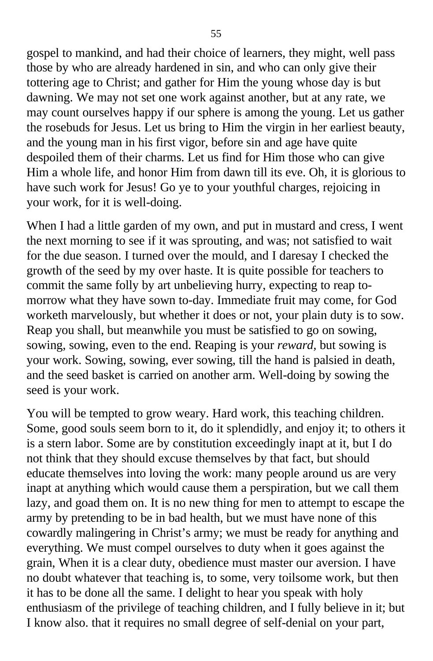gospel to mankind, and had their choice of learners, they might, well pass those by who are already hardened in sin, and who can only give their tottering age to Christ; and gather for Him the young whose day is but dawning. We may not set one work against another, but at any rate, we may count ourselves happy if our sphere is among the young. Let us gather the rosebuds for Jesus. Let us bring to Him the virgin in her earliest beauty, and the young man in his first vigor, before sin and age have quite despoiled them of their charms. Let us find for Him those who can give Him a whole life, and honor Him from dawn till its eve. Oh, it is glorious to have such work for Jesus! Go ye to your youthful charges, rejoicing in your work, for it is well-doing.

When I had a little garden of my own, and put in mustard and cress, I went the next morning to see if it was sprouting, and was; not satisfied to wait for the due season. I turned over the mould, and I daresay I checked the growth of the seed by my over haste. It is quite possible for teachers to commit the same folly by art unbelieving hurry, expecting to reap tomorrow what they have sown to-day. Immediate fruit may come, for God worketh marvelously, but whether it does or not, your plain duty is to sow. Reap you shall, but meanwhile you must be satisfied to go on sowing, sowing, sowing, even to the end. Reaping is your *reward,* but sowing is your work. Sowing, sowing, ever sowing, till the hand is palsied in death, and the seed basket is carried on another arm. Well-doing by sowing the seed is your work.

You will be tempted to grow weary. Hard work, this teaching children. Some, good souls seem born to it, do it splendidly, and enjoy it; to others it is a stern labor. Some are by constitution exceedingly inapt at it, but I do not think that they should excuse themselves by that fact, but should educate themselves into loving the work: many people around us are very inapt at anything which would cause them a perspiration, but we call them lazy, and goad them on. It is no new thing for men to attempt to escape the army by pretending to be in bad health, but we must have none of this cowardly malingering in Christ's army; we must be ready for anything and everything. We must compel ourselves to duty when it goes against the grain, When it is a clear duty, obedience must master our aversion. I have no doubt whatever that teaching is, to some, very toilsome work, but then it has to be done all the same. I delight to hear you speak with holy enthusiasm of the privilege of teaching children, and I fully believe in it; but I know also. that it requires no small degree of self-denial on your part,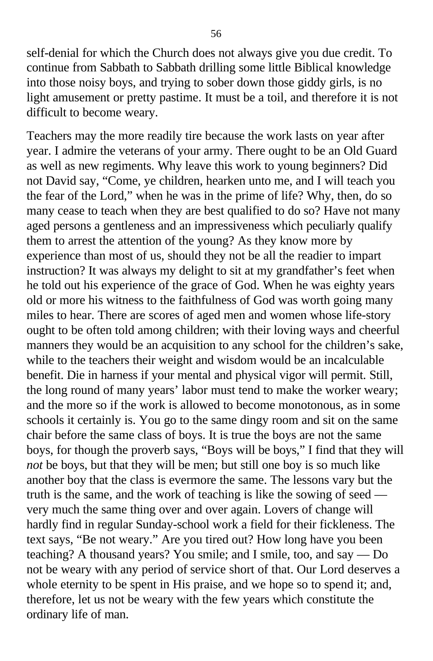self-denial for which the Church does not always give you due credit. To continue from Sabbath to Sabbath drilling some little Biblical knowledge into those noisy boys, and trying to sober down those giddy girls, is no light amusement or pretty pastime. It must be a toil, and therefore it is not difficult to become weary.

Teachers may the more readily tire because the work lasts on year after year. I admire the veterans of your army. There ought to be an Old Guard as well as new regiments. Why leave this work to young beginners? Did not David say, "Come, ye children, hearken unto me, and I will teach you the fear of the Lord," when he was in the prime of life? Why, then, do so many cease to teach when they are best qualified to do so? Have not many aged persons a gentleness and an impressiveness which peculiarly qualify them to arrest the attention of the young? As they know more by experience than most of us, should they not be all the readier to impart instruction? It was always my delight to sit at my grandfather's feet when he told out his experience of the grace of God. When he was eighty years old or more his witness to the faithfulness of God was worth going many miles to hear. There are scores of aged men and women whose life-story ought to be often told among children; with their loving ways and cheerful manners they would be an acquisition to any school for the children's sake, while to the teachers their weight and wisdom would be an incalculable benefit. Die in harness if your mental and physical vigor will permit. Still, the long round of many years' labor must tend to make the worker weary; and the more so if the work is allowed to become monotonous, as in some schools it certainly is. You go to the same dingy room and sit on the same chair before the same class of boys. It is true the boys are not the same boys, for though the proverb says, "Boys will be boys," I find that they will *not* be boys, but that they will be men; but still one boy is so much like another boy that the class is evermore the same. The lessons vary but the truth is the same, and the work of teaching is like the sowing of seed very much the same thing over and over again. Lovers of change will hardly find in regular Sunday-school work a field for their fickleness. The text says, "Be not weary." Are you tired out? How long have you been teaching? A thousand years? You smile; and I smile, too, and say — Do not be weary with any period of service short of that. Our Lord deserves a whole eternity to be spent in His praise, and we hope so to spend it; and, therefore, let us not be weary with the few years which constitute the ordinary life of man.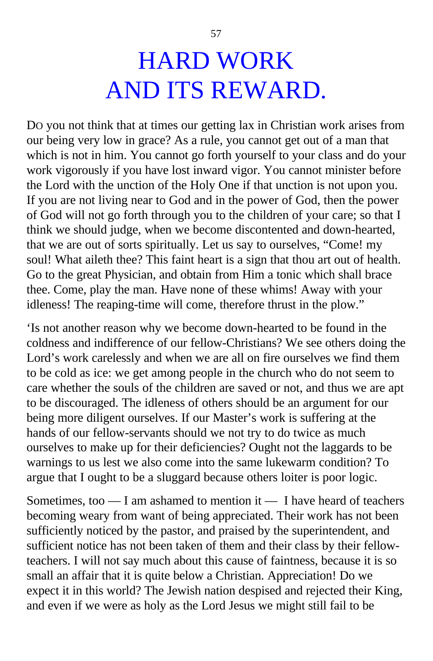# HARD WORK AND ITS REWARD.

DO you not think that at times our getting lax in Christian work arises from our being very low in grace? As a rule, you cannot get out of a man that which is not in him. You cannot go forth yourself to your class and do your work vigorously if you have lost inward vigor. You cannot minister before the Lord with the unction of the Holy One if that unction is not upon you. If you are not living near to God and in the power of God, then the power of God will not go forth through you to the children of your care; so that I think we should judge, when we become discontented and down-hearted, that we are out of sorts spiritually. Let us say to ourselves, "Come! my soul! What aileth thee? This faint heart is a sign that thou art out of health. Go to the great Physician, and obtain from Him a tonic which shall brace thee. Come, play the man. Have none of these whims! Away with your idleness! The reaping-time will come, therefore thrust in the plow."

'Is not another reason why we become down-hearted to be found in the coldness and indifference of our fellow-Christians? We see others doing the Lord's work carelessly and when we are all on fire ourselves we find them to be cold as ice: we get among people in the church who do not seem to care whether the souls of the children are saved or not, and thus we are apt to be discouraged. The idleness of others should be an argument for our being more diligent ourselves. If our Master's work is suffering at the hands of our fellow-servants should we not try to do twice as much ourselves to make up for their deficiencies? Ought not the laggards to be warnings to us lest we also come into the same lukewarm condition? To argue that I ought to be a sluggard because others loiter is poor logic.

Sometimes, too  $\overline{\phantom{a}}$  am ashamed to mention it  $\overline{\phantom{a}}$  I have heard of teachers becoming weary from want of being appreciated. Their work has not been sufficiently noticed by the pastor, and praised by the superintendent, and sufficient notice has not been taken of them and their class by their fellowteachers. I will not say much about this cause of faintness, because it is so small an affair that it is quite below a Christian. Appreciation! Do we expect it in this world? The Jewish nation despised and rejected their King, and even if we were as holy as the Lord Jesus we might still fail to be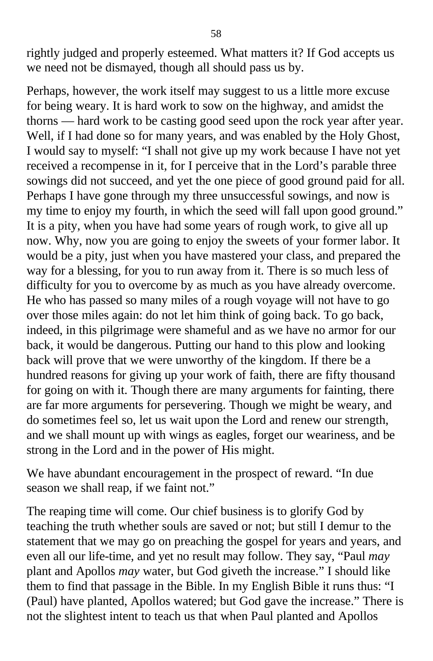rightly judged and properly esteemed. What matters it? If God accepts us we need not be dismayed, though all should pass us by.

Perhaps, however, the work itself may suggest to us a little more excuse for being weary. It is hard work to sow on the highway, and amidst the thorns — hard work to be casting good seed upon the rock year after year. Well, if I had done so for many years, and was enabled by the Holy Ghost, I would say to myself: "I shall not give up my work because I have not yet received a recompense in it, for I perceive that in the Lord's parable three sowings did not succeed, and yet the one piece of good ground paid for all. Perhaps I have gone through my three unsuccessful sowings, and now is my time to enjoy my fourth, in which the seed will fall upon good ground." It is a pity, when you have had some years of rough work, to give all up now. Why, now you are going to enjoy the sweets of your former labor. It would be a pity, just when you have mastered your class, and prepared the way for a blessing, for you to run away from it. There is so much less of difficulty for you to overcome by as much as you have already overcome. He who has passed so many miles of a rough voyage will not have to go over those miles again: do not let him think of going back. To go back, indeed, in this pilgrimage were shameful and as we have no armor for our back, it would be dangerous. Putting our hand to this plow and looking back will prove that we were unworthy of the kingdom. If there be a hundred reasons for giving up your work of faith, there are fifty thousand for going on with it. Though there are many arguments for fainting, there are far more arguments for persevering. Though we might be weary, and do sometimes feel so, let us wait upon the Lord and renew our strength, and we shall mount up with wings as eagles, forget our weariness, and be strong in the Lord and in the power of His might.

We have abundant encouragement in the prospect of reward. "In due season we shall reap, if we faint not."

The reaping time will come. Our chief business is to glorify God by teaching the truth whether souls are saved or not; but still I demur to the statement that we may go on preaching the gospel for years and years, and even all our life-time, and yet no result may follow. They say, "Paul *may* plant and Apollos *may* water, but God giveth the increase." I should like them to find that passage in the Bible. In my English Bible it runs thus: "I (Paul) have planted, Apollos watered; but God gave the increase." There is not the slightest intent to teach us that when Paul planted and Apollos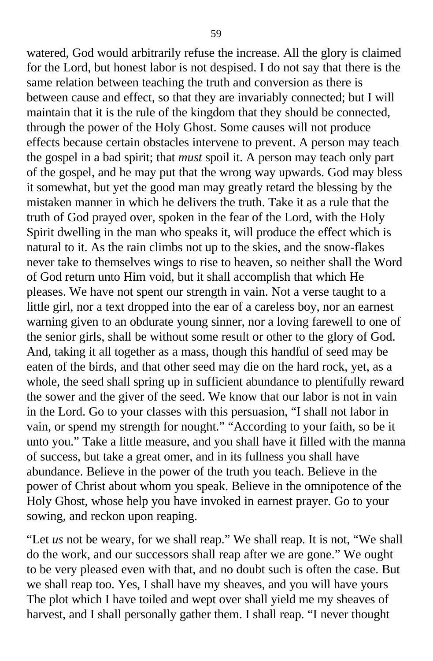watered, God would arbitrarily refuse the increase. All the glory is claimed for the Lord, but honest labor is not despised. I do not say that there is the same relation between teaching the truth and conversion as there is between cause and effect, so that they are invariably connected; but I will maintain that it is the rule of the kingdom that they should be connected, through the power of the Holy Ghost. Some causes will not produce effects because certain obstacles intervene to prevent. A person may teach the gospel in a bad spirit; that *must* spoil it. A person may teach only part of the gospel, and he may put that the wrong way upwards. God may bless it somewhat, but yet the good man may greatly retard the blessing by the mistaken manner in which he delivers the truth. Take it as a rule that the truth of God prayed over, spoken in the fear of the Lord, with the Holy Spirit dwelling in the man who speaks it, will produce the effect which is natural to it. As the rain climbs not up to the skies, and the snow-flakes never take to themselves wings to rise to heaven, so neither shall the Word of God return unto Him void, but it shall accomplish that which He pleases. We have not spent our strength in vain. Not a verse taught to a little girl, nor a text dropped into the ear of a careless boy, nor an earnest warning given to an obdurate young sinner, nor a loving farewell to one of the senior girls, shall be without some result or other to the glory of God. And, taking it all together as a mass, though this handful of seed may be eaten of the birds, and that other seed may die on the hard rock, yet, as a whole, the seed shall spring up in sufficient abundance to plentifully reward the sower and the giver of the seed. We know that our labor is not in vain in the Lord. Go to your classes with this persuasion, "I shall not labor in vain, or spend my strength for nought." "According to your faith, so be it unto you." Take a little measure, and you shall have it filled with the manna of success, but take a great omer, and in its fullness you shall have abundance. Believe in the power of the truth you teach. Believe in the power of Christ about whom you speak. Believe in the omnipotence of the Holy Ghost, whose help you have invoked in earnest prayer. Go to your sowing, and reckon upon reaping.

"Let *us* not be weary, for we shall reap." We shall reap. It is not, "We shall do the work, and our successors shall reap after we are gone." We ought to be very pleased even with that, and no doubt such is often the case. But we shall reap too. Yes, I shall have my sheaves, and you will have yours The plot which I have toiled and wept over shall yield me my sheaves of harvest, and I shall personally gather them. I shall reap. "I never thought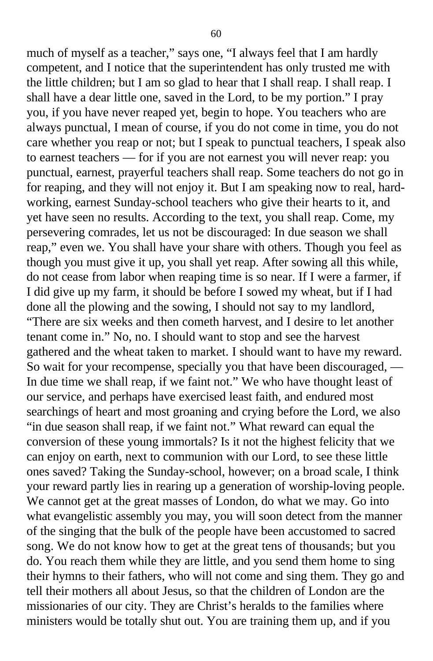much of myself as a teacher," says one, "I always feel that I am hardly competent, and I notice that the superintendent has only trusted me with the little children; but I am so glad to hear that I shall reap. I shall reap. I shall have a dear little one, saved in the Lord, to be my portion." I pray you, if you have never reaped yet, begin to hope. You teachers who are always punctual, I mean of course, if you do not come in time, you do not care whether you reap or not; but I speak to punctual teachers, I speak also to earnest teachers — for if you are not earnest you will never reap: you punctual, earnest, prayerful teachers shall reap. Some teachers do not go in for reaping, and they will not enjoy it. But I am speaking now to real, hardworking, earnest Sunday-school teachers who give their hearts to it, and yet have seen no results. According to the text, you shall reap. Come, my persevering comrades, let us not be discouraged: In due season we shall reap," even we. You shall have your share with others. Though you feel as though you must give it up, you shall yet reap. After sowing all this while, do not cease from labor when reaping time is so near. If I were a farmer, if I did give up my farm, it should be before I sowed my wheat, but if I had done all the plowing and the sowing, I should not say to my landlord, "There are six weeks and then cometh harvest, and I desire to let another tenant come in." No, no. I should want to stop and see the harvest gathered and the wheat taken to market. I should want to have my reward. So wait for your recompense, specially you that have been discouraged, — In due time we shall reap, if we faint not." We who have thought least of our service, and perhaps have exercised least faith, and endured most searchings of heart and most groaning and crying before the Lord, we also "in due season shall reap, if we faint not." What reward can equal the conversion of these young immortals? Is it not the highest felicity that we can enjoy on earth, next to communion with our Lord, to see these little ones saved? Taking the Sunday-school, however; on a broad scale, I think your reward partly lies in rearing up a generation of worship-loving people. We cannot get at the great masses of London, do what we may. Go into what evangelistic assembly you may, you will soon detect from the manner of the singing that the bulk of the people have been accustomed to sacred song. We do not know how to get at the great tens of thousands; but you do. You reach them while they are little, and you send them home to sing their hymns to their fathers, who will not come and sing them. They go and tell their mothers all about Jesus, so that the children of London are the missionaries of our city. They are Christ's heralds to the families where ministers would be totally shut out. You are training them up, and if you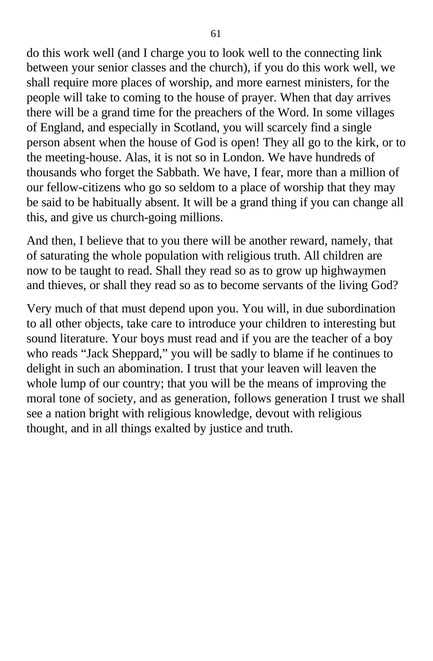do this work well (and I charge you to look well to the connecting link between your senior classes and the church), if you do this work well, we shall require more places of worship, and more earnest ministers, for the people will take to coming to the house of prayer. When that day arrives there will be a grand time for the preachers of the Word. In some villages of England, and especially in Scotland, you will scarcely find a single person absent when the house of God is open! They all go to the kirk, or to the meeting-house. Alas, it is not so in London. We have hundreds of thousands who forget the Sabbath. We have, I fear, more than a million of our fellow-citizens who go so seldom to a place of worship that they may be said to be habitually absent. It will be a grand thing if you can change all this, and give us church-going millions.

And then, I believe that to you there will be another reward, namely, that of saturating the whole population with religious truth. All children are now to be taught to read. Shall they read so as to grow up highwaymen and thieves, or shall they read so as to become servants of the living God?

Very much of that must depend upon you. You will, in due subordination to all other objects, take care to introduce your children to interesting but sound literature. Your boys must read and if you are the teacher of a boy who reads "Jack Sheppard," you will be sadly to blame if he continues to delight in such an abomination. I trust that your leaven will leaven the whole lump of our country; that you will be the means of improving the moral tone of society, and as generation, follows generation I trust we shall see a nation bright with religious knowledge, devout with religious thought, and in all things exalted by justice and truth.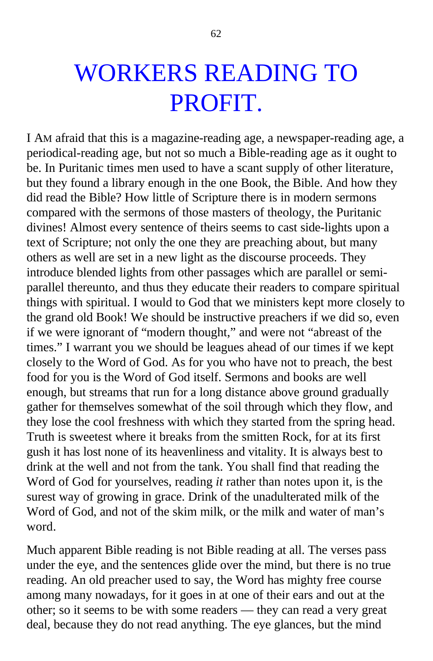I AM afraid that this is a magazine-reading age, a newspaper-reading age, a periodical-reading age, but not so much a Bible-reading age as it ought to be. In Puritanic times men used to have a scant supply of other literature, but they found a library enough in the one Book, the Bible. And how they did read the Bible? How little of Scripture there is in modern sermons compared with the sermons of those masters of theology, the Puritanic divines! Almost every sentence of theirs seems to cast side-lights upon a text of Scripture; not only the one they are preaching about, but many others as well are set in a new light as the discourse proceeds. They introduce blended lights from other passages which are parallel or semiparallel thereunto, and thus they educate their readers to compare spiritual things with spiritual. I would to God that we ministers kept more closely to the grand old Book! We should be instructive preachers if we did so, even if we were ignorant of "modern thought," and were not "abreast of the times." I warrant you we should be leagues ahead of our times if we kept closely to the Word of God. As for you who have not to preach, the best food for you is the Word of God itself. Sermons and books are well enough, but streams that run for a long distance above ground gradually gather for themselves somewhat of the soil through which they flow, and they lose the cool freshness with which they started from the spring head. Truth is sweetest where it breaks from the smitten Rock, for at its first gush it has lost none of its heavenliness and vitality. It is always best to drink at the well and not from the tank. You shall find that reading the Word of God for yourselves, reading *it* rather than notes upon it, is the surest way of growing in grace. Drink of the unadulterated milk of the Word of God, and not of the skim milk, or the milk and water of man's word.

Much apparent Bible reading is not Bible reading at all. The verses pass under the eye, and the sentences glide over the mind, but there is no true reading. An old preacher used to say, the Word has mighty free course among many nowadays, for it goes in at one of their ears and out at the other; so it seems to be with some readers — they can read a very great deal, because they do not read anything. The eye glances, but the mind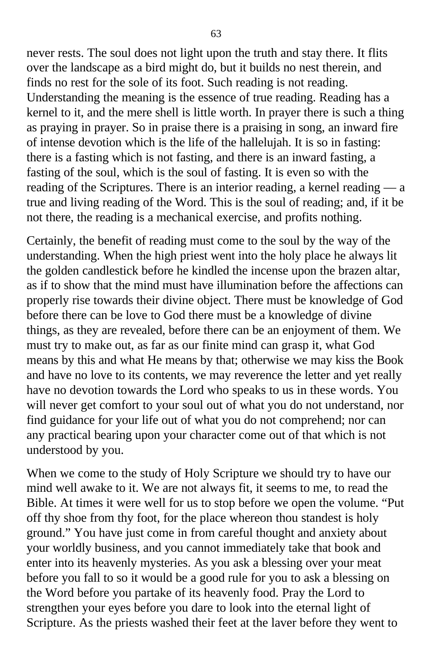never rests. The soul does not light upon the truth and stay there. It flits over the landscape as a bird might do, but it builds no nest therein, and finds no rest for the sole of its foot. Such reading is not reading. Understanding the meaning is the essence of true reading. Reading has a kernel to it, and the mere shell is little worth. In prayer there is such a thing as praying in prayer. So in praise there is a praising in song, an inward fire of intense devotion which is the life of the hallelujah. It is so in fasting: there is a fasting which is not fasting, and there is an inward fasting, a fasting of the soul, which is the soul of fasting. It is even so with the reading of the Scriptures. There is an interior reading, a kernel reading — a true and living reading of the Word. This is the soul of reading; and, if it be not there, the reading is a mechanical exercise, and profits nothing.

Certainly, the benefit of reading must come to the soul by the way of the understanding. When the high priest went into the holy place he always lit the golden candlestick before he kindled the incense upon the brazen altar, as if to show that the mind must have illumination before the affections can properly rise towards their divine object. There must be knowledge of God before there can be love to God there must be a knowledge of divine things, as they are revealed, before there can be an enjoyment of them. We must try to make out, as far as our finite mind can grasp it, what God means by this and what He means by that; otherwise we may kiss the Book and have no love to its contents, we may reverence the letter and yet really have no devotion towards the Lord who speaks to us in these words. You will never get comfort to your soul out of what you do not understand, nor find guidance for your life out of what you do not comprehend; nor can any practical bearing upon your character come out of that which is not understood by you.

When we come to the study of Holy Scripture we should try to have our mind well awake to it. We are not always fit, it seems to me, to read the Bible. At times it were well for us to stop before we open the volume. "Put off thy shoe from thy foot, for the place whereon thou standest is holy ground." You have just come in from careful thought and anxiety about your worldly business, and you cannot immediately take that book and enter into its heavenly mysteries. As you ask a blessing over your meat before you fall to so it would be a good rule for you to ask a blessing on the Word before you partake of its heavenly food. Pray the Lord to strengthen your eyes before you dare to look into the eternal light of Scripture. As the priests washed their feet at the laver before they went to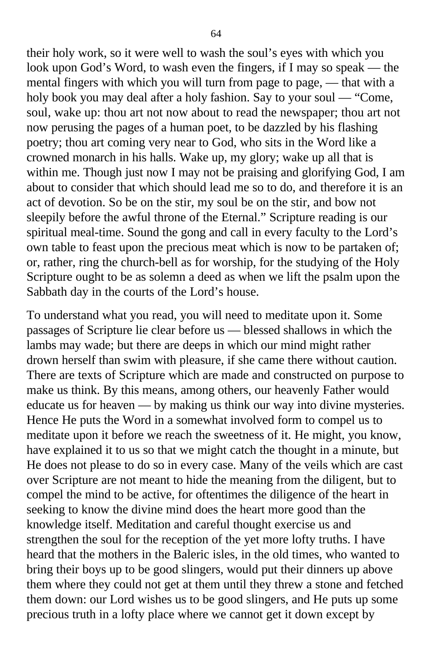their holy work, so it were well to wash the soul's eyes with which you look upon God's Word, to wash even the fingers, if I may so speak — the mental fingers with which you will turn from page to page, — that with a holy book you may deal after a holy fashion. Say to your soul — "Come, soul, wake up: thou art not now about to read the newspaper; thou art not now perusing the pages of a human poet, to be dazzled by his flashing poetry; thou art coming very near to God, who sits in the Word like a crowned monarch in his halls. Wake up, my glory; wake up all that is within me. Though just now I may not be praising and glorifying God, I am about to consider that which should lead me so to do, and therefore it is an act of devotion. So be on the stir, my soul be on the stir, and bow not sleepily before the awful throne of the Eternal." Scripture reading is our spiritual meal-time. Sound the gong and call in every faculty to the Lord's own table to feast upon the precious meat which is now to be partaken of; or, rather, ring the church-bell as for worship, for the studying of the Holy Scripture ought to be as solemn a deed as when we lift the psalm upon the Sabbath day in the courts of the Lord's house.

To understand what you read, you will need to meditate upon it. Some passages of Scripture lie clear before us — blessed shallows in which the lambs may wade; but there are deeps in which our mind might rather drown herself than swim with pleasure, if she came there without caution. There are texts of Scripture which are made and constructed on purpose to make us think. By this means, among others, our heavenly Father would educate us for heaven — by making us think our way into divine mysteries. Hence He puts the Word in a somewhat involved form to compel us to meditate upon it before we reach the sweetness of it. He might, you know, have explained it to us so that we might catch the thought in a minute, but He does not please to do so in every case. Many of the veils which are cast over Scripture are not meant to hide the meaning from the diligent, but to compel the mind to be active, for oftentimes the diligence of the heart in seeking to know the divine mind does the heart more good than the knowledge itself. Meditation and careful thought exercise us and strengthen the soul for the reception of the yet more lofty truths. I have heard that the mothers in the Baleric isles, in the old times, who wanted to bring their boys up to be good slingers, would put their dinners up above them where they could not get at them until they threw a stone and fetched them down: our Lord wishes us to be good slingers, and He puts up some precious truth in a lofty place where we cannot get it down except by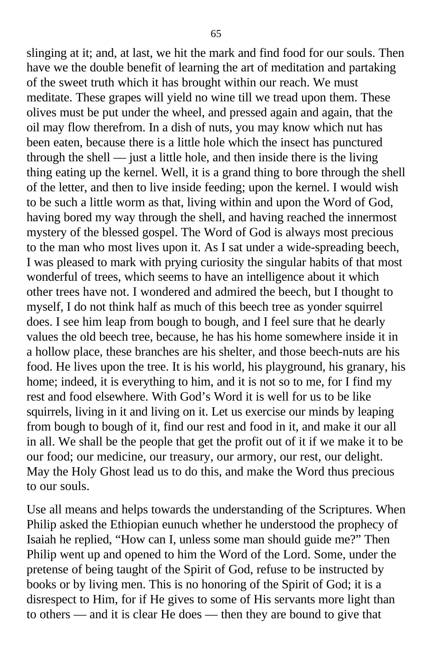slinging at it; and, at last, we hit the mark and find food for our souls. Then have we the double benefit of learning the art of meditation and partaking of the sweet truth which it has brought within our reach. We must meditate. These grapes will yield no wine till we tread upon them. These olives must be put under the wheel, and pressed again and again, that the oil may flow therefrom. In a dish of nuts, you may know which nut has been eaten, because there is a little hole which the insect has punctured through the shell — just a little hole, and then inside there is the living thing eating up the kernel. Well, it is a grand thing to bore through the shell of the letter, and then to live inside feeding; upon the kernel. I would wish to be such a little worm as that, living within and upon the Word of God, having bored my way through the shell, and having reached the innermost mystery of the blessed gospel. The Word of God is always most precious to the man who most lives upon it. As I sat under a wide-spreading beech, I was pleased to mark with prying curiosity the singular habits of that most wonderful of trees, which seems to have an intelligence about it which other trees have not. I wondered and admired the beech, but I thought to myself, I do not think half as much of this beech tree as yonder squirrel does. I see him leap from bough to bough, and I feel sure that he dearly values the old beech tree, because, he has his home somewhere inside it in a hollow place, these branches are his shelter, and those beech-nuts are his food. He lives upon the tree. It is his world, his playground, his granary, his home; indeed, it is everything to him, and it is not so to me, for I find my rest and food elsewhere. With God's Word it is well for us to be like squirrels, living in it and living on it. Let us exercise our minds by leaping from bough to bough of it, find our rest and food in it, and make it our all in all. We shall be the people that get the profit out of it if we make it to be our food; our medicine, our treasury, our armory, our rest, our delight. May the Holy Ghost lead us to do this, and make the Word thus precious to our souls.

Use all means and helps towards the understanding of the Scriptures. When Philip asked the Ethiopian eunuch whether he understood the prophecy of Isaiah he replied, "How can I, unless some man should guide me?" Then Philip went up and opened to him the Word of the Lord. Some, under the pretense of being taught of the Spirit of God, refuse to be instructed by books or by living men. This is no honoring of the Spirit of God; it is a disrespect to Him, for if He gives to some of His servants more light than to others — and it is clear He does — then they are bound to give that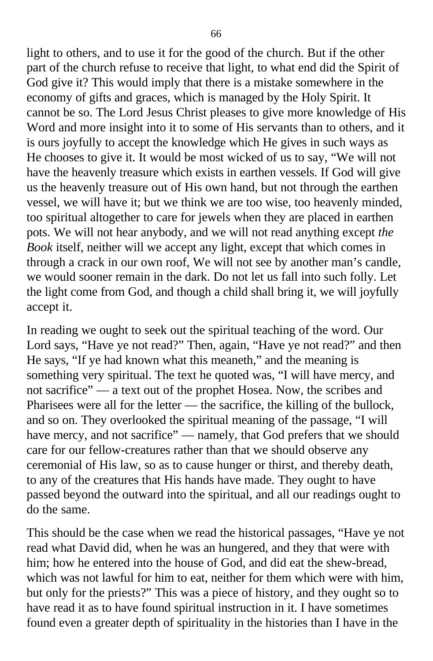light to others, and to use it for the good of the church. But if the other part of the church refuse to receive that light, to what end did the Spirit of God give it? This would imply that there is a mistake somewhere in the economy of gifts and graces, which is managed by the Holy Spirit. It cannot be so. The Lord Jesus Christ pleases to give more knowledge of His Word and more insight into it to some of His servants than to others, and it is ours joyfully to accept the knowledge which He gives in such ways as He chooses to give it. It would be most wicked of us to say, "We will not have the heavenly treasure which exists in earthen vessels. If God will give us the heavenly treasure out of His own hand, but not through the earthen vessel, we will have it; but we think we are too wise, too heavenly minded, too spiritual altogether to care for jewels when they are placed in earthen pots. We will not hear anybody, and we will not read anything except *the Book* itself, neither will we accept any light, except that which comes in through a crack in our own roof, We will not see by another man's candle, we would sooner remain in the dark. Do not let us fall into such folly. Let the light come from God, and though a child shall bring it, we will joyfully accept it.

In reading we ought to seek out the spiritual teaching of the word. Our Lord says, "Have ye not read?" Then, again, "Have ye not read?" and then He says, "If ye had known what this meaneth," and the meaning is something very spiritual. The text he quoted was, "I will have mercy, and not sacrifice" — a text out of the prophet Hosea. Now, the scribes and Pharisees were all for the letter — the sacrifice, the killing of the bullock, and so on. They overlooked the spiritual meaning of the passage, "I will have mercy, and not sacrifice" — namely, that God prefers that we should care for our fellow-creatures rather than that we should observe any ceremonial of His law, so as to cause hunger or thirst, and thereby death, to any of the creatures that His hands have made. They ought to have passed beyond the outward into the spiritual, and all our readings ought to do the same.

This should be the case when we read the historical passages, "Have ye not read what David did, when he was an hungered, and they that were with him; how he entered into the house of God, and did eat the shew-bread, which was not lawful for him to eat, neither for them which were with him, but only for the priests?" This was a piece of history, and they ought so to have read it as to have found spiritual instruction in it. I have sometimes found even a greater depth of spirituality in the histories than I have in the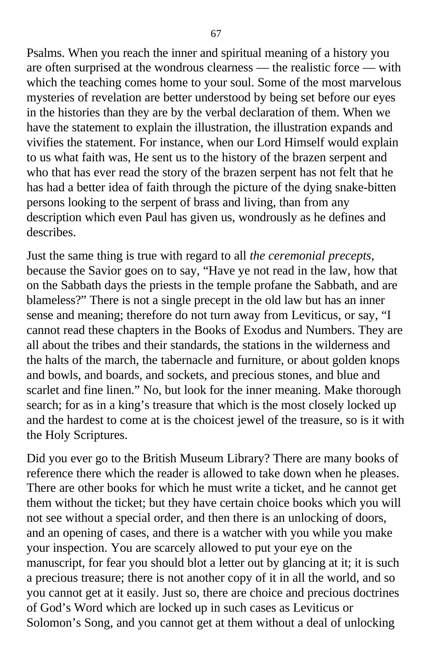Psalms. When you reach the inner and spiritual meaning of a history you are often surprised at the wondrous clearness — the realistic force — with which the teaching comes home to your soul. Some of the most marvelous mysteries of revelation are better understood by being set before our eyes in the histories than they are by the verbal declaration of them. When we have the statement to explain the illustration, the illustration expands and vivifies the statement. For instance, when our Lord Himself would explain to us what faith was, He sent us to the history of the brazen serpent and who that has ever read the story of the brazen serpent has not felt that he has had a better idea of faith through the picture of the dying snake-bitten persons looking to the serpent of brass and living, than from any description which even Paul has given us, wondrously as he defines and describes.

Just the same thing is true with regard to all *the ceremonial precepts,* because the Savior goes on to say, "Have ye not read in the law, how that on the Sabbath days the priests in the temple profane the Sabbath, and are blameless?" There is not a single precept in the old law but has an inner sense and meaning; therefore do not turn away from Leviticus, or say, "I cannot read these chapters in the Books of Exodus and Numbers. They are all about the tribes and their standards, the stations in the wilderness and the halts of the march, the tabernacle and furniture, or about golden knops and bowls, and boards, and sockets, and precious stones, and blue and scarlet and fine linen." No, but look for the inner meaning. Make thorough search; for as in a king's treasure that which is the most closely locked up and the hardest to come at is the choicest jewel of the treasure, so is it with the Holy Scriptures.

Did you ever go to the British Museum Library? There are many books of reference there which the reader is allowed to take down when he pleases. There are other books for which he must write a ticket, and he cannot get them without the ticket; but they have certain choice books which you will not see without a special order, and then there is an unlocking of doors, and an opening of cases, and there is a watcher with you while you make your inspection. You are scarcely allowed to put your eye on the manuscript, for fear you should blot a letter out by glancing at it; it is such a precious treasure; there is not another copy of it in all the world, and so you cannot get at it easily. Just so, there are choice and precious doctrines of God's Word which are locked up in such cases as Leviticus or Solomon's Song, and you cannot get at them without a deal of unlocking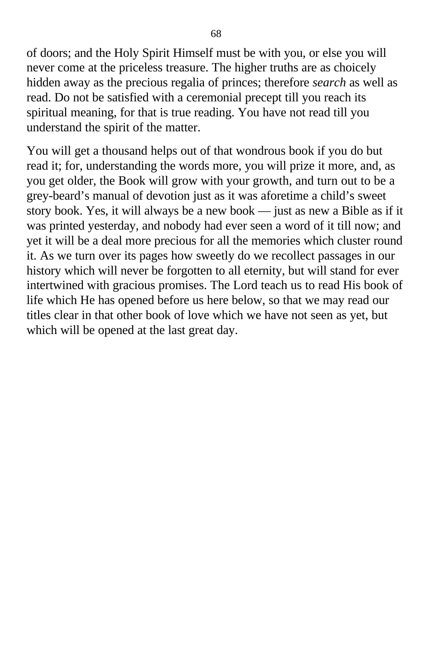of doors; and the Holy Spirit Himself must be with you, or else you will never come at the priceless treasure. The higher truths are as choicely hidden away as the precious regalia of princes; therefore *search* as well as read. Do not be satisfied with a ceremonial precept till you reach its spiritual meaning, for that is true reading. You have not read till you understand the spirit of the matter.

You will get a thousand helps out of that wondrous book if you do but read it; for, understanding the words more, you will prize it more, and, as you get older, the Book will grow with your growth, and turn out to be a grey-beard's manual of devotion just as it was aforetime a child's sweet story book. Yes, it will always be a new book — just as new a Bible as if it was printed yesterday, and nobody had ever seen a word of it till now; and yet it will be a deal more precious for all the memories which cluster round it. As we turn over its pages how sweetly do we recollect passages in our history which will never be forgotten to all eternity, but will stand for ever intertwined with gracious promises. The Lord teach us to read His book of life which He has opened before us here below, so that we may read our titles clear in that other book of love which we have not seen as yet, but which will be opened at the last great day.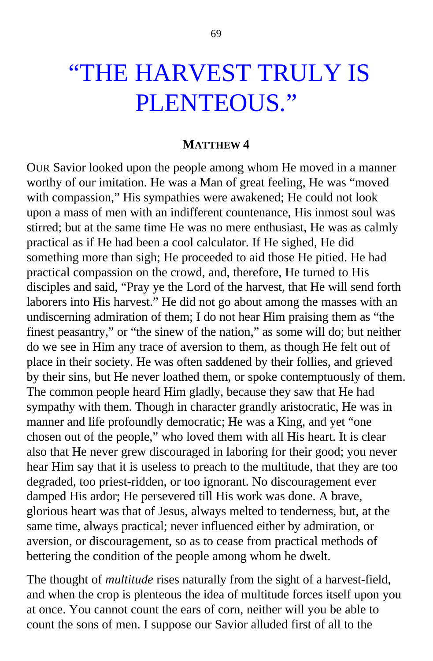### "THE HARVEST TRULY IS PLENTEOUS."

#### **MATTHEW 4**

OUR Savior looked upon the people among whom He moved in a manner worthy of our imitation. He was a Man of great feeling, He was "moved with compassion," His sympathies were awakened; He could not look upon a mass of men with an indifferent countenance, His inmost soul was stirred; but at the same time He was no mere enthusiast, He was as calmly practical as if He had been a cool calculator. If He sighed, He did something more than sigh; He proceeded to aid those He pitied. He had practical compassion on the crowd, and, therefore, He turned to His disciples and said, "Pray ye the Lord of the harvest, that He will send forth laborers into His harvest." He did not go about among the masses with an undiscerning admiration of them; I do not hear Him praising them as "the finest peasantry," or "the sinew of the nation," as some will do; but neither do we see in Him any trace of aversion to them, as though He felt out of place in their society. He was often saddened by their follies, and grieved by their sins, but He never loathed them, or spoke contemptuously of them. The common people heard Him gladly, because they saw that He had sympathy with them. Though in character grandly aristocratic, He was in manner and life profoundly democratic; He was a King, and yet "one chosen out of the people," who loved them with all His heart. It is clear also that He never grew discouraged in laboring for their good; you never hear Him say that it is useless to preach to the multitude, that they are too degraded, too priest-ridden, or too ignorant. No discouragement ever damped His ardor; He persevered till His work was done. A brave, glorious heart was that of Jesus, always melted to tenderness, but, at the same time, always practical; never influenced either by admiration, or aversion, or discouragement, so as to cease from practical methods of bettering the condition of the people among whom he dwelt.

The thought of *multitude* rises naturally from the sight of a harvest-field, and when the crop is plenteous the idea of multitude forces itself upon you at once. You cannot count the ears of corn, neither will you be able to count the sons of men. I suppose our Savior alluded first of all to the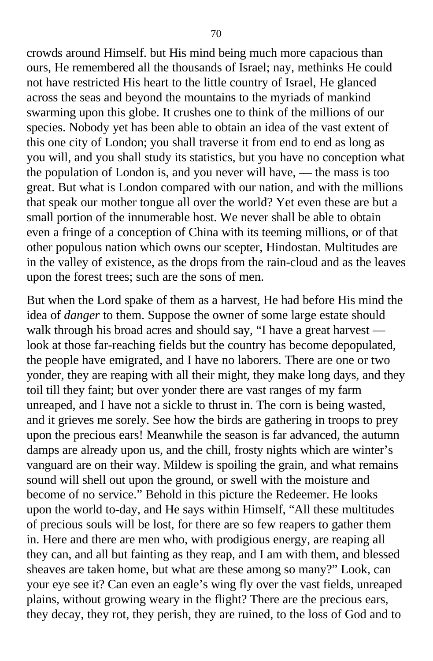crowds around Himself. but His mind being much more capacious than ours, He remembered all the thousands of Israel; nay, methinks He could not have restricted His heart to the little country of Israel, He glanced across the seas and beyond the mountains to the myriads of mankind swarming upon this globe. It crushes one to think of the millions of our species. Nobody yet has been able to obtain an idea of the vast extent of this one city of London; you shall traverse it from end to end as long as you will, and you shall study its statistics, but you have no conception what the population of London is, and you never will have, — the mass is too great. But what is London compared with our nation, and with the millions that speak our mother tongue all over the world? Yet even these are but a small portion of the innumerable host. We never shall be able to obtain even a fringe of a conception of China with its teeming millions, or of that other populous nation which owns our scepter, Hindostan. Multitudes are in the valley of existence, as the drops from the rain-cloud and as the leaves upon the forest trees; such are the sons of men.

But when the Lord spake of them as a harvest, He had before His mind the idea of *danger* to them. Suppose the owner of some large estate should walk through his broad acres and should say, "I have a great harvest look at those far-reaching fields but the country has become depopulated, the people have emigrated, and I have no laborers. There are one or two yonder, they are reaping with all their might, they make long days, and they toil till they faint; but over yonder there are vast ranges of my farm unreaped, and I have not a sickle to thrust in. The corn is being wasted, and it grieves me sorely. See how the birds are gathering in troops to prey upon the precious ears! Meanwhile the season is far advanced, the autumn damps are already upon us, and the chill, frosty nights which are winter's vanguard are on their way. Mildew is spoiling the grain, and what remains sound will shell out upon the ground, or swell with the moisture and become of no service." Behold in this picture the Redeemer. He looks upon the world to-day, and He says within Himself, "All these multitudes of precious souls will be lost, for there are so few reapers to gather them in. Here and there are men who, with prodigious energy, are reaping all they can, and all but fainting as they reap, and I am with them, and blessed sheaves are taken home, but what are these among so many?" Look, can your eye see it? Can even an eagle's wing fly over the vast fields, unreaped plains, without growing weary in the flight? There are the precious ears, they decay, they rot, they perish, they are ruined, to the loss of God and to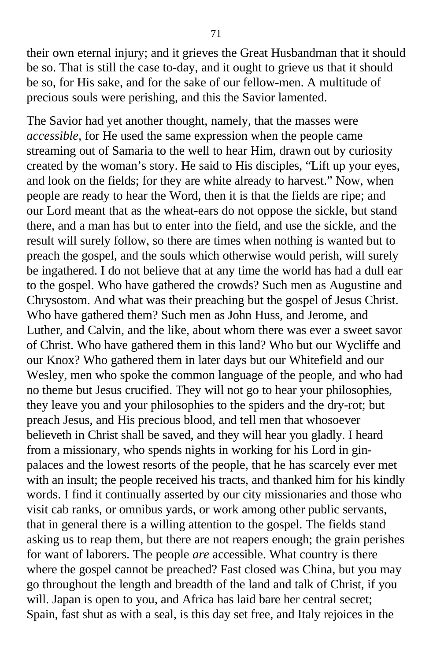their own eternal injury; and it grieves the Great Husbandman that it should be so. That is still the case to-day, and it ought to grieve us that it should be so, for His sake, and for the sake of our fellow-men. A multitude of precious souls were perishing, and this the Savior lamented.

The Savior had yet another thought, namely, that the masses were *accessible,* for He used the same expression when the people came streaming out of Samaria to the well to hear Him, drawn out by curiosity created by the woman's story. He said to His disciples, "Lift up your eyes, and look on the fields; for they are white already to harvest." Now, when people are ready to hear the Word, then it is that the fields are ripe; and our Lord meant that as the wheat-ears do not oppose the sickle, but stand there, and a man has but to enter into the field, and use the sickle, and the result will surely follow, so there are times when nothing is wanted but to preach the gospel, and the souls which otherwise would perish, will surely be ingathered. I do not believe that at any time the world has had a dull ear to the gospel. Who have gathered the crowds? Such men as Augustine and Chrysostom. And what was their preaching but the gospel of Jesus Christ. Who have gathered them? Such men as John Huss, and Jerome, and Luther, and Calvin, and the like, about whom there was ever a sweet savor of Christ. Who have gathered them in this land? Who but our Wycliffe and our Knox? Who gathered them in later days but our Whitefield and our Wesley, men who spoke the common language of the people, and who had no theme but Jesus crucified. They will not go to hear your philosophies, they leave you and your philosophies to the spiders and the dry-rot; but preach Jesus, and His precious blood, and tell men that whosoever believeth in Christ shall be saved, and they will hear you gladly. I heard from a missionary, who spends nights in working for his Lord in ginpalaces and the lowest resorts of the people, that he has scarcely ever met with an insult; the people received his tracts, and thanked him for his kindly words. I find it continually asserted by our city missionaries and those who visit cab ranks, or omnibus yards, or work among other public servants, that in general there is a willing attention to the gospel. The fields stand asking us to reap them, but there are not reapers enough; the grain perishes for want of laborers. The people *are* accessible. What country is there where the gospel cannot be preached? Fast closed was China, but you may go throughout the length and breadth of the land and talk of Christ, if you will. Japan is open to you, and Africa has laid bare her central secret; Spain, fast shut as with a seal, is this day set free, and Italy rejoices in the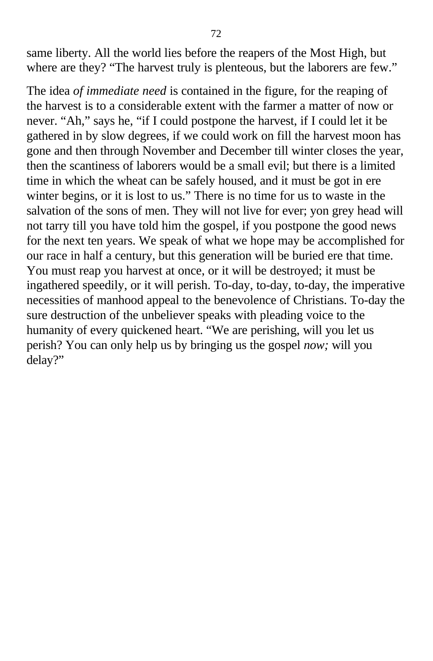same liberty. All the world lies before the reapers of the Most High, but where are they? "The harvest truly is plenteous, but the laborers are few."

The idea *of immediate need* is contained in the figure, for the reaping of the harvest is to a considerable extent with the farmer a matter of now or never. "Ah," says he, "if I could postpone the harvest, if I could let it be gathered in by slow degrees, if we could work on fill the harvest moon has gone and then through November and December till winter closes the year, then the scantiness of laborers would be a small evil; but there is a limited time in which the wheat can be safely housed, and it must be got in ere winter begins, or it is lost to us." There is no time for us to waste in the salvation of the sons of men. They will not live for ever; yon grey head will not tarry till you have told him the gospel, if you postpone the good news for the next ten years. We speak of what we hope may be accomplished for our race in half a century, but this generation will be buried ere that time. You must reap you harvest at once, or it will be destroyed; it must be ingathered speedily, or it will perish. To-day, to-day, to-day, the imperative necessities of manhood appeal to the benevolence of Christians. To-day the sure destruction of the unbeliever speaks with pleading voice to the humanity of every quickened heart. "We are perishing, will you let us perish? You can only help us by bringing us the gospel *now;* will you delay?"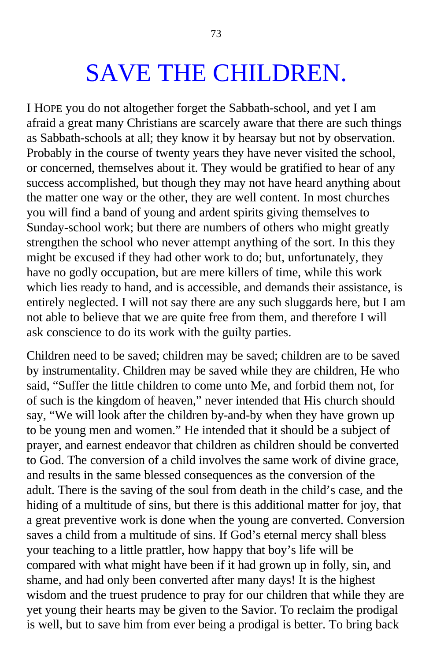# SAVE THE CHILDREN.

I HOPE you do not altogether forget the Sabbath-school, and yet I am afraid a great many Christians are scarcely aware that there are such things as Sabbath-schools at all; they know it by hearsay but not by observation. Probably in the course of twenty years they have never visited the school, or concerned, themselves about it. They would be gratified to hear of any success accomplished, but though they may not have heard anything about the matter one way or the other, they are well content. In most churches you will find a band of young and ardent spirits giving themselves to Sunday-school work; but there are numbers of others who might greatly strengthen the school who never attempt anything of the sort. In this they might be excused if they had other work to do; but, unfortunately, they have no godly occupation, but are mere killers of time, while this work which lies ready to hand, and is accessible, and demands their assistance, is entirely neglected. I will not say there are any such sluggards here, but I am not able to believe that we are quite free from them, and therefore I will ask conscience to do its work with the guilty parties.

Children need to be saved; children may be saved; children are to be saved by instrumentality. Children may be saved while they are children, He who said, "Suffer the little children to come unto Me, and forbid them not, for of such is the kingdom of heaven," never intended that His church should say, "We will look after the children by-and-by when they have grown up to be young men and women." He intended that it should be a subject of prayer, and earnest endeavor that children as children should be converted to God. The conversion of a child involves the same work of divine grace, and results in the same blessed consequences as the conversion of the adult. There is the saving of the soul from death in the child's case, and the hiding of a multitude of sins, but there is this additional matter for joy, that a great preventive work is done when the young are converted. Conversion saves a child from a multitude of sins. If God's eternal mercy shall bless your teaching to a little prattler, how happy that boy's life will be compared with what might have been if it had grown up in folly, sin, and shame, and had only been converted after many days! It is the highest wisdom and the truest prudence to pray for our children that while they are yet young their hearts may be given to the Savior. To reclaim the prodigal is well, but to save him from ever being a prodigal is better. To bring back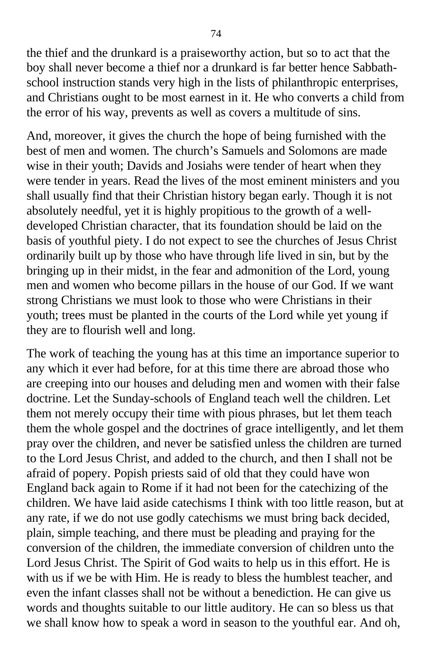the thief and the drunkard is a praiseworthy action, but so to act that the boy shall never become a thief nor a drunkard is far better hence Sabbathschool instruction stands very high in the lists of philanthropic enterprises, and Christians ought to be most earnest in it. He who converts a child from the error of his way, prevents as well as covers a multitude of sins.

And, moreover, it gives the church the hope of being furnished with the best of men and women. The church's Samuels and Solomons are made wise in their youth; Davids and Josiahs were tender of heart when they were tender in years. Read the lives of the most eminent ministers and you shall usually find that their Christian history began early. Though it is not absolutely needful, yet it is highly propitious to the growth of a welldeveloped Christian character, that its foundation should be laid on the basis of youthful piety. I do not expect to see the churches of Jesus Christ ordinarily built up by those who have through life lived in sin, but by the bringing up in their midst, in the fear and admonition of the Lord, young men and women who become pillars in the house of our God. If we want strong Christians we must look to those who were Christians in their youth; trees must be planted in the courts of the Lord while yet young if they are to flourish well and long.

The work of teaching the young has at this time an importance superior to any which it ever had before, for at this time there are abroad those who are creeping into our houses and deluding men and women with their false doctrine. Let the Sunday-schools of England teach well the children. Let them not merely occupy their time with pious phrases, but let them teach them the whole gospel and the doctrines of grace intelligently, and let them pray over the children, and never be satisfied unless the children are turned to the Lord Jesus Christ, and added to the church, and then I shall not be afraid of popery. Popish priests said of old that they could have won England back again to Rome if it had not been for the catechizing of the children. We have laid aside catechisms I think with too little reason, but at any rate, if we do not use godly catechisms we must bring back decided, plain, simple teaching, and there must be pleading and praying for the conversion of the children, the immediate conversion of children unto the Lord Jesus Christ. The Spirit of God waits to help us in this effort. He is with us if we be with Him. He is ready to bless the humblest teacher, and even the infant classes shall not be without a benediction. He can give us words and thoughts suitable to our little auditory. He can so bless us that we shall know how to speak a word in season to the youthful ear. And oh,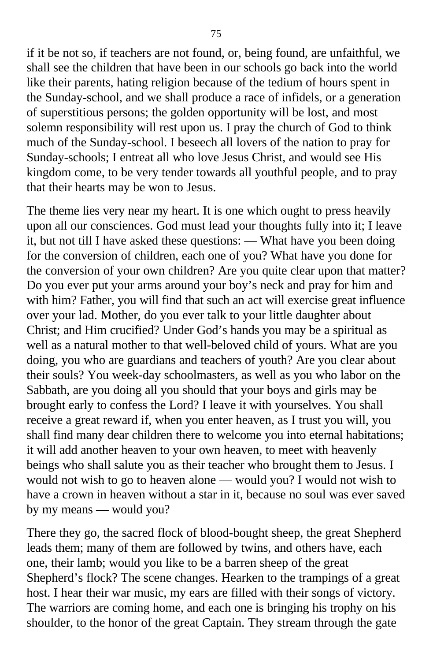if it be not so, if teachers are not found, or, being found, are unfaithful, we shall see the children that have been in our schools go back into the world like their parents, hating religion because of the tedium of hours spent in the Sunday-school, and we shall produce a race of infidels, or a generation of superstitious persons; the golden opportunity will be lost, and most solemn responsibility will rest upon us. I pray the church of God to think much of the Sunday-school. I beseech all lovers of the nation to pray for Sunday-schools; I entreat all who love Jesus Christ, and would see His kingdom come, to be very tender towards all youthful people, and to pray that their hearts may be won to Jesus.

The theme lies very near my heart. It is one which ought to press heavily upon all our consciences. God must lead your thoughts fully into it; I leave it, but not till I have asked these questions: — What have you been doing for the conversion of children, each one of you? What have you done for the conversion of your own children? Are you quite clear upon that matter? Do you ever put your arms around your boy's neck and pray for him and with him? Father, you will find that such an act will exercise great influence over your lad. Mother, do you ever talk to your little daughter about Christ; and Him crucified? Under God's hands you may be a spiritual as well as a natural mother to that well-beloved child of yours. What are you doing, you who are guardians and teachers of youth? Are you clear about their souls? You week-day schoolmasters, as well as you who labor on the Sabbath, are you doing all you should that your boys and girls may be brought early to confess the Lord? I leave it with yourselves. You shall receive a great reward if, when you enter heaven, as I trust you will, you shall find many dear children there to welcome you into eternal habitations; it will add another heaven to your own heaven, to meet with heavenly beings who shall salute you as their teacher who brought them to Jesus. I would not wish to go to heaven alone — would you? I would not wish to have a crown in heaven without a star in it, because no soul was ever saved by my means — would you?

There they go, the sacred flock of blood-bought sheep, the great Shepherd leads them; many of them are followed by twins, and others have, each one, their lamb; would you like to be a barren sheep of the great Shepherd's flock? The scene changes. Hearken to the trampings of a great host. I hear their war music, my ears are filled with their songs of victory. The warriors are coming home, and each one is bringing his trophy on his shoulder, to the honor of the great Captain. They stream through the gate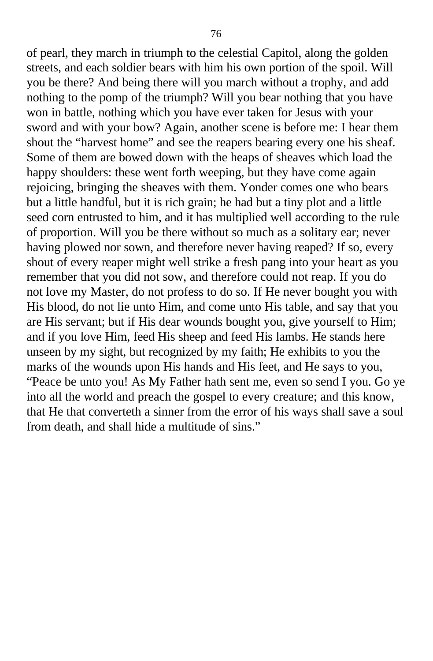of pearl, they march in triumph to the celestial Capitol, along the golden streets, and each soldier bears with him his own portion of the spoil. Will you be there? And being there will you march without a trophy, and add nothing to the pomp of the triumph? Will you bear nothing that you have won in battle, nothing which you have ever taken for Jesus with your sword and with your bow? Again, another scene is before me: I hear them shout the "harvest home" and see the reapers bearing every one his sheaf. Some of them are bowed down with the heaps of sheaves which load the happy shoulders: these went forth weeping, but they have come again rejoicing, bringing the sheaves with them. Yonder comes one who bears but a little handful, but it is rich grain; he had but a tiny plot and a little seed corn entrusted to him, and it has multiplied well according to the rule of proportion. Will you be there without so much as a solitary ear; never having plowed nor sown, and therefore never having reaped? If so, every shout of every reaper might well strike a fresh pang into your heart as you remember that you did not sow, and therefore could not reap. If you do not love my Master, do not profess to do so. If He never bought you with His blood, do not lie unto Him, and come unto His table, and say that you are His servant; but if His dear wounds bought you, give yourself to Him; and if you love Him, feed His sheep and feed His lambs. He stands here unseen by my sight, but recognized by my faith; He exhibits to you the marks of the wounds upon His hands and His feet, and He says to you, "Peace be unto you! As My Father hath sent me, even so send I you. Go ye into all the world and preach the gospel to every creature; and this know, that He that converteth a sinner from the error of his ways shall save a soul from death, and shall hide a multitude of sins."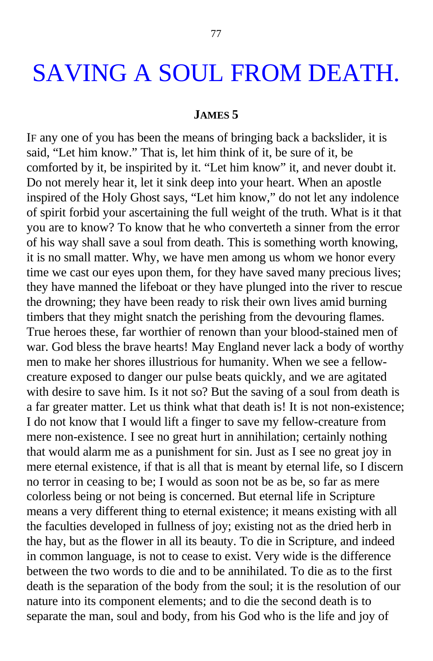### SAVING A SOUL FROM DEATH.

#### **JAMES 5**

IF any one of you has been the means of bringing back a backslider, it is said, "Let him know." That is, let him think of it, be sure of it, be comforted by it, be inspirited by it. "Let him know" it, and never doubt it. Do not merely hear it, let it sink deep into your heart. When an apostle inspired of the Holy Ghost says, "Let him know," do not let any indolence of spirit forbid your ascertaining the full weight of the truth. What is it that you are to know? To know that he who converteth a sinner from the error of his way shall save a soul from death. This is something worth knowing, it is no small matter. Why, we have men among us whom we honor every time we cast our eyes upon them, for they have saved many precious lives; they have manned the lifeboat or they have plunged into the river to rescue the drowning; they have been ready to risk their own lives amid burning timbers that they might snatch the perishing from the devouring flames. True heroes these, far worthier of renown than your blood-stained men of war. God bless the brave hearts! May England never lack a body of worthy men to make her shores illustrious for humanity. When we see a fellowcreature exposed to danger our pulse beats quickly, and we are agitated with desire to save him. Is it not so? But the saving of a soul from death is a far greater matter. Let us think what that death is! It is not non-existence; I do not know that I would lift a finger to save my fellow-creature from mere non-existence. I see no great hurt in annihilation; certainly nothing that would alarm me as a punishment for sin. Just as I see no great joy in mere eternal existence, if that is all that is meant by eternal life, so I discern no terror in ceasing to be; I would as soon not be as be, so far as mere colorless being or not being is concerned. But eternal life in Scripture means a very different thing to eternal existence; it means existing with all the faculties developed in fullness of joy; existing not as the dried herb in the hay, but as the flower in all its beauty. To die in Scripture, and indeed in common language, is not to cease to exist. Very wide is the difference between the two words to die and to be annihilated. To die as to the first death is the separation of the body from the soul; it is the resolution of our nature into its component elements; and to die the second death is to separate the man, soul and body, from his God who is the life and joy of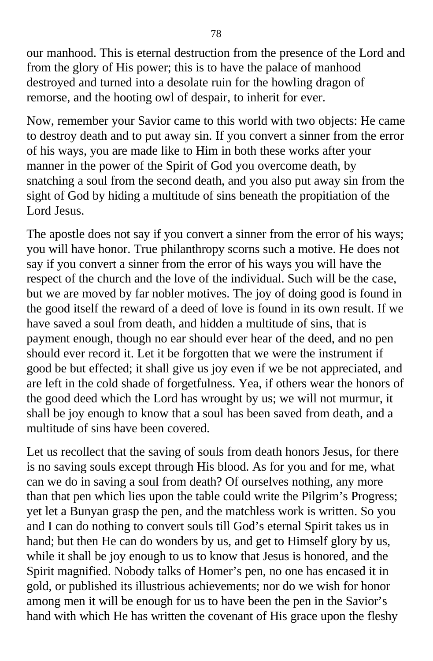our manhood. This is eternal destruction from the presence of the Lord and from the glory of His power; this is to have the palace of manhood destroyed and turned into a desolate ruin for the howling dragon of remorse, and the hooting owl of despair, to inherit for ever.

Now, remember your Savior came to this world with two objects: He came to destroy death and to put away sin. If you convert a sinner from the error of his ways, you are made like to Him in both these works after your manner in the power of the Spirit of God you overcome death, by snatching a soul from the second death, and you also put away sin from the sight of God by hiding a multitude of sins beneath the propitiation of the Lord Jesus.

The apostle does not say if you convert a sinner from the error of his ways; you will have honor. True philanthropy scorns such a motive. He does not say if you convert a sinner from the error of his ways you will have the respect of the church and the love of the individual. Such will be the case, but we are moved by far nobler motives. The joy of doing good is found in the good itself the reward of a deed of love is found in its own result. If we have saved a soul from death, and hidden a multitude of sins, that is payment enough, though no ear should ever hear of the deed, and no pen should ever record it. Let it be forgotten that we were the instrument if good be but effected; it shall give us joy even if we be not appreciated, and are left in the cold shade of forgetfulness. Yea, if others wear the honors of the good deed which the Lord has wrought by us; we will not murmur, it shall be joy enough to know that a soul has been saved from death, and a multitude of sins have been covered.

Let us recollect that the saving of souls from death honors Jesus, for there is no saving souls except through His blood. As for you and for me, what can we do in saving a soul from death? Of ourselves nothing, any more than that pen which lies upon the table could write the Pilgrim's Progress; yet let a Bunyan grasp the pen, and the matchless work is written. So you and I can do nothing to convert souls till God's eternal Spirit takes us in hand; but then He can do wonders by us, and get to Himself glory by us, while it shall be joy enough to us to know that Jesus is honored, and the Spirit magnified. Nobody talks of Homer's pen, no one has encased it in gold, or published its illustrious achievements; nor do we wish for honor among men it will be enough for us to have been the pen in the Savior's hand with which He has written the covenant of His grace upon the fleshy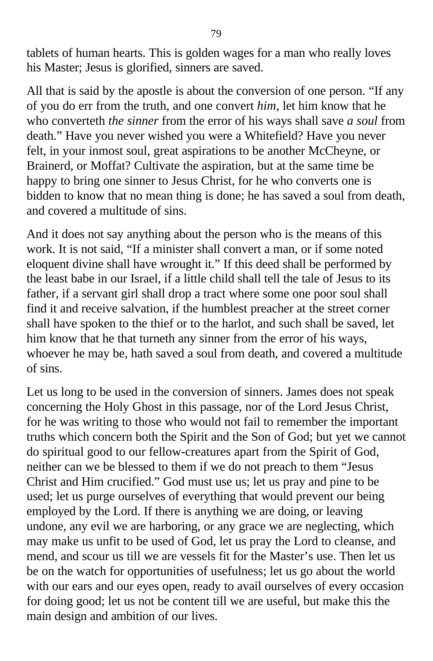tablets of human hearts. This is golden wages for a man who really loves his Master; Jesus is glorified, sinners are saved.

All that is said by the apostle is about the conversion of one person. "If any of you do err from the truth, and one convert *him,* let him know that he who converteth *the sinner* from the error of his ways shall save *a soul* from death." Have you never wished you were a Whitefield? Have you never felt, in your inmost soul, great aspirations to be another McCheyne, or Brainerd, or Moffat? Cultivate the aspiration, but at the same time be happy to bring one sinner to Jesus Christ, for he who converts one is bidden to know that no mean thing is done; he has saved a soul from death, and covered a multitude of sins.

And it does not say anything about the person who is the means of this work. It is not said, "If a minister shall convert a man, or if some noted eloquent divine shall have wrought it." If this deed shall be performed by the least babe in our Israel, if a little child shall tell the tale of Jesus to its father, if a servant girl shall drop a tract where some one poor soul shall find it and receive salvation, if the humblest preacher at the street corner shall have spoken to the thief or to the harlot, and such shall be saved, let him know that he that turneth any sinner from the error of his ways, whoever he may be, hath saved a soul from death, and covered a multitude of sins.

Let us long to be used in the conversion of sinners. James does not speak concerning the Holy Ghost in this passage, nor of the Lord Jesus Christ, for he was writing to those who would not fail to remember the important truths which concern both the Spirit and the Son of God; but yet we cannot do spiritual good to our fellow-creatures apart from the Spirit of God, neither can we be blessed to them if we do not preach to them "Jesus Christ and Him crucified." God must use us; let us pray and pine to be used; let us purge ourselves of everything that would prevent our being employed by the Lord. If there is anything we are doing, or leaving undone, any evil we are harboring, or any grace we are neglecting, which may make us unfit to be used of God, let us pray the Lord to cleanse, and mend, and scour us till we are vessels fit for the Master's use. Then let us be on the watch for opportunities of usefulness; let us go about the world with our ears and our eyes open, ready to avail ourselves of every occasion for doing good; let us not be content till we are useful, but make this the main design and ambition of our lives.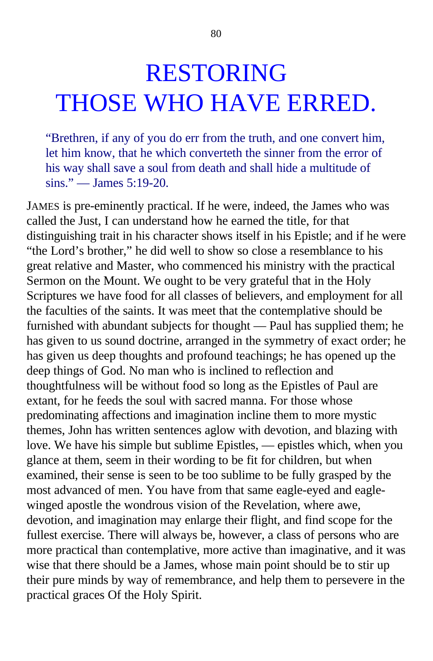# RESTORING THOSE WHO HAVE ERRED.

"Brethren, if any of you do err from the truth, and one convert him, let him know, that he which converteth the sinner from the error of his way shall save a soul from death and shall hide a multitude of sins." — James 5:19-20.

JAMES is pre-eminently practical. If he were, indeed, the James who was called the Just, I can understand how he earned the title, for that distinguishing trait in his character shows itself in his Epistle; and if he were "the Lord's brother," he did well to show so close a resemblance to his great relative and Master, who commenced his ministry with the practical Sermon on the Mount. We ought to be very grateful that in the Holy Scriptures we have food for all classes of believers, and employment for all the faculties of the saints. It was meet that the contemplative should be furnished with abundant subjects for thought — Paul has supplied them; he has given to us sound doctrine, arranged in the symmetry of exact order; he has given us deep thoughts and profound teachings; he has opened up the deep things of God. No man who is inclined to reflection and thoughtfulness will be without food so long as the Epistles of Paul are extant, for he feeds the soul with sacred manna. For those whose predominating affections and imagination incline them to more mystic themes, John has written sentences aglow with devotion, and blazing with love. We have his simple but sublime Epistles, — epistles which, when you glance at them, seem in their wording to be fit for children, but when examined, their sense is seen to be too sublime to be fully grasped by the most advanced of men. You have from that same eagle-eyed and eaglewinged apostle the wondrous vision of the Revelation, where awe, devotion, and imagination may enlarge their flight, and find scope for the fullest exercise. There will always be, however, a class of persons who are more practical than contemplative, more active than imaginative, and it was wise that there should be a James, whose main point should be to stir up their pure minds by way of remembrance, and help them to persevere in the practical graces Of the Holy Spirit.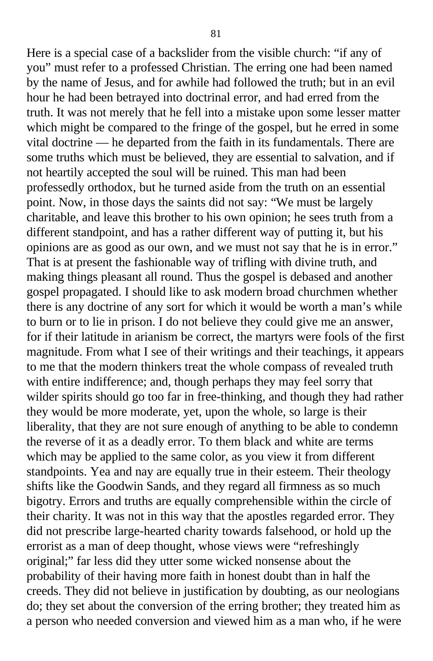Here is a special case of a backslider from the visible church: "if any of you" must refer to a professed Christian. The erring one had been named by the name of Jesus, and for awhile had followed the truth; but in an evil hour he had been betrayed into doctrinal error, and had erred from the truth. It was not merely that he fell into a mistake upon some lesser matter which might be compared to the fringe of the gospel, but he erred in some vital doctrine — he departed from the faith in its fundamentals. There are some truths which must be believed, they are essential to salvation, and if not heartily accepted the soul will be ruined. This man had been professedly orthodox, but he turned aside from the truth on an essential point. Now, in those days the saints did not say: "We must be largely charitable, and leave this brother to his own opinion; he sees truth from a different standpoint, and has a rather different way of putting it, but his opinions are as good as our own, and we must not say that he is in error." That is at present the fashionable way of trifling with divine truth, and making things pleasant all round. Thus the gospel is debased and another gospel propagated. I should like to ask modern broad churchmen whether there is any doctrine of any sort for which it would be worth a man's while to burn or to lie in prison. I do not believe they could give me an answer, for if their latitude in arianism be correct, the martyrs were fools of the first magnitude. From what I see of their writings and their teachings, it appears to me that the modern thinkers treat the whole compass of revealed truth with entire indifference; and, though perhaps they may feel sorry that wilder spirits should go too far in free-thinking, and though they had rather they would be more moderate, yet, upon the whole, so large is their liberality, that they are not sure enough of anything to be able to condemn the reverse of it as a deadly error. To them black and white are terms which may be applied to the same color, as you view it from different standpoints. Yea and nay are equally true in their esteem. Their theology shifts like the Goodwin Sands, and they regard all firmness as so much bigotry. Errors and truths are equally comprehensible within the circle of their charity. It was not in this way that the apostles regarded error. They did not prescribe large-hearted charity towards falsehood, or hold up the errorist as a man of deep thought, whose views were "refreshingly original;" far less did they utter some wicked nonsense about the probability of their having more faith in honest doubt than in half the creeds. They did not believe in justification by doubting, as our neologians do; they set about the conversion of the erring brother; they treated him as a person who needed conversion and viewed him as a man who, if he were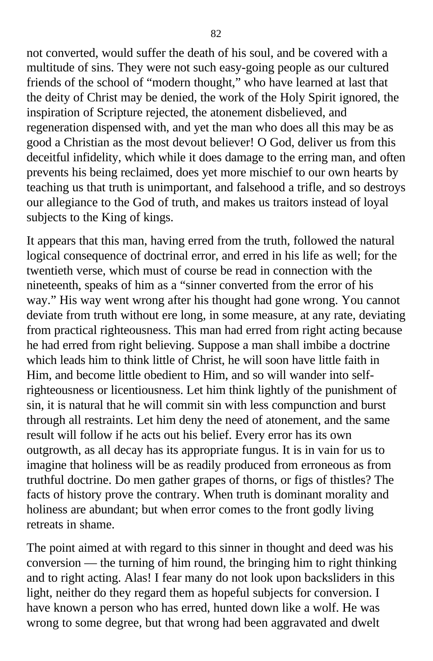not converted, would suffer the death of his soul, and be covered with a multitude of sins. They were not such easy-going people as our cultured friends of the school of "modern thought," who have learned at last that the deity of Christ may be denied, the work of the Holy Spirit ignored, the inspiration of Scripture rejected, the atonement disbelieved, and regeneration dispensed with, and yet the man who does all this may be as good a Christian as the most devout believer! O God, deliver us from this deceitful infidelity, which while it does damage to the erring man, and often prevents his being reclaimed, does yet more mischief to our own hearts by teaching us that truth is unimportant, and falsehood a trifle, and so destroys our allegiance to the God of truth, and makes us traitors instead of loyal subjects to the King of kings.

It appears that this man, having erred from the truth, followed the natural logical consequence of doctrinal error, and erred in his life as well; for the twentieth verse, which must of course be read in connection with the nineteenth, speaks of him as a "sinner converted from the error of his way." His way went wrong after his thought had gone wrong. You cannot deviate from truth without ere long, in some measure, at any rate, deviating from practical righteousness. This man had erred from right acting because he had erred from right believing. Suppose a man shall imbibe a doctrine which leads him to think little of Christ, he will soon have little faith in Him, and become little obedient to Him, and so will wander into selfrighteousness or licentiousness. Let him think lightly of the punishment of sin, it is natural that he will commit sin with less compunction and burst through all restraints. Let him deny the need of atonement, and the same result will follow if he acts out his belief. Every error has its own outgrowth, as all decay has its appropriate fungus. It is in vain for us to imagine that holiness will be as readily produced from erroneous as from truthful doctrine. Do men gather grapes of thorns, or figs of thistles? The facts of history prove the contrary. When truth is dominant morality and holiness are abundant; but when error comes to the front godly living retreats in shame.

The point aimed at with regard to this sinner in thought and deed was his conversion — the turning of him round, the bringing him to right thinking and to right acting. Alas! I fear many do not look upon backsliders in this light, neither do they regard them as hopeful subjects for conversion. I have known a person who has erred, hunted down like a wolf. He was wrong to some degree, but that wrong had been aggravated and dwelt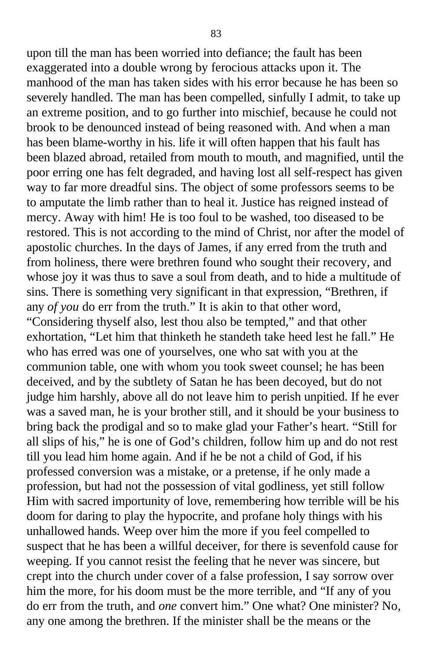upon till the man has been worried into defiance; the fault has been exaggerated into a double wrong by ferocious attacks upon it. The manhood of the man has taken sides with his error because he has been so severely handled. The man has been compelled, sinfully I admit, to take up an extreme position, and to go further into mischief, because he could not brook to be denounced instead of being reasoned with. And when a man has been blame-worthy in his. life it will often happen that his fault has been blazed abroad, retailed from mouth to mouth, and magnified, until the poor erring one has felt degraded, and having lost all self-respect has given way to far more dreadful sins. The object of some professors seems to be to amputate the limb rather than to heal it. Justice has reigned instead of mercy. Away with him! He is too foul to be washed, too diseased to be restored. This is not according to the mind of Christ, nor after the model of apostolic churches. In the days of James, if any erred from the truth and from holiness, there were brethren found who sought their recovery, and whose joy it was thus to save a soul from death, and to hide a multitude of sins. There is something very significant in that expression, "Brethren, if any *of you* do err from the truth." It is akin to that other word, "Considering thyself also, lest thou also be tempted," and that other exhortation, "Let him that thinketh he standeth take heed lest he fall." He who has erred was one of yourselves, one who sat with you at the communion table, one with whom you took sweet counsel; he has been deceived, and by the subtlety of Satan he has been decoyed, but do not judge him harshly, above all do not leave him to perish unpitied. If he ever was a saved man, he is your brother still, and it should be your business to bring back the prodigal and so to make glad your Father's heart. "Still for all slips of his," he is one of God's children, follow him up and do not rest till you lead him home again. And if he be not a child of God, if his professed conversion was a mistake, or a pretense, if he only made a profession, but had not the possession of vital godliness, yet still follow Him with sacred importunity of love, remembering how terrible will be his doom for daring to play the hypocrite, and profane holy things with his unhallowed hands. Weep over him the more if you feel compelled to suspect that he has been a willful deceiver, for there is sevenfold cause for weeping. If you cannot resist the feeling that he never was sincere, but crept into the church under cover of a false profession, I say sorrow over him the more, for his doom must be the more terrible, and "If any of you do err from the truth, and *one* convert him." One what? One minister? No, any one among the brethren. If the minister shall be the means or the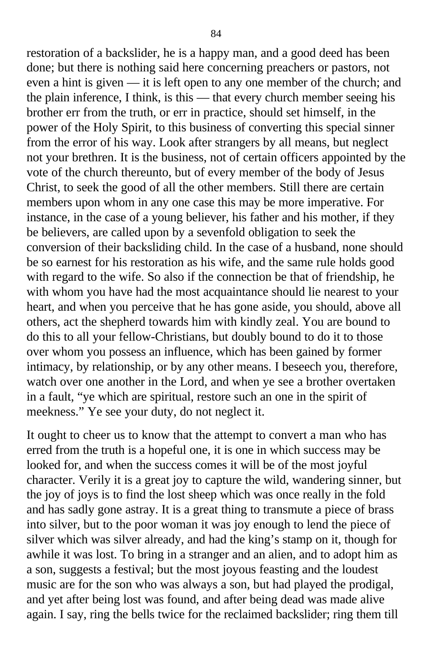restoration of a backslider, he is a happy man, and a good deed has been done; but there is nothing said here concerning preachers or pastors, not even a hint is given — it is left open to any one member of the church; and the plain inference, I think, is this — that every church member seeing his brother err from the truth, or err in practice, should set himself, in the power of the Holy Spirit, to this business of converting this special sinner from the error of his way. Look after strangers by all means, but neglect not your brethren. It is the business, not of certain officers appointed by the vote of the church thereunto, but of every member of the body of Jesus Christ, to seek the good of all the other members. Still there are certain members upon whom in any one case this may be more imperative. For instance, in the case of a young believer, his father and his mother, if they be believers, are called upon by a sevenfold obligation to seek the conversion of their backsliding child. In the case of a husband, none should be so earnest for his restoration as his wife, and the same rule holds good with regard to the wife. So also if the connection be that of friendship, he with whom you have had the most acquaintance should lie nearest to your heart, and when you perceive that he has gone aside, you should, above all others, act the shepherd towards him with kindly zeal. You are bound to do this to all your fellow-Christians, but doubly bound to do it to those over whom you possess an influence, which has been gained by former intimacy, by relationship, or by any other means. I beseech you, therefore, watch over one another in the Lord, and when ye see a brother overtaken in a fault, "ye which are spiritual, restore such an one in the spirit of meekness." Ye see your duty, do not neglect it.

It ought to cheer us to know that the attempt to convert a man who has erred from the truth is a hopeful one, it is one in which success may be looked for, and when the success comes it will be of the most joyful character. Verily it is a great joy to capture the wild, wandering sinner, but the joy of joys is to find the lost sheep which was once really in the fold and has sadly gone astray. It is a great thing to transmute a piece of brass into silver, but to the poor woman it was joy enough to lend the piece of silver which was silver already, and had the king's stamp on it, though for awhile it was lost. To bring in a stranger and an alien, and to adopt him as a son, suggests a festival; but the most joyous feasting and the loudest music are for the son who was always a son, but had played the prodigal, and yet after being lost was found, and after being dead was made alive again. I say, ring the bells twice for the reclaimed backslider; ring them till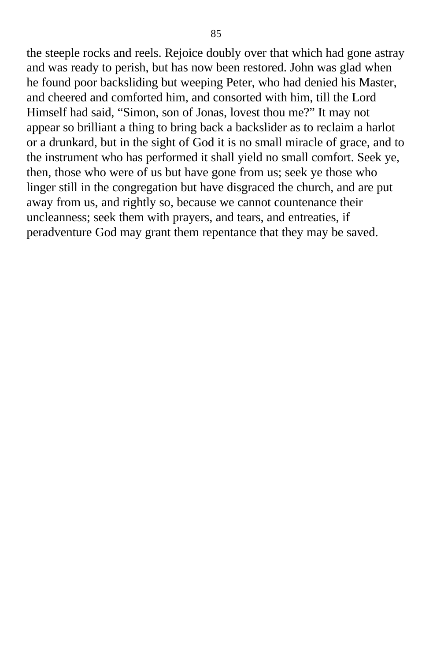the steeple rocks and reels. Rejoice doubly over that which had gone astray and was ready to perish, but has now been restored. John was glad when he found poor backsliding but weeping Peter, who had denied his Master, and cheered and comforted him, and consorted with him, till the Lord Himself had said, "Simon, son of Jonas, lovest thou me?" It may not appear so brilliant a thing to bring back a backslider as to reclaim a harlot or a drunkard, but in the sight of God it is no small miracle of grace, and to the instrument who has performed it shall yield no small comfort. Seek ye, then, those who were of us but have gone from us; seek ye those who linger still in the congregation but have disgraced the church, and are put away from us, and rightly so, because we cannot countenance their uncleanness; seek them with prayers, and tears, and entreaties, if peradventure God may grant them repentance that they may be saved.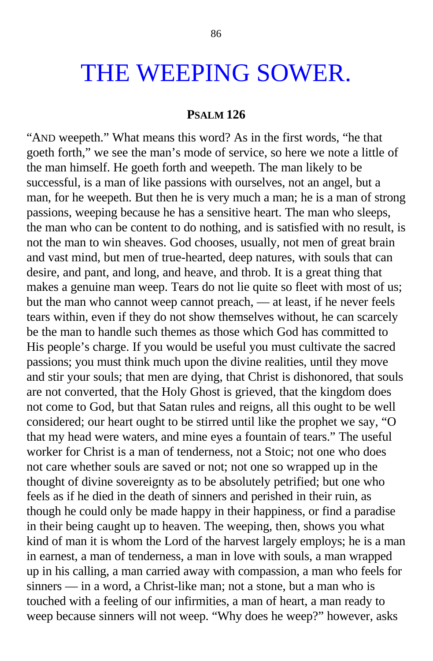### THE WEEPING SOWER.

#### **PSALM 126**

"AND weepeth." What means this word? As in the first words, "he that goeth forth," we see the man's mode of service, so here we note a little of the man himself. He goeth forth and weepeth. The man likely to be successful, is a man of like passions with ourselves, not an angel, but a man, for he weepeth. But then he is very much a man; he is a man of strong passions, weeping because he has a sensitive heart. The man who sleeps, the man who can be content to do nothing, and is satisfied with no result, is not the man to win sheaves. God chooses, usually, not men of great brain and vast mind, but men of true-hearted, deep natures, with souls that can desire, and pant, and long, and heave, and throb. It is a great thing that makes a genuine man weep. Tears do not lie quite so fleet with most of us; but the man who cannot weep cannot preach, — at least, if he never feels tears within, even if they do not show themselves without, he can scarcely be the man to handle such themes as those which God has committed to His people's charge. If you would be useful you must cultivate the sacred passions; you must think much upon the divine realities, until they move and stir your souls; that men are dying, that Christ is dishonored, that souls are not converted, that the Holy Ghost is grieved, that the kingdom does not come to God, but that Satan rules and reigns, all this ought to be well considered; our heart ought to be stirred until like the prophet we say, "O that my head were waters, and mine eyes a fountain of tears." The useful worker for Christ is a man of tenderness, not a Stoic; not one who does not care whether souls are saved or not; not one so wrapped up in the thought of divine sovereignty as to be absolutely petrified; but one who feels as if he died in the death of sinners and perished in their ruin, as though he could only be made happy in their happiness, or find a paradise in their being caught up to heaven. The weeping, then, shows you what kind of man it is whom the Lord of the harvest largely employs; he is a man in earnest, a man of tenderness, a man in love with souls, a man wrapped up in his calling, a man carried away with compassion, a man who feels for sinners — in a word, a Christ-like man; not a stone, but a man who is touched with a feeling of our infirmities, a man of heart, a man ready to weep because sinners will not weep. "Why does he weep?" however, asks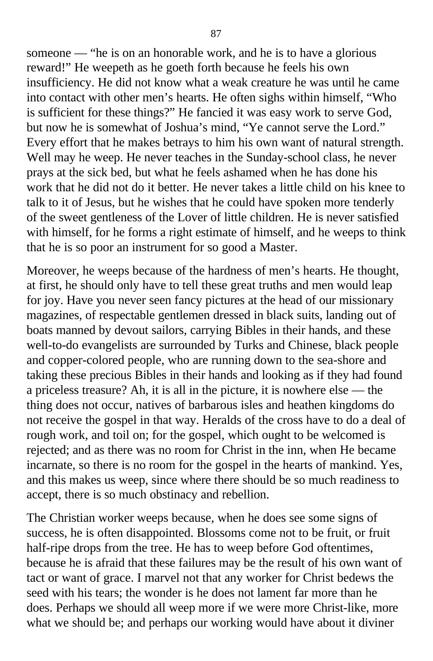someone — "he is on an honorable work, and he is to have a glorious reward!" He weepeth as he goeth forth because he feels his own insufficiency. He did not know what a weak creature he was until he came into contact with other men's hearts. He often sighs within himself, "Who is sufficient for these things?" He fancied it was easy work to serve God, but now he is somewhat of Joshua's mind, "Ye cannot serve the Lord." Every effort that he makes betrays to him his own want of natural strength. Well may he weep. He never teaches in the Sunday-school class, he never prays at the sick bed, but what he feels ashamed when he has done his work that he did not do it better. He never takes a little child on his knee to talk to it of Jesus, but he wishes that he could have spoken more tenderly of the sweet gentleness of the Lover of little children. He is never satisfied with himself, for he forms a right estimate of himself, and he weeps to think that he is so poor an instrument for so good a Master.

Moreover, he weeps because of the hardness of men's hearts. He thought, at first, he should only have to tell these great truths and men would leap for joy. Have you never seen fancy pictures at the head of our missionary magazines, of respectable gentlemen dressed in black suits, landing out of boats manned by devout sailors, carrying Bibles in their hands, and these well-to-do evangelists are surrounded by Turks and Chinese, black people and copper-colored people, who are running down to the sea-shore and taking these precious Bibles in their hands and looking as if they had found a priceless treasure? Ah, it is all in the picture, it is nowhere else — the thing does not occur, natives of barbarous isles and heathen kingdoms do not receive the gospel in that way. Heralds of the cross have to do a deal of rough work, and toil on; for the gospel, which ought to be welcomed is rejected; and as there was no room for Christ in the inn, when He became incarnate, so there is no room for the gospel in the hearts of mankind. Yes, and this makes us weep, since where there should be so much readiness to accept, there is so much obstinacy and rebellion.

The Christian worker weeps because, when he does see some signs of success, he is often disappointed. Blossoms come not to be fruit, or fruit half-ripe drops from the tree. He has to weep before God oftentimes, because he is afraid that these failures may be the result of his own want of tact or want of grace. I marvel not that any worker for Christ bedews the seed with his tears; the wonder is he does not lament far more than he does. Perhaps we should all weep more if we were more Christ-like, more what we should be; and perhaps our working would have about it diviner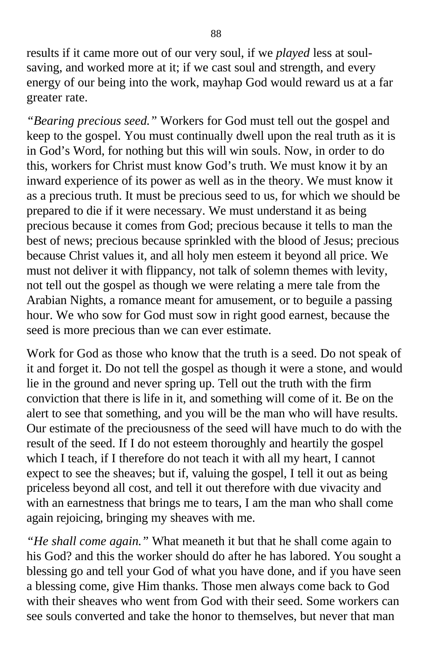results if it came more out of our very soul, if we *played* less at soulsaving, and worked more at it; if we cast soul and strength, and every energy of our being into the work, mayhap God would reward us at a far greater rate.

*"Bearing precious seed."* Workers for God must tell out the gospel and keep to the gospel. You must continually dwell upon the real truth as it is in God's Word, for nothing but this will win souls. Now, in order to do this, workers for Christ must know God's truth. We must know it by an inward experience of its power as well as in the theory. We must know it as a precious truth. It must be precious seed to us, for which we should be prepared to die if it were necessary. We must understand it as being precious because it comes from God; precious because it tells to man the best of news; precious because sprinkled with the blood of Jesus; precious because Christ values it, and all holy men esteem it beyond all price. We must not deliver it with flippancy, not talk of solemn themes with levity, not tell out the gospel as though we were relating a mere tale from the Arabian Nights, a romance meant for amusement, or to beguile a passing hour. We who sow for God must sow in right good earnest, because the seed is more precious than we can ever estimate.

Work for God as those who know that the truth is a seed. Do not speak of it and forget it. Do not tell the gospel as though it were a stone, and would lie in the ground and never spring up. Tell out the truth with the firm conviction that there is life in it, and something will come of it. Be on the alert to see that something, and you will be the man who will have results. Our estimate of the preciousness of the seed will have much to do with the result of the seed. If I do not esteem thoroughly and heartily the gospel which I teach, if I therefore do not teach it with all my heart, I cannot expect to see the sheaves; but if, valuing the gospel, I tell it out as being priceless beyond all cost, and tell it out therefore with due vivacity and with an earnestness that brings me to tears, I am the man who shall come again rejoicing, bringing my sheaves with me.

*"He shall come again."* What meaneth it but that he shall come again to his God? and this the worker should do after he has labored. You sought a blessing go and tell your God of what you have done, and if you have seen a blessing come, give Him thanks. Those men always come back to God with their sheaves who went from God with their seed. Some workers can see souls converted and take the honor to themselves, but never that man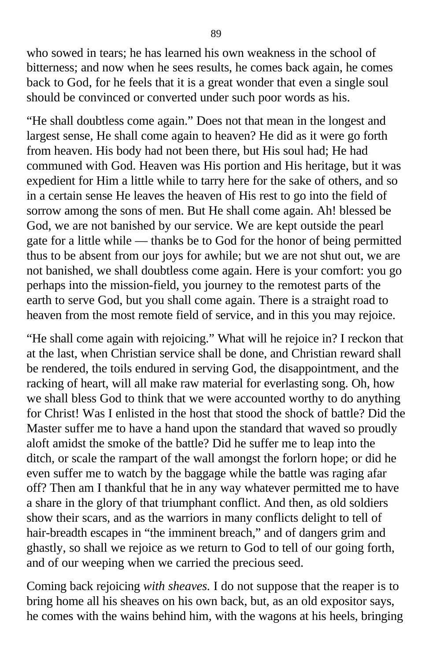who sowed in tears; he has learned his own weakness in the school of bitterness; and now when he sees results, he comes back again, he comes back to God, for he feels that it is a great wonder that even a single soul should be convinced or converted under such poor words as his.

"He shall doubtless come again." Does not that mean in the longest and largest sense, He shall come again to heaven? He did as it were go forth from heaven. His body had not been there, but His soul had; He had communed with God. Heaven was His portion and His heritage, but it was expedient for Him a little while to tarry here for the sake of others, and so in a certain sense He leaves the heaven of His rest to go into the field of sorrow among the sons of men. But He shall come again. Ah! blessed be God, we are not banished by our service. We are kept outside the pearl gate for a little while — thanks be to God for the honor of being permitted thus to be absent from our joys for awhile; but we are not shut out, we are not banished, we shall doubtless come again. Here is your comfort: you go perhaps into the mission-field, you journey to the remotest parts of the earth to serve God, but you shall come again. There is a straight road to heaven from the most remote field of service, and in this you may rejoice.

"He shall come again with rejoicing." What will he rejoice in? I reckon that at the last, when Christian service shall be done, and Christian reward shall be rendered, the toils endured in serving God, the disappointment, and the racking of heart, will all make raw material for everlasting song. Oh, how we shall bless God to think that we were accounted worthy to do anything for Christ! Was I enlisted in the host that stood the shock of battle? Did the Master suffer me to have a hand upon the standard that waved so proudly aloft amidst the smoke of the battle? Did he suffer me to leap into the ditch, or scale the rampart of the wall amongst the forlorn hope; or did he even suffer me to watch by the baggage while the battle was raging afar off? Then am I thankful that he in any way whatever permitted me to have a share in the glory of that triumphant conflict. And then, as old soldiers show their scars, and as the warriors in many conflicts delight to tell of hair-breadth escapes in "the imminent breach," and of dangers grim and ghastly, so shall we rejoice as we return to God to tell of our going forth, and of our weeping when we carried the precious seed.

Coming back rejoicing *with sheaves.* I do not suppose that the reaper is to bring home all his sheaves on his own back, but, as an old expositor says, he comes with the wains behind him, with the wagons at his heels, bringing